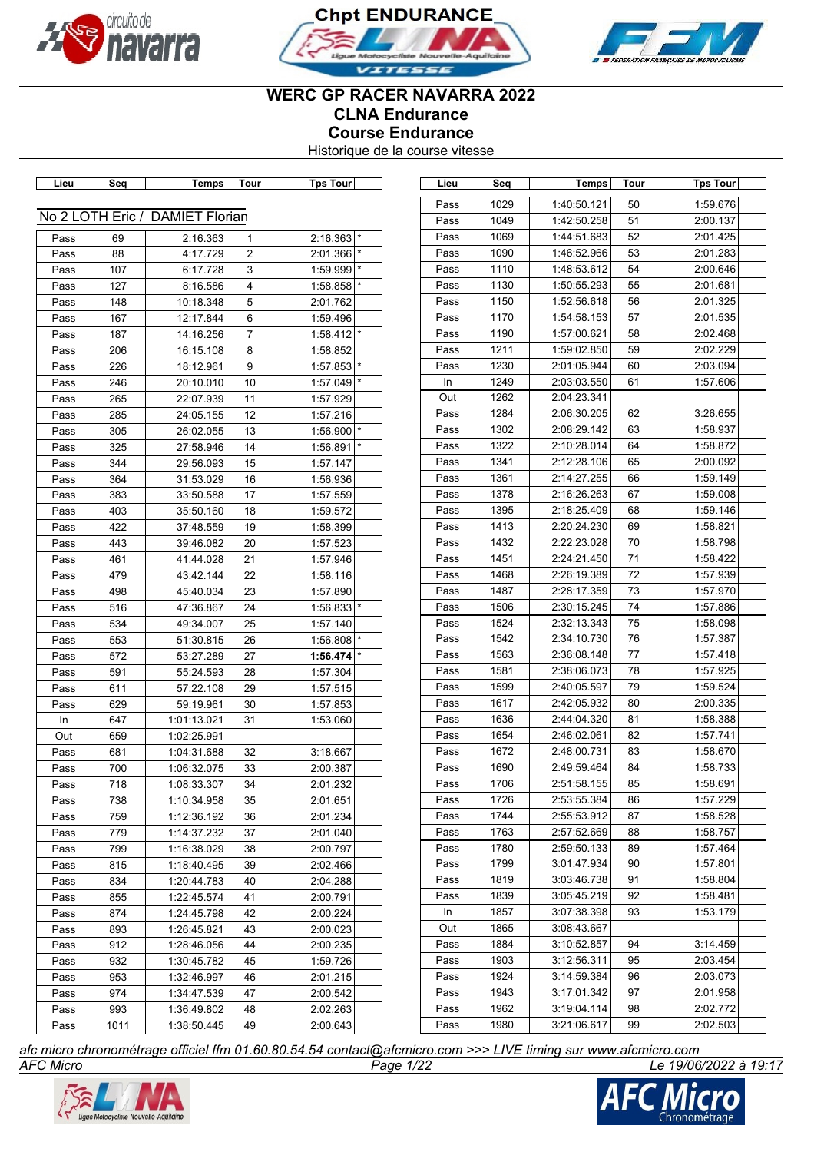





# **WERC GP RACER NAVARRA 2022 CLNA Endurance Course Endurance**

Historique de la course vitesse

| Lieu | Seq  | Temps                           | Tour           | Tps Tour                |
|------|------|---------------------------------|----------------|-------------------------|
|      |      | No 2 LOTH Eric / DAMIET Florian |                |                         |
| Pass | 69   | 2:16.363                        | 1              | $2:16.363$ <sup>*</sup> |
| Pass | 88   | 4:17.729                        | $\overline{2}$ | $\star$<br>2:01.366     |
| Pass | 107  | 6:17.728                        | 3              | $\star$<br>1:59.999     |
| Pass | 127  | 8:16.586                        | 4              | $\star$<br>1:58.858     |
| Pass | 148  | 10:18.348                       | 5              | 2:01.762                |
| Pass | 167  | 12:17.844                       | 6              | 1:59.496                |
| Pass | 187  | 14:16.256                       | 7              | 1:58.412                |
| Pass | 206  | 16:15.108                       | 8              | 1:58.852                |
| Pass | 226  | 18:12.961                       | 9              | $\star$<br>1:57.853     |
| Pass | 246  | 20:10.010                       | 10             | $\star$<br>1:57.049     |
| Pass | 265  | 22:07.939                       | 11             | 1:57.929                |
| Pass | 285  | 24:05.155                       | 12             | 1:57.216                |
| Pass | 305  | 26:02.055                       | 13             | 1:56.900                |
| Pass | 325  | 27:58.946                       | 14             | 1:56.891                |
| Pass | 344  | 29:56.093                       | 15             | 1:57.147                |
| Pass | 364  | 31:53.029                       | 16             | 1:56.936                |
| Pass | 383  | 33:50.588                       | 17             | 1:57.559                |
| Pass | 403  | 35:50.160                       | 18             | 1:59.572                |
| Pass | 422  | 37:48.559                       | 19             | 1:58.399                |
| Pass | 443  | 39:46.082                       | 20             | 1:57.523                |
| Pass | 461  | 41:44.028                       | 21             | 1:57.946                |
| Pass | 479  | 43:42.144                       | 22             | 1:58.116                |
| Pass | 498  | 45:40.034                       | 23             | 1:57.890                |
| Pass | 516  | 47:36.867                       | 24             | $1:56.833$ <sup>*</sup> |
| Pass | 534  | 49:34.007                       | 25             | 1:57.140                |
|      | 553  |                                 |                | $\star$                 |
| Pass |      | 51:30.815                       | 26             | 1:56.808                |
| Pass | 572  | 53:27.289                       | 27             | 1:56.474                |
| Pass | 591  | 55:24.593                       | 28             | 1:57.304                |
| Pass | 611  | 57:22.108                       | 29             | 1:57.515                |
| Pass | 629  | 59:19.961                       | 30             | 1:57.853                |
| In   | 647  | 1:01:13.021                     | 31             | 1:53.060                |
| Out  | 659  | 1:02:25.991                     |                |                         |
| Pass | 681  | 1:04:31.688                     | 32             | 3:18.667                |
| Pass | 700  | 1:06:32.075                     | 33             | 2:00.387                |
| Pass | 718  | 1:08:33.307                     | 34             | 2:01.232                |
| Pass | 738  | 1:10:34.958                     | 35             | 2:01.651                |
| Pass | 759  | 1:12:36.192                     | 36             | 2:01.234                |
| Pass | 779  | 1:14:37.232                     | 37             | 2:01.040                |
| Pass | 799  | 1:16:38.029                     | 38             | 2:00.797                |
| Pass | 815  | 1:18:40.495                     | 39             | 2:02.466                |
| Pass | 834  | 1:20:44.783                     | 40             | 2:04.288                |
| Pass | 855  | 1:22:45.574                     | 41             | 2:00.791                |
| Pass | 874  | 1:24:45.798                     | 42             | 2:00.224                |
| Pass | 893  | 1:26:45.821                     | 43             | 2:00.023                |
| Pass | 912  | 1:28:46.056                     | 44             | 2:00.235                |
| Pass | 932  | 1:30:45.782                     | 45             | 1:59.726                |
| Pass | 953  | 1:32:46.997                     | 46             | 2:01.215                |
| Pass | 974  | 1:34:47.539                     | 47             | 2:00.542                |
| Pass | 993  | 1:36:49.802                     | 48             | 2:02.263                |
| Pass | 1011 | 1:38:50.445                     | 49             | 2:00.643                |

| Pass | 1029 | 1:40:50.121 | 50 | 1:59.676 |
|------|------|-------------|----|----------|
| Pass | 1049 | 1:42:50.258 | 51 | 2:00.137 |
| Pass | 1069 | 1:44:51.683 | 52 | 2:01.425 |
| Pass | 1090 | 1:46:52.966 | 53 | 2:01.283 |
| Pass | 1110 | 1:48:53.612 | 54 | 2:00.646 |
| Pass | 1130 | 1:50:55.293 | 55 | 2:01.681 |
| Pass | 1150 | 1:52:56.618 | 56 | 2:01.325 |
| Pass | 1170 | 1:54:58.153 | 57 | 2:01.535 |
| Pass | 1190 | 1:57:00.621 | 58 | 2:02.468 |
| Pass | 1211 | 1:59:02.850 | 59 | 2:02.229 |
| Pass | 1230 | 2:01:05.944 | 60 | 2:03.094 |
| In   | 1249 | 2:03:03.550 | 61 | 1:57.606 |
| Out  | 1262 | 2:04:23.341 |    |          |
| Pass | 1284 | 2:06:30.205 | 62 | 3:26.655 |
| Pass | 1302 | 2:08:29.142 | 63 | 1:58.937 |
| Pass | 1322 | 2:10:28.014 | 64 | 1:58.872 |
| Pass | 1341 | 2:12:28.106 | 65 | 2:00.092 |
| Pass | 1361 | 2:14:27.255 | 66 | 1:59.149 |
| Pass | 1378 | 2:16:26.263 | 67 | 1:59.008 |
| Pass | 1395 | 2:18:25.409 | 68 | 1:59.146 |
| Pass | 1413 | 2:20:24.230 | 69 | 1:58.821 |
| Pass | 1432 | 2:22:23.028 | 70 | 1:58.798 |
| Pass | 1451 | 2:24:21.450 | 71 | 1:58.422 |
| Pass | 1468 | 2:26:19.389 | 72 | 1:57.939 |
| Pass | 1487 | 2:28:17.359 | 73 | 1:57.970 |
| Pass | 1506 | 2:30:15.245 | 74 | 1:57.886 |
| Pass | 1524 | 2:32:13.343 | 75 | 1:58.098 |
| Pass | 1542 | 2:34:10.730 | 76 | 1:57.387 |
| Pass | 1563 | 2:36:08.148 | 77 | 1:57.418 |
| Pass | 1581 | 2:38:06.073 | 78 | 1:57.925 |
| Pass | 1599 | 2:40:05.597 | 79 | 1:59.524 |
| Pass | 1617 | 2:42:05.932 | 80 | 2:00.335 |
| Pass | 1636 | 2:44:04.320 | 81 | 1:58.388 |
| Pass | 1654 | 2:46:02.061 | 82 | 1:57.741 |
| Pass | 1672 | 2:48:00.731 | 83 | 1:58.670 |
| Pass | 1690 | 2:49:59.464 | 84 | 1:58.733 |
| Pass | 1706 | 2:51:58.155 | 85 | 1:58.691 |
| Pass | 1726 | 2:53:55.384 | 86 | 1:57.229 |
| Pass | 1744 | 2:55:53.912 | 87 | 1:58.528 |
| Pass | 1763 | 2:57:52.669 | 88 | 1:58.757 |
| Pass | 1780 | 2:59:50.133 | 89 | 1:57.464 |
| Pass | 1799 | 3:01:47.934 | 90 | 1:57.801 |
| Pass | 1819 | 3:03:46.738 | 91 | 1:58.804 |
| Pass | 1839 | 3:05:45.219 | 92 | 1:58.481 |
| In   | 1857 | 3:07:38.398 | 93 | 1:53.179 |
| Out  | 1865 | 3:08:43.667 |    |          |
| Pass | 1884 | 3:10:52.857 | 94 | 3:14.459 |
| Pass | 1903 | 3:12:56.311 | 95 | 2:03.454 |
| Pass | 1924 | 3:14:59.384 | 96 | 2:03.073 |
| Pass | 1943 | 3:17:01.342 | 97 | 2:01.958 |
| Pass | 1962 | 3:19:04.114 | 98 | 2:02.772 |
| Pass | 1980 | 3:21:06.617 | 99 | 2:02.503 |
|      |      |             |    |          |

**Lieu Seq Temps Tour Tps Tour Lieu Seq Temps Tour Tps Tour**

*AFC Micro Page 1/22 Le 19/06/2022 à 19:17 afc micro chronométrage officiel ffm 01.60.80.54.54 contact@afcmicro.com >>> LIVE timing sur www.afcmicro.com*



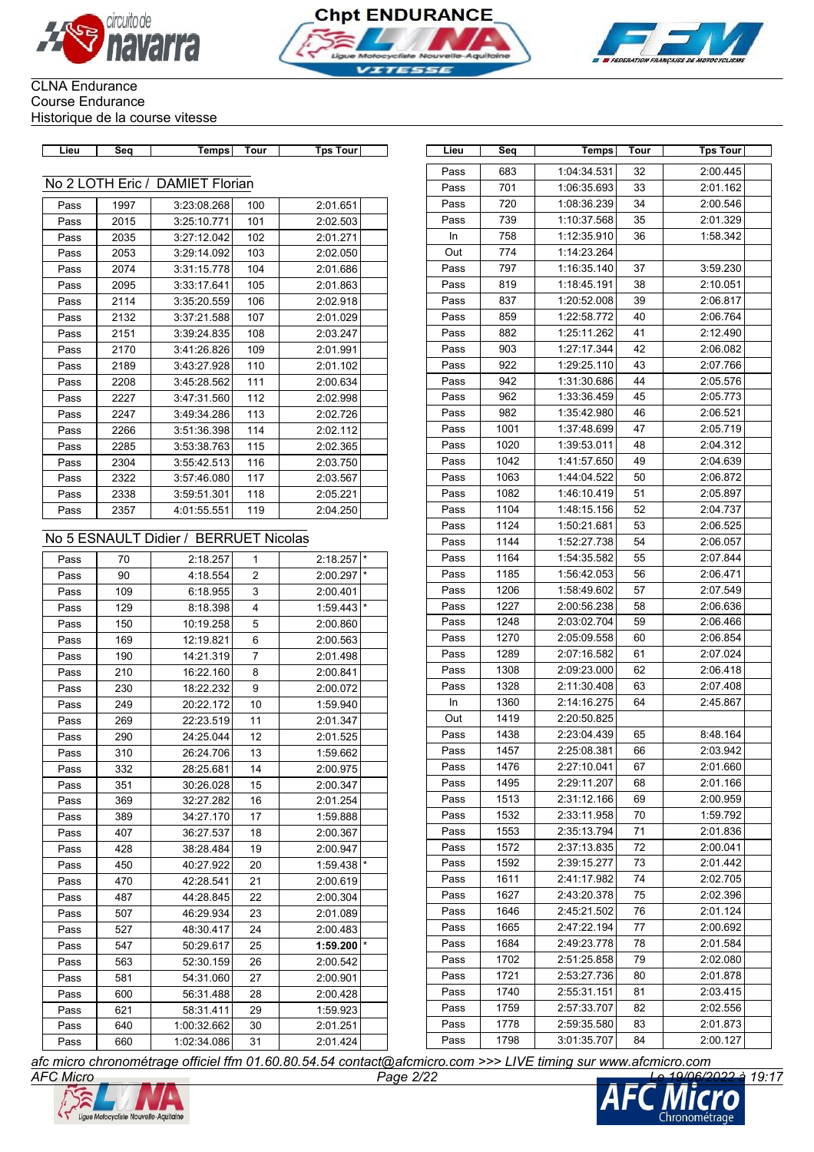





| ن م آ |  | วur | ⊤ດuri<br><u>ົດດ</u> |
|-------|--|-----|---------------------|
|       |  |     |                     |

| No 2 LOTH Eric / DAMIET Florian |      |             |     |          |  |  |  |  |  |
|---------------------------------|------|-------------|-----|----------|--|--|--|--|--|
| Pass                            | 1997 | 3:23:08.268 | 100 | 2:01.651 |  |  |  |  |  |
| Pass                            | 2015 | 3:25:10.771 | 101 | 2:02.503 |  |  |  |  |  |
| Pass                            | 2035 | 3:27:12.042 | 102 | 2:01.271 |  |  |  |  |  |
| Pass                            | 2053 | 3:29:14.092 | 103 | 2:02.050 |  |  |  |  |  |
| Pass                            | 2074 | 3:31:15.778 | 104 | 2:01.686 |  |  |  |  |  |
| Pass                            | 2095 | 3:33:17.641 | 105 | 2:01.863 |  |  |  |  |  |
| Pass                            | 2114 | 3:35:20.559 | 106 | 2:02.918 |  |  |  |  |  |
| Pass                            | 2132 | 3:37:21.588 | 107 | 2:01.029 |  |  |  |  |  |
| Pass                            | 2151 | 3:39:24.835 | 108 | 2:03.247 |  |  |  |  |  |
| Pass                            | 2170 | 3:41:26.826 | 109 | 2:01.991 |  |  |  |  |  |
| Pass                            | 2189 | 3:43:27.928 | 110 | 2:01.102 |  |  |  |  |  |
| Pass                            | 2208 | 3:45:28.562 | 111 | 2:00.634 |  |  |  |  |  |
| Pass                            | 2227 | 3:47:31.560 | 112 | 2:02.998 |  |  |  |  |  |
| Pass                            | 2247 | 3:49:34.286 | 113 | 2:02.726 |  |  |  |  |  |
| Pass                            | 2266 | 3:51:36.398 | 114 | 2:02.112 |  |  |  |  |  |
| Pass                            | 2285 | 3:53:38.763 | 115 | 2:02.365 |  |  |  |  |  |
| Pass                            | 2304 | 3:55:42.513 | 116 | 2:03.750 |  |  |  |  |  |
| Pass                            | 2322 | 3:57:46.080 | 117 | 2:03.567 |  |  |  |  |  |
| Pass                            | 2338 | 3:59:51.301 | 118 | 2:05.221 |  |  |  |  |  |
| Pass                            | 2357 | 4:01:55.551 | 119 | 2:04.250 |  |  |  |  |  |

### No 5 ESNAULT Didier / BERRUET Nicolas

| Pass | 70  | 2:18.257    | 1              | $2:18.257$ * |         |
|------|-----|-------------|----------------|--------------|---------|
| Pass | 90  | 4:18.554    | 2              | 2:00.297     | $\star$ |
| Pass | 109 | 6:18.955    | 3              | 2:00.401     |         |
| Pass | 129 | 8:18.398    | 4              | 1:59.443     | $\star$ |
| Pass | 150 | 10:19.258   | 5              | 2:00.860     |         |
| Pass | 169 | 12:19.821   | 6              | 2:00.563     |         |
| Pass | 190 | 14:21.319   | $\overline{7}$ | 2:01.498     |         |
| Pass | 210 | 16:22.160   | 8              | 2:00.841     |         |
| Pass | 230 | 18:22.232   | 9              | 2:00.072     |         |
| Pass | 249 | 20:22.172   | 10             | 1:59.940     |         |
| Pass | 269 | 22:23.519   | 11             | 2:01.347     |         |
| Pass | 290 | 24:25.044   | 12             | 2:01.525     |         |
| Pass | 310 | 26:24.706   | 13             | 1:59.662     |         |
| Pass | 332 | 28:25.681   | 14             | 2:00.975     |         |
| Pass | 351 | 30:26.028   | 15             | 2:00.347     |         |
| Pass | 369 | 32:27.282   | 16             | 2:01.254     |         |
| Pass | 389 | 34:27.170   | 17             | 1:59.888     |         |
| Pass | 407 | 36:27.537   | 18             | 2:00.367     |         |
| Pass | 428 | 38:28.484   | 19             | 2:00.947     |         |
| Pass | 450 | 40:27.922   | 20             | 1:59.438     | $\star$ |
| Pass | 470 | 42:28.541   | 21             | 2:00.619     |         |
| Pass | 487 | 44:28.845   | 22             | 2:00.304     |         |
| Pass | 507 | 46:29.934   | 23             | 2:01.089     |         |
| Pass | 527 | 48:30.417   | 24             | 2:00.483     |         |
| Pass | 547 | 50:29.617   | 25             | 1:59.200     | $\star$ |
| Pass | 563 | 52:30.159   | 26             | 2:00.542     |         |
| Pass | 581 | 54:31.060   | 27             | 2:00.901     |         |
| Pass | 600 | 56:31.488   | 28             | 2:00.428     |         |
| Pass | 621 | 58:31.411   | 29             | 1:59.923     |         |
| Pass | 640 | 1:00:32.662 | 30             | 2:01.251     |         |
| Pass | 660 | 1:02:34.086 | 31             | 2:01.424     |         |

| Lieu | Seq           | Temps                              | Tour           | <b>Tps Tour</b>      | Lieu         | Seq  | Temps                      | Tour | <b>Tps Tour</b> |
|------|---------------|------------------------------------|----------------|----------------------|--------------|------|----------------------------|------|-----------------|
|      |               |                                    |                |                      | Pass         | 683  | 1:04:34.531                | 32   | 2:00.445        |
|      | 2 LOTH Eric / | <b>DAMIET Florian</b>              |                |                      | Pass         | 701  | 1:06:35.693                | 33   | 2:01.162        |
| Pass | 1997          | 3:23:08.268                        | 100            | 2:01.651             | Pass         | 720  | 1:08:36.239                | 34   | 2:00.546        |
| Pass | 2015          | 3:25:10.771                        | 101            | 2:02.503             | Pass         | 739  | 1:10:37.568                | 35   | 2:01.329        |
| Pass | 2035          | 3:27:12.042                        | 102            | 2:01.271             | In           | 758  | 1:12:35.910                | 36   | 1:58.342        |
| Pass | 2053          | 3:29:14.092                        | 103            | 2:02.050             | Out          | 774  | 1:14:23.264                |      |                 |
| Pass | 2074          | 3:31:15.778                        | 104            | 2:01.686             | Pass         | 797  | 1:16:35.140                | 37   | 3:59.230        |
| Pass | 2095          | 3:33:17.641                        | 105            | 2:01.863             | Pass         | 819  | 1:18:45.191                | 38   | 2:10.051        |
| Pass | 2114          | 3:35:20.559                        | 106            | 2:02.918             | Pass         | 837  | 1:20:52.008                | 39   | 2:06.817        |
| Pass | 2132          | 3:37:21.588                        | 107            | 2:01.029             | Pass         | 859  | 1:22:58.772                | 40   | 2:06.764        |
| Pass | 2151          | 3:39:24.835                        | 108            | 2:03.247             | Pass         | 882  | 1:25:11.262                | 41   | 2:12.490        |
| Pass | 2170          | 3:41:26.826                        | 109            | 2:01.991             | Pass         | 903  | 1:27:17.344                | 42   | 2:06.082        |
| Pass | 2189          | 3:43:27.928                        | 110            | 2:01.102             | Pass         | 922  | 1:29:25.110                | 43   | 2:07.766        |
| Pass | 2208          | 3:45:28.562                        | 111            | 2:00.634             | Pass         | 942  | 1:31:30.686                | 44   | 2:05.576        |
| Pass | 2227          | 3:47:31.560                        | 112            | 2:02.998             | Pass         | 962  | 1:33:36.459                | 45   | 2:05.773        |
| Pass | 2247          | 3:49:34.286                        | 113            | 2:02.726             | Pass         | 982  | 1:35:42.980                | 46   | 2:06.521        |
| Pass | 2266          | 3:51:36.398                        | 114            | 2:02.112             | Pass         | 1001 | 1:37:48.699                | 47   | 2:05.719        |
| Pass | 2285          | 3:53:38.763                        | 115            | 2:02.365             | Pass         | 1020 | 1:39:53.011                | 48   | 2:04.312        |
| Pass | 2304          | 3:55:42.513                        | 116            | 2:03.750             | Pass         | 1042 | 1:41:57.650                | 49   | 2:04.639        |
| Pass | 2322          | 3:57:46.080                        | 117            | 2:03.567             | Pass         | 1063 | 1:44:04.522                | 50   | 2:06.872        |
| Pass | 2338          | 3:59:51.301                        | 118            | 2:05.221             | Pass         | 1082 | 1:46:10.419                | 51   | 2:05.897        |
| Pass | 2357          | 4:01:55.551                        | 119            | 2:04.250             | Pass         | 1104 | 1:48:15.156                | 52   | 2:04.737        |
|      |               |                                    |                |                      | Pass         | 1124 | 1:50:21.681                | 53   | 2:06.525        |
|      |               | 5 ESNAULT Didier / BERRUET Nicolas |                |                      | Pass         | 1144 | 1:52:27.738                | 54   | 2:06.057        |
| Pass | 70            | 2:18.257                           | 1              | $2:18.257$ *         | Pass         | 1164 | 1:54:35.582                | 55   | 2:07.844        |
| Pass | 90            | 4:18.554                           | 2              | 2:00.297             | Pass         | 1185 | 1:56:42.053                | 56   | 2:06.471        |
| Pass | 109           | 6:18.955                           | 3              | 2:00.401             | Pass         | 1206 | 1:58:49.602                | 57   | 2:07.549        |
| Pass | 129           | 8:18.398                           | 4              | 1:59.443             | Pass         | 1227 | 2:00:56.238                | 58   | 2:06.636        |
| Pass | 150           | 10:19.258                          | 5              | 2:00.860             | Pass         | 1248 | 2:03:02.704                | 59   | 2:06.466        |
| Pass |               | 12:19.821                          | 6              | 2:00.563             | Pass         | 1270 | 2:05:09.558                | 60   | 2:06.854        |
| Pass | 169<br>190    | 14:21.319                          | $\overline{7}$ | 2:01.498             | Pass         | 1289 | 2:07:16.582                | 61   | 2:07.024        |
| Pass | 210           | 16:22.160                          |                | 2:00.841             | Pass         | 1308 | 2:09:23.000                | 62   | 2:06.418        |
|      |               |                                    | 8              |                      | Pass         | 1328 | 2:11:30.408                | 63   | 2:07.408        |
| Pass | 230           | 18:22.232                          | 9              | 2:00.072             | In           | 1360 | 2:14:16.275                | 64   | 2:45.867        |
| Pass | 249           | 20:22.172<br>22:23.519             | 10             | 1:59.940<br>2:01.347 | Out          | 1419 | 2:20:50.825                |      |                 |
| Pass | 269           |                                    | 11             |                      | Pass         | 1438 | 2:23:04.439                | 65   | 8:48.164        |
| Pass | 290           | 24:25.044                          | 12             | 2:01.525             | Pass         | 1457 | 2:25:08.381                | 66   | 2:03.942        |
| Pass | 310           | 26:24.706                          | 13             | 1:59.662             | Pass         | 1476 | 2:27:10.041                | 67   | 2:01.660        |
| Pass | 332           | 28:25.681                          | 14             | 2:00.975             | Pass         | 1495 | 2:29:11.207                | 68   | 2:01.166        |
| Pass | 351           | 30:26.028                          | 15             | 2:00.347             | Pass         | 1513 | 2:31:12.166                | 69   | 2:00.959        |
| Pass | 369           | 32:27.282                          | 16             | 2:01.254             | Pass         | 1532 | 2:33:11.958                | 70   | 1:59.792        |
| Pass | 389           | 34:27.170                          | 17             | 1:59.888             | Pass         | 1553 | 2:35:13.794                | 71   | 2:01.836        |
| Pass | 407           | 36:27.537                          | 18             | 2:00.367             |              | 1572 |                            | 72   | 2:00.041        |
| Pass | 428           | 38:28.484                          | 19             | 2:00.947             | Pass<br>Pass | 1592 | 2:37:13.835<br>2:39:15.277 | 73   | 2:01.442        |
| Pass | 450           | 40:27.922                          | 20             | 1:59.438             |              |      |                            |      | 2:02.705        |
| Pass | 470           | 42:28.541                          | 21             | 2:00.619             | Pass         | 1611 | 2:41:17.982                | 74   |                 |
| Pass | 487           | 44:28.845                          | 22             | 2:00.304             | Pass         | 1627 | 2:43:20.378                | 75   | 2:02.396        |
| Pass | 507           | 46:29.934                          | 23             | 2:01.089             | Pass         | 1646 | 2:45:21.502                | 76   | 2:01.124        |
| Pass | 527           | 48:30.417                          | 24             | 2:00.483             | Pass         | 1665 | 2:47:22.194                | 77   | 2:00.692        |
| Pass | 547           | 50:29.617                          | 25             | 1:59.200             | Pass         | 1684 | 2:49:23.778                | 78   | 2:01.584        |
| Pass | 563           | 52:30.159                          | 26             | 2:00.542             | Pass         | 1702 | 2:51:25.858                | 79   | 2:02.080        |
| Pass | 581           | 54:31.060                          | 27             | 2:00.901             | Pass         | 1721 | 2:53:27.736                | 80   | 2:01.878        |
| Pass | 600           | 56:31.488                          | 28             | 2:00.428             | Pass         | 1740 | 2:55:31.151                | 81   | 2:03.415        |
| Pass | 621           | 58:31.411                          | 29             | 1:59.923             | Pass         | 1759 | 2:57:33.707                | 82   | 2:02.556        |
| Pass | 640           | 1:00:32.662                        | 30             | 2:01.251             | Pass         | 1778 | 2:59:35.580                | 83   | 2:01.873        |
| Pass | 660           | 1:02:34.086                        | 31             | 2:01.424             | Pass         | 1798 | 3:01:35.707                | 84   | 2:00.127        |



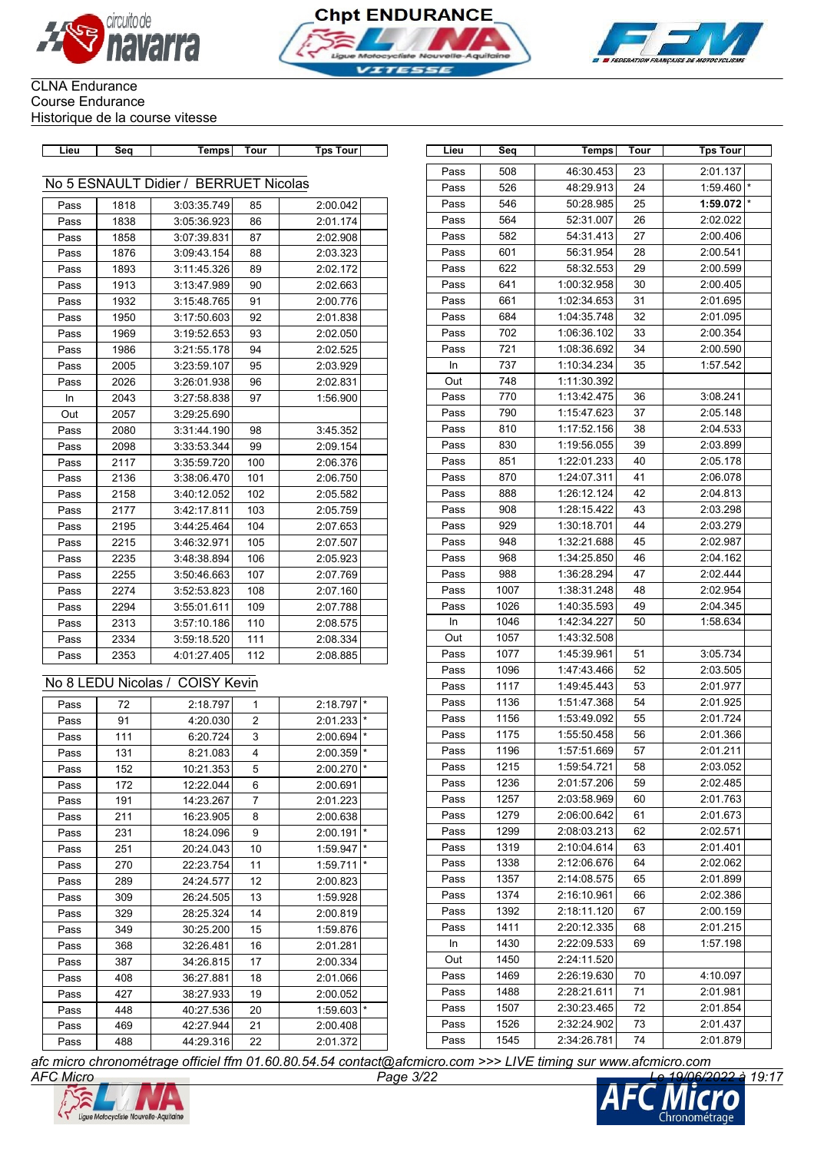





| Lieu         | Seq        | Temps                                 | Tour   | <b>Tps Tour</b>      | Lieu      | Seq  | Temps       | Tour            | <b>Tps Tour</b> |
|--------------|------------|---------------------------------------|--------|----------------------|-----------|------|-------------|-----------------|-----------------|
|              |            |                                       |        |                      | Pass      | 508  | 46:30.453   | 23              | 2:01.137        |
|              |            | No 5 ESNAULT Didier / BERRUET Nicolas |        |                      | Pass      | 526  | 48:29.913   | 24              | 1:59.460        |
| Pass         | 1818       | 3:03:35.749                           | 85     | 2:00.042             | Pass      | 546  | 50:28.985   | 25              | 1:59.072        |
| Pass         | 1838       | 3:05:36.923                           | 86     | 2:01.174             | Pass      | 564  | 52:31.007   | 26              | 2:02.022        |
| Pass         | 1858       | 3:07:39.831                           | 87     | 2:02.908             | Pass      | 582  | 54:31.413   | 27              | 2:00.406        |
| Pass         | 1876       | 3:09:43.154                           | 88     | 2:03.323             | Pass      | 601  | 56:31.954   | 28              | 2:00.541        |
| Pass         | 1893       | 3:11:45.326                           | 89     | 2:02.172             | Pass      | 622  | 58:32.553   | 29              | 2:00.599        |
| Pass         | 1913       | 3:13:47.989                           | 90     | 2:02.663             | Pass      | 641  | 1:00:32.958 | 30              | 2:00.405        |
| Pass         | 1932       | 3:15:48.765                           | 91     | 2:00.776             | Pass      | 661  | 1:02:34.653 | 31              | 2:01.695        |
| Pass         | 1950       | 3:17:50.603                           | 92     | 2:01.838             | Pass      | 684  | 1:04:35.748 | 32              | 2:01.095        |
| Pass         | 1969       | 3:19:52.653                           | 93     | 2:02.050             | Pass      | 702  | 1:06:36.102 | 33              | 2:00.354        |
| Pass         | 1986       | 3:21:55.178                           | 94     | 2:02.525             | Pass      | 721  | 1:08:36.692 | 34              | 2:00.590        |
| Pass         | 2005       | 3:23:59.107                           | 95     | 2:03.929             | In        | 737  | 1:10:34.234 | 35              | 1:57.542        |
| Pass         | 2026       | 3:26:01.938                           | 96     | 2:02.831             | Out       | 748  | 1:11:30.392 |                 |                 |
| In           | 2043       | 3:27:58.838                           | 97     | 1:56.900             | Pass      | 770  | 1:13:42.475 | 36              | 3:08.241        |
| Out          | 2057       | 3:29:25.690                           |        |                      | Pass      | 790  | 1:15:47.623 | 37              | 2:05.148        |
| Pass         | 2080       | 3:31:44.190                           | 98     | 3:45.352             | Pass      | 810  | 1:17:52.156 | 38              | 2:04.533        |
| Pass         | 2098       | 3:33:53.344                           | 99     | 2:09.154             | Pass      | 830  | 1:19:56.055 | 39              | 2:03.899        |
| Pass         | 2117       | 3:35:59.720                           | 100    | 2:06.376             | Pass      | 851  | 1:22:01.233 | 40              | 2:05.178        |
| Pass         | 2136       | 3:38:06.470                           | 101    | 2:06.750             | Pass      | 870  | 1:24:07.311 | 41              | 2:06.078        |
| Pass         | 2158       | 3:40:12.052                           | 102    | 2:05.582             | Pass      | 888  | 1:26:12.124 | 42              | 2:04.813        |
| Pass         | 2177       | 3:42:17.811                           | 103    | 2:05.759             | Pass      | 908  | 1:28:15.422 | 43              | 2:03.298        |
| Pass         | 2195       | 3:44:25.464                           | 104    | 2:07.653             | Pass      | 929  | 1:30:18.701 | 44              | 2:03.279        |
| Pass         | 2215       | 3:46:32.971                           | 105    | 2:07.507             | Pass      | 948  | 1:32:21.688 | 45              | 2:02.987        |
| Pass         | 2235       | 3:48:38.894                           | 106    | 2:05.923             | Pass      | 968  | 1:34:25.850 | 46              | 2:04.162        |
| Pass         | 2255       | 3:50:46.663                           | 107    | 2:07.769             | Pass      | 988  | 1:36:28.294 | 47              | 2:02.444        |
| Pass         | 2274       | 3:52:53.823                           | 108    | 2:07.160             | Pass      | 1007 | 1:38:31.248 | 48              | 2:02.954        |
| Pass         | 2294       | 3:55:01.611                           | 109    | 2:07.788             | Pass      | 1026 | 1:40:35.593 | 49              | 2:04.345        |
| Pass         | 2313       | 3:57:10.186                           | 110    | 2:08.575             | In        | 1046 | 1:42:34.227 | 50              | 1:58.634        |
| Pass         | 2334       | 3:59:18.520                           | 111    | 2:08.334             | Out       | 1057 | 1:43:32.508 |                 |                 |
| Pass         | 2353       | 4:01:27.405                           | 112    | 2:08.885             | Pass      | 1077 | 1:45:39.961 | 51              | 3:05.734        |
|              |            |                                       |        |                      | Pass      | 1096 | 1:47:43.466 | 52              | 2:03.505        |
|              |            | No 8 LEDU Nicolas / COISY Kevin       |        |                      | Pass      | 1117 | 1:49:45.443 | 53              | 2:01.977        |
| Pass         | 72         | 2:18.797                              |        | $2:18.797$ *         | Pass      | 1136 | 1:51:47.368 | 54              | 2:01.925        |
| Pass         | 91         |                                       | 1<br>2 |                      | Pass      | 1156 | 1:53:49.092 | 55              | 2:01.724        |
|              | 111        | 4:20.030<br>6:20.724                  | 3      | 2:01.233             | Pass      | 1175 | 1:55:50.458 | 56              | 2:01.366        |
| Pass         |            |                                       |        | 2:00.694             | Pass      | 1196 | 1:57:51.669 | $\overline{57}$ | 2:01.211        |
| Pass         | 131<br>152 | 8:21.083<br>10:21.353                 | 4<br>5 | 2:00.359<br>2:00.270 | Pass      | 1215 | 1:59:54.721 | 58              | 2:03.052        |
| Pass<br>Pass | 172        | 12:22.044                             |        | 2:00.691             | Pass      | 1236 | 2:01:57.206 | 59              | 2:02.485        |
| Pass         | 191        | 14:23.267                             | 6<br>7 | 2:01.223             | Pass      | 1257 | 2:03:58.969 | 60              | 2:01.763        |
| Pass         | 211        | 16:23.905                             | 8      | 2:00.638             | Pass      | 1279 | 2:06:00.642 | 61              | 2:01.673        |
|              | 231        | 18:24.096                             | 9      | 2:00.191             | Pass      | 1299 | 2:08:03.213 | 62              | 2:02.571        |
| Pass<br>Pass | 251        | 20:24.043                             | 10     | 1:59.947             | Pass      | 1319 | 2:10:04.614 | 63              | 2:01.401        |
| Pass         | 270        | 22:23.754                             | 11     | 1:59.711             | Pass      | 1338 | 2:12:06.676 | 64              | 2:02.062        |
|              |            |                                       |        |                      | Pass      | 1357 | 2:14:08.575 | 65              | 2:01.899        |
| Pass         | 289        | 24:24.577                             | 12     | 2:00.823             | Pass      | 1374 | 2:16:10.961 | 66              | 2:02.386        |
| Pass         | 309        | 26:24.505                             | 13     | 1:59.928             | Pass      | 1392 | 2:18:11.120 | 67              | 2:00.159        |
| Pass         | 329        | 28:25.324                             | 14     | 2:00.819             | Pass      | 1411 | 2:20:12.335 | 68              | 2:01.215        |
| Pass         | 349        | 30:25.200                             | 15     | 1:59.876             |           | 1430 | 2:22:09.533 |                 | 1:57.198        |
| Pass         | 368        | 32:26.481                             | 16     | 2:01.281             | In<br>Out | 1450 | 2:24:11.520 | 69              |                 |
| Pass         | 387        | 34:26.815                             | 17     | 2:00.334             |           |      |             |                 |                 |
| Pass         | 408        | 36:27.881                             | 18     | 2:01.066             | Pass      | 1469 | 2:26:19.630 | 70              | 4:10.097        |
| Pass         | 427        | 38:27.933                             | 19     | 2:00.052             | Pass      | 1488 | 2:28:21.611 | 71              | 2:01.981        |
| Pass         | 448        | 40:27.536                             | 20     | 1:59.603             | Pass      | 1507 | 2:30:23.465 | 72              | 2:01.854        |
| Pass         | 469        | 42:27.944                             | 21     | 2:00.408             | Pass      | 1526 | 2:32:24.902 | 73              | 2:01.437        |
| Pass         | 488        | 44:29.316                             | 22     | 2:01.372             | Pass      | 1545 | 2:34:26.781 | 74              | 2:01.879        |

| Lieu | Seq  | Temps       | Tour | <b>Tps Tour</b> |
|------|------|-------------|------|-----------------|
| Pass | 508  | 46:30.453   | 23   | 2:01.137        |
| Pass | 526  | 48:29.913   | 24   | 1:59.460        |
| Pass | 546  | 50:28.985   | 25   | 1:59.072        |
| Pass | 564  | 52:31.007   | 26   | 2:02.022        |
| Pass | 582  | 54:31.413   | 27   | 2:00.406        |
| Pass | 601  | 56:31.954   | 28   | 2:00.541        |
| Pass | 622  | 58:32.553   | 29   | 2:00.599        |
| Pass | 641  | 1:00:32.958 | 30   | 2:00.405        |
| Pass | 661  | 1:02:34.653 | 31   | 2:01.695        |
| Pass | 684  | 1:04:35.748 | 32   | 2:01.095        |
| Pass | 702  | 1:06:36.102 | 33   | 2:00.354        |
| Pass | 721  | 1:08:36.692 | 34   | 2:00.590        |
| In   | 737  | 1:10:34.234 | 35   | 1:57.542        |
| Out  | 748  | 1:11:30.392 |      |                 |
| Pass | 770  | 1:13:42.475 | 36   | 3:08.241        |
| Pass | 790  | 1:15:47.623 | 37   | 2:05.148        |
| Pass | 810  | 1:17:52.156 | 38   | 2:04.533        |
| Pass | 830  | 1:19:56.055 | 39   | 2:03.899        |
| Pass | 851  | 1:22:01.233 | 40   | 2:05.178        |
| Pass | 870  | 1:24:07.311 | 41   | 2:06.078        |
| Pass | 888  | 1:26:12.124 | 42   | 2:04.813        |
| Pass | 908  | 1:28:15.422 | 43   | 2:03.298        |
| Pass | 929  | 1:30:18.701 | 44   | 2:03.279        |
| Pass | 948  | 1:32:21.688 | 45   | 2:02.987        |
| Pass | 968  | 1:34:25.850 | 46   | 2:04.162        |
| Pass | 988  | 1:36:28.294 | 47   | 2:02.444        |
| Pass | 1007 | 1:38:31.248 | 48   | 2:02.954        |
| Pass | 1026 | 1:40:35.593 | 49   | 2:04.345        |
| In   | 1046 | 1:42:34.227 | 50   | 1:58.634        |
| Out  | 1057 | 1:43:32.508 |      |                 |
| Pass | 1077 | 1:45:39.961 | 51   | 3:05.734        |
| Pass | 1096 | 1:47:43.466 | 52   | 2:03.505        |
| Pass | 1117 | 1:49:45.443 | 53   | 2:01.977        |
| Pass | 1136 | 1:51:47.368 | 54   | 2:01.925        |
| Pass | 1156 | 1:53:49.092 | 55   | 2:01.724        |
| Pass | 1175 | 1:55:50.458 | 56   | 2:01.366        |
| Pass | 1196 | 1:57:51.669 | 57   | 2:01.211        |
| Pass | 1215 | 1:59:54.721 | 58   | 2:03.052        |
| Pass | 1236 | 2:01:57.206 | 59   | 2:02.485        |
| Pass | 1257 | 2:03:58.969 | 60   | 2:01.763        |
| Pass | 1279 | 2:06:00.642 | 61   | 2:01.673        |
| Pass | 1299 | 2:08:03.213 | 62   | 2:02.571        |
| Pass | 1319 | 2:10:04.614 | 63   | 2:01.401        |
| Pass | 1338 | 2:12:06.676 | 64   | 2:02.062        |
| Pass | 1357 | 2:14:08.575 | 65   | 2:01.899        |
| Pass | 1374 | 2:16:10.961 | 66   | 2:02.386        |
| Pass | 1392 | 2:18:11.120 | 67   | 2:00.159        |
| Pass | 1411 | 2:20:12.335 | 68   | 2:01.215        |
| In   | 1430 | 2:22:09.533 | 69   | 1:57.198        |
| Out  | 1450 | 2:24:11.520 |      |                 |
| Pass | 1469 | 2:26:19.630 | 70   | 4:10.097        |
| Pass | 1488 | 2:28:21.611 | 71   | 2:01.981        |
| Pass | 1507 | 2:30:23.465 | 72   | 2:01.854        |
| Pass | 1526 | 2:32:24.902 | 73   | 2:01.437        |
| Pass | 1545 | 2:34:26.781 | 74   | 2:01.879        |



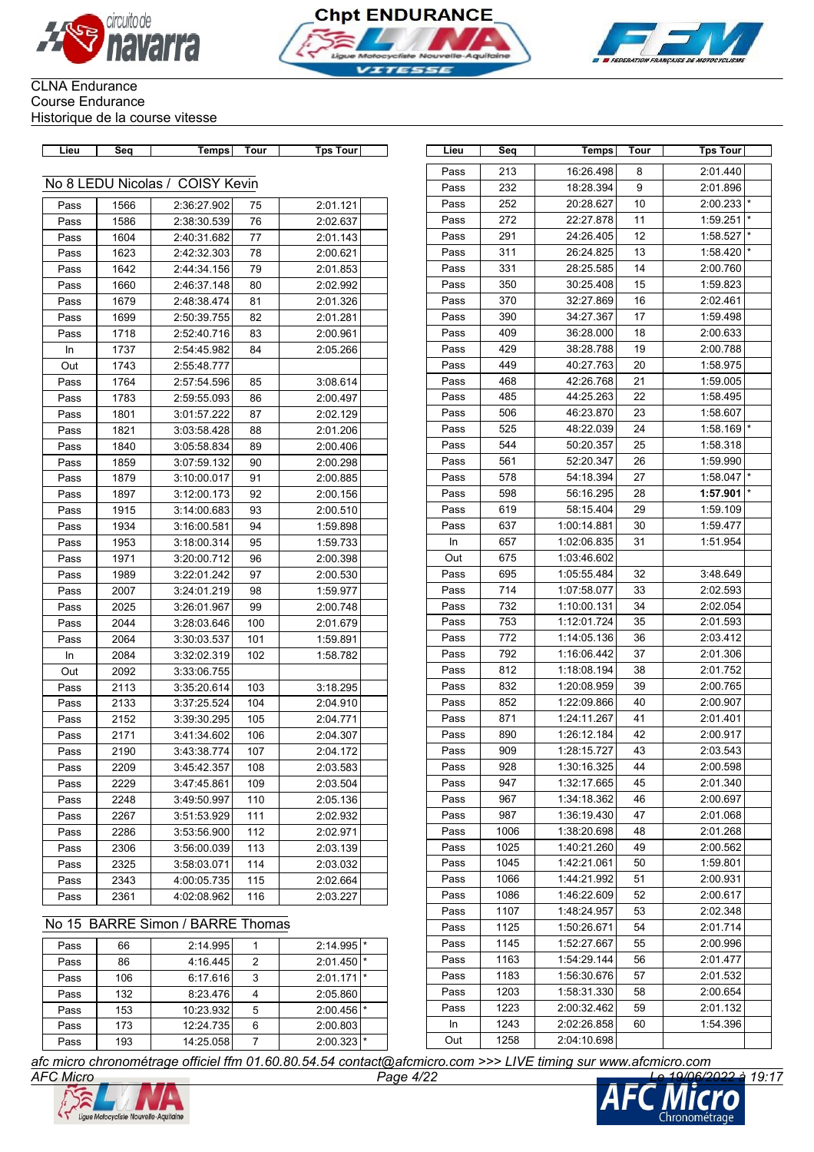





| Lieu         | Seq                 | <b>Temps</b>               | <b>Tour</b> | Tps Tour             | Lieu         | Seq        | Temps                  | Tour     | <b>Tps Tour</b>      |
|--------------|---------------------|----------------------------|-------------|----------------------|--------------|------------|------------------------|----------|----------------------|
|              |                     |                            |             |                      | Pass         | 213        | 16:26.498              | 8        | 2:01.440             |
|              | No 8 LEDU Nicolas / | <b>COISY Kevin</b>         |             |                      | Pass         | 232        | 18:28.394              | 9        | 2:01.896             |
| Pass         | 1566                | 2:36:27.902                | 75          | 2:01.121             | Pass         | 252        | 20:28.627              | 10       | 2:00.233             |
| Pass         | 1586                | 2:38:30.539                | 76          | 2:02.637             | Pass         | 272        | 22:27.878              | 11       | 1:59.251             |
| Pass         | 1604                | 2:40:31.682                | 77          | 2:01.143             | Pass         | 291        | 24:26.405              | 12       | 1:58.527             |
| Pass         | 1623                | 2:42:32.303                | 78          | 2:00.621             | Pass         | 311        | 26:24.825              | 13       | 1:58.420             |
| Pass         | 1642                | 2:44:34.156                | 79          | 2:01.853             | Pass         | 331        | 28:25.585              | 14       | 2:00.760             |
| Pass         | 1660                | 2:46:37.148                | 80          | 2:02.992             | Pass         | 350        | 30:25.408              | 15       | 1:59.823             |
| Pass         | 1679                | 2:48:38.474                | 81          | 2:01.326             | Pass         | 370        | 32:27.869              | 16       | 2:02.461             |
| Pass         | 1699                | 2:50:39.755                | 82          | 2:01.281             | Pass         | 390        | 34:27.367              | 17       | 1:59.498             |
| Pass         | 1718                | 2:52:40.716                | 83          | 2:00.961             | Pass         | 409        | 36:28.000              | 18       | 2:00.633             |
| In           | 1737                | 2:54:45.982                | 84          | 2:05.266             | Pass         | 429        | 38:28.788              | 19       | 2:00.788             |
| Out          | 1743                | 2:55:48.777                |             |                      | Pass         | 449        | 40:27.763              | 20       | 1:58.975             |
| Pass         | 1764                | 2:57:54.596                | 85          | 3:08.614             | Pass         | 468        | 42:26.768              | 21       | 1:59.005             |
| Pass         | 1783                | 2:59:55.093                | 86          | 2:00.497             | Pass         | 485        | 44:25.263              | 22       | 1:58.495             |
| Pass         | 1801                | 3:01:57.222                | 87          | 2:02.129             | Pass         | 506        | 46:23.870              | 23       | 1:58.607             |
| Pass         | 1821                | 3:03:58.428                | 88          | 2:01.206             | Pass         | 525        | 48:22.039              | 24       | 1:58.169             |
| Pass         | 1840                | 3:05:58.834                | 89          | 2:00.406             | Pass         | 544        | 50:20.357              | 25       | 1:58.318             |
| Pass         | 1859                | 3:07:59.132                | 90          | 2:00.298             | Pass         | 561<br>578 | 52:20.347<br>54:18.394 | 26<br>27 | 1:59.990             |
| Pass         | 1879                | 3:10:00.017                | 91          | 2:00.885             | Pass         |            |                        |          | 1:58.047<br>1:57.901 |
| Pass         | 1897                | 3:12:00.173                | 92          | 2:00.156             | Pass<br>Pass | 598<br>619 | 56:16.295<br>58:15.404 | 28<br>29 | 1:59.109             |
| Pass         | 1915                | 3:14:00.683                | 93<br>94    | 2:00.510             | Pass         | 637        | 1:00:14.881            | 30       | 1:59.477             |
| Pass         | 1934                | 3:16:00.581                | 95          | 1:59.898             | In           | 657        | 1:02:06.835            | 31       | 1:51.954             |
| Pass<br>Pass | 1953<br>1971        | 3:18:00.314<br>3:20:00.712 | 96          | 1:59.733<br>2:00.398 | Out          | 675        | 1:03:46.602            |          |                      |
| Pass         | 1989                | 3:22:01.242                | 97          | 2:00.530             | Pass         | 695        | 1:05:55.484            | 32       | 3:48.649             |
| Pass         | 2007                | 3:24:01.219                | 98          | 1:59.977             | Pass         | 714        | 1:07:58.077            | 33       | 2:02.593             |
| Pass         | 2025                | 3:26:01.967                | 99          | 2:00.748             | Pass         | 732        | 1:10:00.131            | 34       | 2:02.054             |
| Pass         | 2044                | 3:28:03.646                | 100         | 2:01.679             | Pass         | 753        | 1:12:01.724            | 35       | 2:01.593             |
| Pass         | 2064                | 3:30:03.537                | 101         | 1:59.891             | Pass         | 772        | 1:14:05.136            | 36       | 2:03.412             |
| In           | 2084                | 3:32:02.319                | 102         | 1:58.782             | Pass         | 792        | 1:16:06.442            | 37       | 2:01.306             |
| Out          | 2092                | 3:33:06.755                |             |                      | Pass         | 812        | 1:18:08.194            | 38       | 2:01.752             |
| Pass         | 2113                | 3:35:20.614                | 103         | 3:18.295             | Pass         | 832        | 1:20:08.959            | 39       | 2:00.765             |
| Pass         | 2133                | 3:37:25.524                | 104         | 2:04.910             | Pass         | 852        | 1:22:09.866            | 40       | 2:00.907             |
| Pass         | 2152                | 3:39:30.295                | 105         | 2:04.771             | Pass         | 871        | 1:24:11.267            | 41       | 2:01.401             |
| Pass         | 2171                | 3:41:34.602                | 106         | 2:04.307             | Pass         | 890        | 1:26:12.184            | 42       | 2:00.917             |
| Pass         | 2190                | 3:43:38.774                | 107         | 2:04.172             | Pass         | 909        | 1:28:15.727            | 43       | 2:03.543             |
| Pass         | 2209                | 3:45:42.357                | 108         | 2:03.583             | Pass         | 928        | 1:30:16.325            | 44       | 2:00.598             |
| Pass         | 2229                | 3:47:45.861                | 109         | 2:03.504             | Pass         | 947        | 1:32:17.665            | 45       | 2:01.340             |
| Pass         | 2248                | 3:49:50.997                | 110         | 2:05.136             | Pass         | 967        | 1:34:18.362            | 46       | 2:00.697             |
| Pass         | 2267                | 3:51:53.929                | 111         | 2:02.932             | Pass         | 987        | 1:36:19.430            | 47       | 2:01.068             |
| Pass         | 2286                | 3:53:56.900                | 112         | 2:02.971             | Pass         | 1006       | 1:38:20.698            | 48       | 2:01.268             |
| Pass         | 2306                | 3:56:00.039                | 113         | 2:03.139             | Pass         | 1025       | 1:40:21.260            | 49       | 2:00.562             |
| Pass         | 2325                | 3:58:03.071                | 114         | 2:03.032             | Pass         | 1045       | 1:42:21.061            | 50       | 1:59.801             |
| Pass         | 2343                | 4:00:05.735                | 115         | 2:02.664             | Pass         | 1066       | 1:44:21.992            | 51       | 2:00.931             |
| Pass         | 2361                | 4:02:08.962                | 116         | 2:03.227             | Pass         | 1086       | 1:46:22.609            | 52       | 2:00.617             |
|              |                     |                            |             |                      | Pass         | 1107       | 1.48.24957             | 53       | 2.02348              |

### Pass 232 18:28.394 9 2:01.896 Pass 252 20:28.627 10 2:00.233 Pass 272 22:27.878 11 1:59.251 Pass 291 24:26.405 12 1:58.527 Pass 311 26:24.825 13 1:58.420 Pass 331 28:25.585 14 2:00.760 Pass 350 30:25.408 15 1:59.823 Pass 370 32:27.869 16 2:02.461 Pass 390 34:27.367 17 1:59.498 Pass 409 36:28.000 18 2:00.633 Pass | 429 | 38:28.788 | 19 | 2:00.788 Pass 449 40:27.763 20 1:58.975 Pass 468 42:26.768 21 1:59.005 Pass 485 44:25.263 22 1:58.495 Pass 506 46:23.870 23 1:58.607 Pass 525 48:22.039 24 1:58.169 Pass 544 50:20.357 25 1:58.318 Pass 561 52:20.347 26 1:59.990 Pass 578 54:18.394 27 1:58.047 Pass 598 56:16.295 28 1:57.901 Pass 619 58:15.404 29 1:59.109 Pass 637 1:00:14.881 30 1:59.477 In 657 1:02:06.835 31 1:51.954 Out 675 1:03:46.602 Pass 695 1:05:55.484 32 3:48.649 Pass 714 1:07:58.077 33 2:02.593 Pass 732 1:10:00.131 34 2:02.054 Pass 753 1:12:01.724 35 2:01.593 Pass 772 1:14:05.136 36 2:03.412 Pass 792 1:16:06:442 37 2:01.306 Pass 812 1:18:08.194 38 2:01.752 Pass 832 1:20:08.959 39 2:00.765 Pass 852 1:22:09.866 40 2:00.907 Pass 871 1:24:11.267 41 2:01.401 Pass 890 1:26:12.184 42 2:00.917 Pass | 909 | 1:28:15.727 | 43 | 2:03.543 Pass 928 1:30:16.325 44 2:00.598 Pass 947 1:32:17.665 45 2:01.340 Pass 967 1:34:18.362 46 2:00.697 Pass 987 1:36:19.430 47 2:01.068 Pass 1006 1:38:20.698 48 2:01.268 Pass 1025 1:40:21.260 49 2:00.562 Pass 1045 1:42:21.061 50 1:59.801 Pass 1066 1:44:21.992 51 2:00.931 Pass 1086 1:46:22.609 52 2:00.617 Pass 1107 1:48:24.957 53 2:02.348 Pass 1125 1:50:26.671 54 2:01.714 Pass 1145 1:52:27.667 55 2:00.996 Pass 1163 1:54:29.144 56 2:01.477 Pass 1183 1:56:30.676 57 2:01.532 Pass 1203 1:58:31.330 58 2:00.654 Pass | 1223 | 2:00:32.462 59 | 2:01.132 In 1243 2:02:26.858 60 1:54.396 Out 1258 2:04:10.698

### No 15 BARRE Simon / BARRE Thomas

| Pass | 66  | 2:14.995  |   | 2:14.995                | $\star$ |
|------|-----|-----------|---|-------------------------|---------|
| Pass | 86  | 4:16.445  | 2 | 2:01.450                | I∗      |
| Pass | 106 | 6:17.616  | 3 | 2:01.171                | l *     |
| Pass | 132 | 8:23.476  |   | 2:05.860                |         |
| Pass | 153 | 10:23.932 | 5 | $2:00.456$ <sup>*</sup> |         |
| Pass | 173 | 12:24.735 | 6 | 2:00.803                |         |
| Pass | 193 | 14:25.058 |   | 2:00.323                |         |

*AFC Micro Page 4/22 Le 19/06/2022 à 19:17 afc micro chronométrage officiel ffm 01.60.80.54.54 contact@afcmicro.com >>> LIVE timing sur www.afcmicro.com*



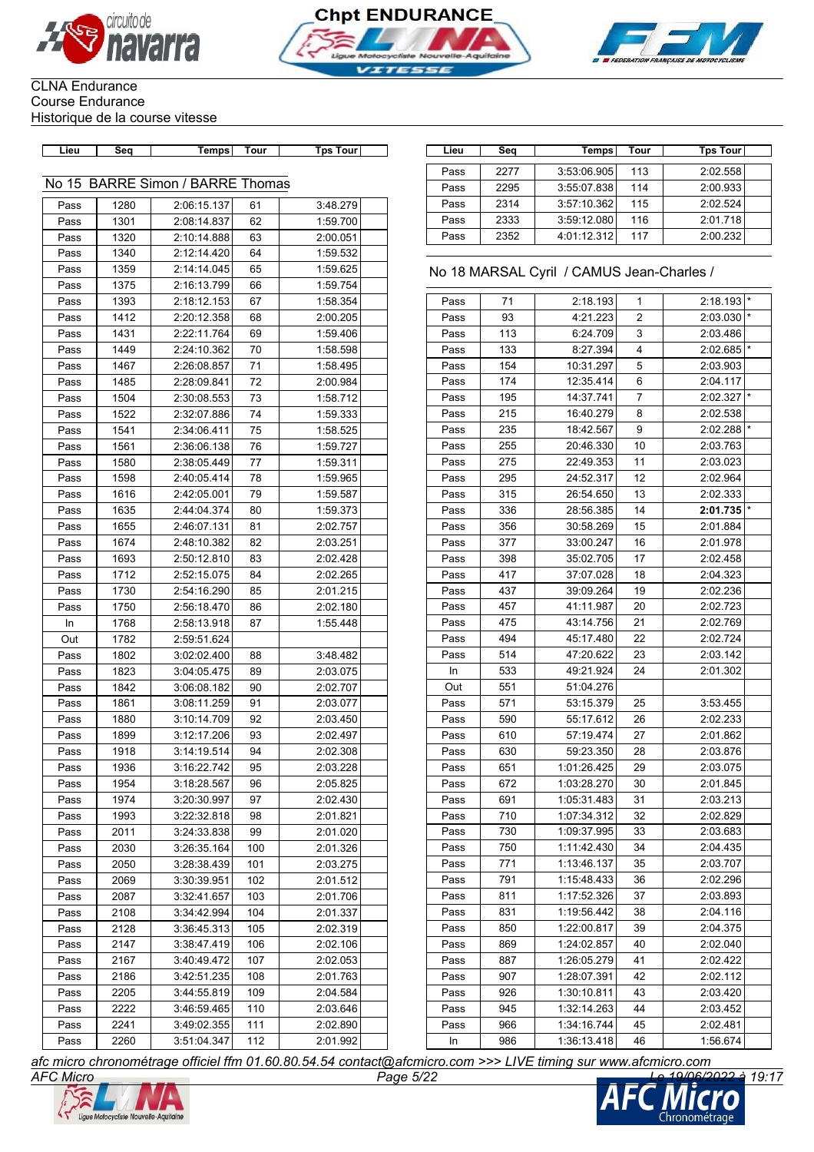





# CLNA Endurance Course Endurance

Historique de la course vitesse

| Lieu         | Seq  | Temps                            | Tour | <b>Tps Tour</b> | Lieu | Seq  | Temps                                     | Tour | <b>Tps Tour</b> |
|--------------|------|----------------------------------|------|-----------------|------|------|-------------------------------------------|------|-----------------|
|              |      |                                  |      |                 | Pass | 2277 | 3:53:06.905                               | 113  | 2:02.558        |
|              |      | No 15 BARRE Simon / BARRE Thomas |      |                 | Pass | 2295 | 3:55:07.838                               | 114  | 2:00.933        |
| Pass         | 1280 | 2:06:15.137                      | 61   | 3:48.279        | Pass | 2314 | 3:57:10.362                               | 115  | 2:02.524        |
| Pass         | 1301 | 2:08:14.837                      | 62   | 1:59.700        | Pass | 2333 | 3:59:12.080                               | 116  | 2:01.718        |
| Pass         | 1320 | 2:10:14.888                      | 63   | 2:00.051        | Pass | 2352 | 4:01:12.312                               | 117  | 2:00.232        |
| Pass         | 1340 | 2:12:14.420                      | 64   | 1:59.532        |      |      |                                           |      |                 |
| Pass         | 1359 | 2:14:14.045                      | 65   | 1:59.625        |      |      | No 18 MARSAL Cyril / CAMUS Jean-Charles / |      |                 |
| Pass         | 1375 | 2:16:13.799                      | 66   | 1:59.754        |      |      |                                           |      |                 |
| Pass         | 1393 | 2:18:12.153                      | 67   | 1:58.354        | Pass | 71   | 2:18.193                                  | 1    | 2:18.193        |
| Pass         | 1412 | 2:20:12.358                      | 68   | 2:00.205        | Pass | 93   | 4:21.223                                  | 2    | 2:03.030        |
| Pass         | 1431 | 2:22:11.764                      | 69   | 1:59.406        | Pass | 113  | 6:24.709                                  | 3    | 2:03.486        |
| Pass         | 1449 | 2:24:10.362                      | 70   | 1:58.598        | Pass | 133  | 8:27.394                                  | 4    | 2:02.685        |
| Pass         | 1467 | 2:26:08.857                      | 71   | 1:58.495        | Pass | 154  | 10:31.297                                 | 5    | 2:03.903        |
| Pass         | 1485 | 2:28:09.841                      | 72   | 2:00.984        | Pass | 174  | 12:35.414                                 | 6    | 2:04.117        |
| Pass         | 1504 | 2:30:08.553                      | 73   | 1:58.712        | Pass | 195  | 14:37.741                                 | 7    | 2:02.327        |
| Pass         | 1522 | 2:32:07.886                      | 74   | 1:59.333        | Pass | 215  | 16:40.279                                 | 8    | 2:02.538        |
| Pass         | 1541 | 2:34:06.411                      | 75   | 1:58.525        | Pass | 235  | 18:42.567                                 | 9    | 2:02.288        |
| Pass         | 1561 | 2:36:06.138                      | 76   | 1:59.727        | Pass | 255  | 20:46.330                                 | 10   | 2:03.763        |
| Pass         | 1580 | 2:38:05.449                      | 77   | 1:59.311        | Pass | 275  | 22:49.353                                 | 11   | 2:03.023        |
| Pass         | 1598 | 2:40:05.414                      | 78   | 1:59.965        | Pass | 295  | 24:52.317                                 | 12   | 2:02.964        |
| Pass         | 1616 | 2:42:05.001                      | 79   | 1:59.587        | Pass | 315  | 26:54.650                                 | 13   | 2:02.333        |
| Pass         | 1635 | 2:44:04.374                      | 80   | 1:59.373        | Pass | 336  | 28:56.385                                 | 14   | 2:01.735        |
| Pass         | 1655 | 2:46:07.131                      | 81   | 2:02.757        | Pass | 356  | 30:58.269                                 | 15   | 2:01.884        |
| Pass         | 1674 | 2:48:10.382                      | 82   | 2:03.251        | Pass | 377  | 33:00.247                                 | 16   | 2:01.978        |
| Pass         | 1693 | 2:50:12.810                      | 83   | 2:02.428        | Pass | 398  | 35:02.705                                 | 17   | 2:02.458        |
| Pass         | 1712 | 2:52:15.075                      | 84   | 2:02.265        | Pass | 417  | 37:07.028                                 | 18   | 2:04.323        |
| Pass         | 1730 | 2:54:16.290                      | 85   | 2:01.215        | Pass | 437  | 39:09.264                                 | 19   | 2:02.236        |
| Pass         | 1750 | 2:56:18.470                      | 86   | 2:02.180        | Pass | 457  | 41:11.987                                 | 20   | 2:02.723        |
| In           | 1768 | 2:58:13.918                      | 87   | 1:55.448        | Pass | 475  | 43:14.756                                 | 21   | 2:02.769        |
| Out          | 1782 | 2:59:51.624                      |      |                 | Pass | 494  | 45:17.480                                 | 22   | 2:02.724        |
| Pass         | 1802 | 3:02:02.400                      | 88   | 3:48.482        | Pass | 514  | 47:20.622                                 | 23   | 2:03.142        |
| Pass         | 1823 | 3:04:05.475                      | 89   | 2:03.075        | In   | 533  | 49:21.924                                 | 24   | 2:01.302        |
| Pass         | 1842 | 3:06:08.182                      | 90   | 2:02.707        | Out  | 551  | 51:04.276                                 |      |                 |
| Pass         | 1861 | 3:08:11.259                      | 91   | 2:03.077        | Pass | 571  | 53:15.379                                 | 25   | 3:53.455        |
| Pass         | 1880 | 3:10:14.709                      | 92   | 2:03.450        | Pass | 590  | 55:17.612                                 | 26   | 2:02.233        |
| Pass         | 1899 | 3:12:17.206                      | 93   | 2:02.497        | Pass | 610  | 57:19.474                                 | 27   | 2:01.862        |
| Pass         | 1918 | 3:14:19.514                      | 94   | 2:02.308        | Pass | 630  | 59:23.350                                 | 28   | 2:03.876        |
| Pass         | 1936 | 3:16:22.742                      | 95   | 2:03.228        | Pass | 651  | 1:01:26.425                               | 29   | 2:03.075        |
| Pass         | 1954 | 3:18:28.567                      | 96   | 2:05.825        | Pass | 672  | 1:03:28.270                               | 30   | 2:01.845        |
| Pass         | 1974 | 3:20:30.997                      | 97   | 2:02.430        | Pass | 691  | 1:05:31.483                               | 31   | 2:03.213        |
| Pass         | 1993 | 3:22:32.818                      | 98   | 2:01.821        | Pass | 710  | 1:07:34.312                               | 32   | 2:02.829        |
| Pass         | 2011 | 3:24:33.838                      | 99   | 2:01.020        | Pass | 730  | 1:09:37.995                               | 33   | 2:03.683        |
| Pass         | 2030 | 3:26:35.164                      | 100  | 2:01.326        | Pass | 750  | 1:11:42.430                               | 34   | 2:04.435        |
| Pass         | 2050 | 3:28:38.439                      | 101  | 2:03.275        | Pass | 771  | 1:13:46.137                               | 35   | 2:03.707        |
| Pass         | 2069 | 3:30:39.951                      | 102  | 2:01.512        | Pass | 791  | 1:15:48.433                               | 36   | 2:02.296        |
| Pass         | 2087 | 3:32:41.657                      | 103  | 2:01.706        | Pass | 811  | 1:17:52.326                               | 37   | 2:03.893        |
| Pass         | 2108 | 3:34:42.994                      | 104  | 2:01.337        | Pass | 831  | 1:19:56.442                               | 38   | 2:04.116        |
|              | 2128 |                                  | 105  | 2:02.319        | Pass | 850  | 1:22:00.817                               | 39   | 2:04.375        |
| Pass<br>Pass | 2147 | 3:36:45.313<br>3:38:47.419       | 106  | 2:02.106        | Pass | 869  | 1:24:02.857                               | 40   | 2:02.040        |
|              | 2167 | 3:40:49.472                      | 107  | 2:02.053        | Pass | 887  |                                           | 41   | 2:02.422        |
| Pass         |      |                                  |      |                 | Pass | 907  | 1:26:05.279                               | 42   |                 |
| Pass         | 2186 | 3:42:51.235                      | 108  | 2:01.763        | Pass | 926  | 1:28:07.391                               |      | 2:02.112        |
| Pass         | 2205 | 3:44:55.819                      | 109  | 2:04.584        |      |      | 1:30:10.811                               | 43   | 2:03.420        |
| Pass         | 2222 | 3:46:59.465                      | 110  | 2:03.646        | Pass | 945  | 1:32:14.263                               | 44   | 2:03.452        |
| Pass         | 2241 | 3:49:02.355                      | 111  | 2:02.890        | Pass | 966  | 1:34:16.744                               | 45   | 2:02.481        |
| Pass         | 2260 | 3:51:04.347                      | 112  | 2:01.992        | In   | 986  | 1:36:13.418                               | 46   | 1:56.674        |

| Lieu | Seq  | Temps       | Tour | Tps Tour |
|------|------|-------------|------|----------|
| Pass | 2277 | 3:53:06.905 | 113  | 2:02.558 |
| Pass | 2295 | 3:55:07.838 | 114  | 2:00.933 |
| Pass | 2314 | 3:57:10.362 | 115  | 2:02.524 |
| Pass | 2333 | 3:59:12.080 | 116  | 2:01.718 |
|      | 2352 | 4:01:12.312 | 117  |          |
| Pass |      |             |      | 2:00.232 |

### No 18 MARSAL Cyril / CAMUS Jean-Charles /

| Pass | 71  | 2:18.193    | 1              | 2:18.193 | $\star$ |
|------|-----|-------------|----------------|----------|---------|
| Pass | 93  | 4:21.223    | 2              | 2:03.030 | $\star$ |
| Pass | 113 | 6:24.709    | 3              | 2:03.486 |         |
| Pass | 133 | 8:27.394    | 4              | 2:02.685 | $\star$ |
| Pass | 154 | 10:31.297   | 5              | 2:03.903 |         |
| Pass | 174 | 12:35.414   | 6              | 2:04.117 |         |
| Pass | 195 | 14:37.741   | $\overline{7}$ | 2:02.327 | $\star$ |
| Pass | 215 | 16:40.279   | 8              | 2:02.538 |         |
| Pass | 235 | 18:42.567   | 9              | 2:02.288 | $\star$ |
| Pass | 255 | 20:46.330   | 10             | 2:03.763 |         |
| Pass | 275 | 22:49.353   | 11             | 2:03.023 |         |
| Pass | 295 | 24:52.317   | 12             | 2:02.964 |         |
| Pass | 315 | 26:54.650   | 13             | 2:02.333 |         |
| Pass | 336 | 28:56.385   | 14             | 2:01.735 | $\star$ |
| Pass | 356 | 30:58.269   | 15             | 2:01.884 |         |
| Pass | 377 | 33:00.247   | 16             | 2:01.978 |         |
| Pass | 398 | 35:02.705   | 17             | 2:02.458 |         |
| Pass | 417 | 37:07.028   | 18             | 2:04.323 |         |
| Pass | 437 | 39:09.264   | 19             | 2:02.236 |         |
| Pass | 457 | 41:11.987   | 20             | 2:02.723 |         |
| Pass | 475 | 43:14.756   | 21             | 2:02.769 |         |
| Pass | 494 | 45:17.480   | 22             | 2:02.724 |         |
| Pass | 514 | 47:20.622   | 23             | 2:03.142 |         |
| In   | 533 | 49:21.924   | 24             | 2:01.302 |         |
| Out  | 551 | 51:04.276   |                |          |         |
| Pass | 571 | 53:15.379   | 25             | 3:53.455 |         |
| Pass | 590 | 55:17.612   | 26             | 2:02.233 |         |
| Pass | 610 | 57:19.474   | 27             | 2:01.862 |         |
| Pass | 630 | 59:23.350   | 28             | 2:03.876 |         |
| Pass | 651 | 1:01:26.425 | 29             | 2:03.075 |         |
| Pass | 672 | 1:03:28.270 | 30             | 2:01.845 |         |
| Pass | 691 | 1:05:31.483 | 31             | 2:03.213 |         |
| Pass | 710 | 1:07:34.312 | 32             | 2:02.829 |         |
| Pass | 730 | 1:09:37.995 | 33             | 2:03.683 |         |
| Pass | 750 | 1:11:42.430 | 34             | 2:04.435 |         |
| Pass | 771 | 1:13:46.137 | 35             | 2:03.707 |         |
| Pass | 791 | 1:15:48.433 | 36             | 2:02.296 |         |
| Pass | 811 | 1:17:52.326 | 37             | 2:03.893 |         |
| Pass | 831 | 1:19:56.442 | 38             | 2:04.116 |         |
| Pass | 850 | 1:22:00.817 | 39             | 2:04.375 |         |
| Pass | 869 | 1:24:02.857 | 40             | 2:02.040 |         |
| Pass | 887 | 1:26:05.279 | 41             | 2:02.422 |         |
| Pass | 907 | 1:28:07.391 | 42             | 2:02.112 |         |
| Pass | 926 | 1:30:10.811 | 43             | 2:03.420 |         |
| Pass | 945 | 1:32:14.263 | 44             | 2:03.452 |         |
| Pass | 966 | 1:34:16.744 | 45             | 2:02.481 |         |
| In   | 986 | 1:36:13.418 | 46             | 1:56.674 |         |



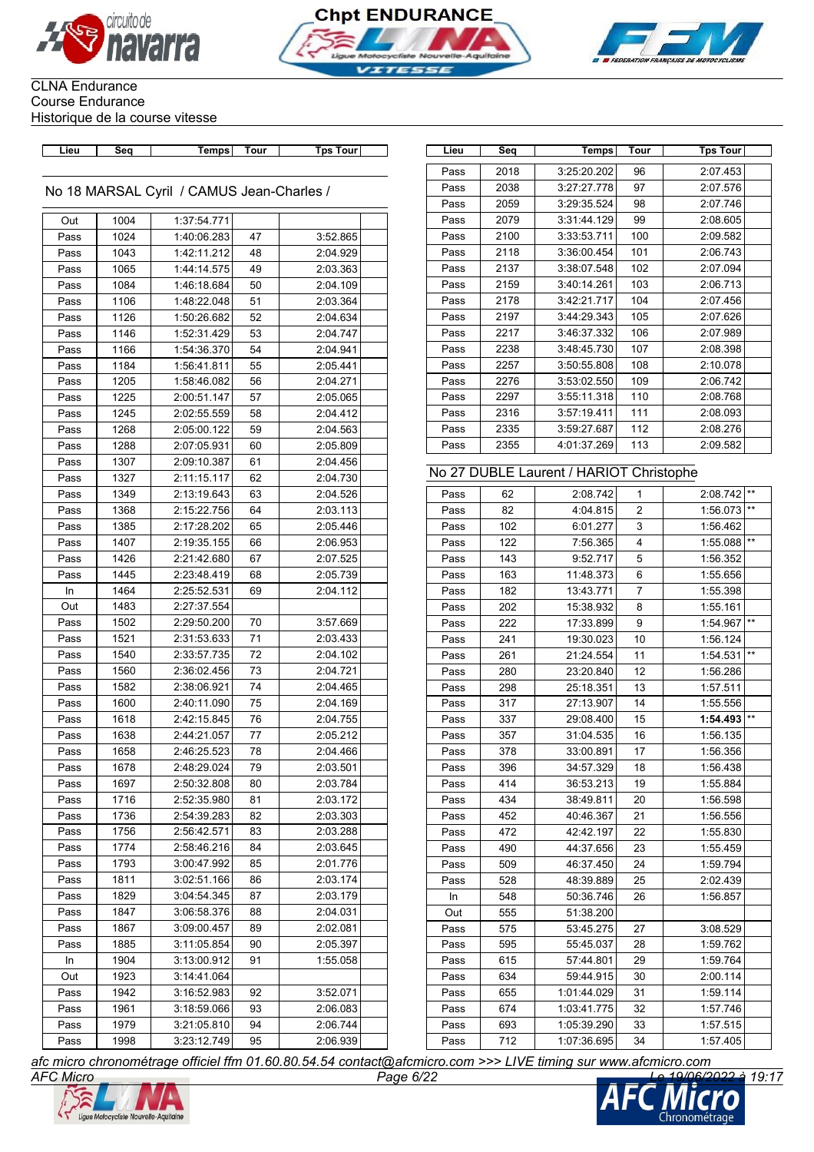





**Lieu Seq Temps Tour Tps Tour Lieu Seq Temps Tour Tps Tour**

No 18 MARSAL Cyril / CAMUS Jean-Charles /

| Out  | 1004 | 1:37:54.771 |    |          |  |
|------|------|-------------|----|----------|--|
| Pass | 1024 | 1:40:06.283 | 47 | 3:52.865 |  |
| Pass | 1043 | 1:42:11.212 | 48 | 2:04.929 |  |
| Pass | 1065 | 1:44:14.575 | 49 | 2:03.363 |  |
| Pass | 1084 | 1:46:18.684 | 50 | 2:04.109 |  |
| Pass | 1106 | 1:48:22.048 | 51 | 2:03.364 |  |
| Pass | 1126 | 1:50:26.682 | 52 | 2:04.634 |  |
| Pass | 1146 | 1:52:31.429 | 53 | 2:04.747 |  |
| Pass | 1166 | 1:54:36.370 | 54 | 2:04.941 |  |
| Pass | 1184 | 1:56:41.811 | 55 | 2:05.441 |  |
| Pass | 1205 | 1:58:46.082 | 56 | 2:04.271 |  |
| Pass | 1225 | 2:00:51.147 | 57 | 2:05.065 |  |
| Pass | 1245 | 2:02:55.559 | 58 | 2:04.412 |  |
| Pass | 1268 | 2:05:00.122 | 59 | 2:04.563 |  |
| Pass | 1288 | 2:07:05.931 | 60 | 2:05.809 |  |
| Pass | 1307 | 2:09:10.387 | 61 | 2:04.456 |  |
| Pass | 1327 | 2:11:15.117 | 62 | 2:04.730 |  |
| Pass | 1349 | 2:13:19.643 | 63 | 2:04.526 |  |
| Pass | 1368 | 2:15:22.756 | 64 | 2:03.113 |  |
| Pass | 1385 | 2:17:28.202 | 65 | 2:05.446 |  |
| Pass | 1407 | 2:19:35.155 | 66 | 2:06.953 |  |
| Pass | 1426 | 2:21:42.680 | 67 | 2:07.525 |  |
| Pass | 1445 | 2:23:48.419 | 68 | 2:05.739 |  |
| In   | 1464 | 2:25:52.531 | 69 | 2:04.112 |  |
| Out  | 1483 | 2:27:37.554 |    |          |  |
| Pass | 1502 | 2:29:50.200 | 70 | 3:57.669 |  |
| Pass | 1521 | 2:31:53.633 | 71 | 2:03.433 |  |
| Pass | 1540 | 2:33:57.735 | 72 | 2:04.102 |  |
| Pass | 1560 | 2:36:02.456 | 73 | 2:04.721 |  |
| Pass | 1582 | 2:38:06.921 | 74 | 2:04.465 |  |
| Pass | 1600 | 2:40:11.090 | 75 | 2:04.169 |  |
| Pass | 1618 | 2:42:15.845 | 76 | 2:04.755 |  |
| Pass | 1638 | 2:44:21.057 | 77 | 2:05.212 |  |
| Pass | 1658 | 2:46:25.523 | 78 | 2:04.466 |  |
| Pass | 1678 | 2:48:29.024 | 79 | 2:03.501 |  |
| Pass | 1697 | 2:50:32.808 | 80 | 2:03.784 |  |
| Pass | 1716 | 2:52:35.980 | 81 | 2:03.172 |  |
| Pass | 1736 | 2:54:39.283 | 82 | 2:03.303 |  |
| Pass | 1756 | 2:56:42.571 | 83 | 2:03.288 |  |
| Pass | 1774 | 2:58:46.216 | 84 | 2:03.645 |  |
| Pass | 1793 | 3:00:47.992 | 85 | 2:01.776 |  |
| Pass | 1811 | 3:02:51.166 | 86 | 2:03.174 |  |
| Pass | 1829 | 3:04:54.345 | 87 | 2:03.179 |  |
| Pass | 1847 | 3:06:58.376 | 88 | 2:04.031 |  |
| Pass | 1867 | 3:09:00.457 | 89 | 2:02.081 |  |
| Pass | 1885 | 3:11:05.854 | 90 | 2:05.397 |  |
| In   | 1904 | 3:13:00.912 | 91 | 1:55.058 |  |
| Out  | 1923 | 3:14:41.064 |    |          |  |
| Pass | 1942 | 3:16:52.983 | 92 | 3:52.071 |  |
| Pass | 1961 | 3:18:59.066 | 93 | 2:06.083 |  |
| Pass | 1979 | 3:21:05.810 | 94 | 2:06.744 |  |
| Pass | 1998 | 3:23:12.749 | 95 | 2:06.939 |  |

| Lieu | Seq  | <b>Temps</b>                            | Tour           | <b>Tps Tour</b> |              |
|------|------|-----------------------------------------|----------------|-----------------|--------------|
| Pass | 2018 | 3:25:20.202                             | 96             | 2:07.453        |              |
| Pass | 2038 | 3:27:27.778                             | 97             | 2:07.576        |              |
| Pass | 2059 | 3:29:35.524                             | 98             | 2:07.746        |              |
| Pass | 2079 | 3:31:44.129                             | 99             | 2:08.605        |              |
| Pass | 2100 | 3:33:53.711                             | 100            | 2:09.582        |              |
| Pass | 2118 | 3:36:00.454                             | 101            | 2:06.743        |              |
| Pass | 2137 | 3:38:07.548                             | 102            | 2:07.094        |              |
| Pass | 2159 | 3:40:14.261                             | 103            | 2:06.713        |              |
| Pass | 2178 | 3:42:21.717                             | 104            | 2:07.456        |              |
| Pass | 2197 | 3:44:29.343                             | 105            | 2:07.626        |              |
| Pass | 2217 | 3:46:37.332                             | 106            | 2:07.989        |              |
| Pass | 2238 | 3:48:45.730                             | 107            | 2:08.398        |              |
| Pass | 2257 | 3:50:55.808                             | 108            | 2:10.078        |              |
| Pass | 2276 | 3:53:02.550                             | 109            | 2:06.742        |              |
| Pass | 2297 | 3:55:11.318                             | 110            | 2:08.768        |              |
| Pass | 2316 | 3:57:19.411                             | 111            | 2:08.093        |              |
| Pass | 2335 | 3:59:27.687                             | 112            | 2:08.276        |              |
| Pass | 2355 | 4:01:37.269                             | 113            | 2:09.582        |              |
|      |      |                                         |                |                 |              |
|      |      | No 27 DUBLE Laurent / HARIOT Christophe |                |                 |              |
| Pass | 62   | 2:08.742                                | 1              | 2:08.742        | $\star\star$ |
| Pass | 82   | 4:04.815                                | $\overline{c}$ | 1:56.073        | $\star\star$ |
| Pass | 102  | 6:01.277                                | 3              | 1:56.462        |              |
| Pass | 122  | 7:56.365                                | 4              | 1:55.088        | $***$        |
| Pass | 143  | 9:52.717                                | 5              | 1:56.352        |              |
| Pass | 163  | 11:48.373                               | 6              | 1:55.656        |              |
| Pass | 182  | 13:43.771                               | 7              | 1:55.398        |              |
| Pass | 202  | 15:38.932                               | 8              | 1:55.161        |              |
| Pass | 222  | 17:33.899                               | 9              | 1:54.967        | $\star\star$ |
| Pass | 241  | 19:30.023                               | 10             | 1:56.124        |              |
| Pass | 261  | 21:24.554                               | 11             | 1:54.531        | $***$        |
| Pass | 280  | 23:20.840                               | 12             | 1:56.286        |              |
| Pass | 298  | 25:18.351                               | 13             | 1:57.511        |              |
| Pass | 317  | 27:13.907                               | 14             | 1:55.556        |              |
| Pass | 337  | 29:08.400                               | 15             | 1:54.493        | $\star\star$ |
| Pass | 357  | 31:04.535                               | 16             | 1:56.135        |              |
| Pass | 378  | 33:00.891                               | 17             | 1:56.356        |              |
| Pass | 396  | 34:57.329                               | 18             | 1:56.438        |              |
| Pass | 414  | 36:53.213                               | 19             | 1:55.884        |              |
| Pass | 434  | 38:49.811                               | 20             | 1:56.598        |              |
| Pass | 452  | 40:46.367                               | 21             | 1:56.556        |              |
| Pass | 472  | 42:42.197                               | 22             | 1:55.830        |              |
| Pass | 490  | 44:37.656                               | 23             | 1:55.459        |              |
| Pass | 509  | 46:37.450                               | 24             | 1:59.794        |              |
| Pass | 528  | 48:39.889                               | 25             | 2:02.439        |              |
| In   | 548  | 50:36.746                               | 26             | 1:56.857        |              |
| Out  | 555  | 51:38.200                               |                |                 |              |
| Pass | 575  | 53:45.275                               | 27             | 3:08.529        |              |
| Pass | 595  | 55:45.037                               | 28             | 1:59.762        |              |
| Pass | 615  | 57:44.801                               | 29             | 1:59.764        |              |
| Pass | 634  | 59:44.915                               | 30             | 2:00.114        |              |
| Pass | 655  | 1:01:44.029                             | 31             | 1:59.114        |              |
| Pass | 674  | 1:03:41.775                             | 32             | 1:57.746        |              |
| Pass | 693  | 1:05:39.290                             | 33             | 1:57.515        |              |
| Pass | 712  | 1:07:36.695                             | 34             | 1:57.405        |              |

*AFC Micro Page 6/22 Le 19/06/2022 à 19:17 afc micro chronométrage officiel ffm 01.60.80.54.54 contact@afcmicro.com >>> LIVE timing sur www.afcmicro.com*<br>Page 6/22



 $\sqrt{ }$ 

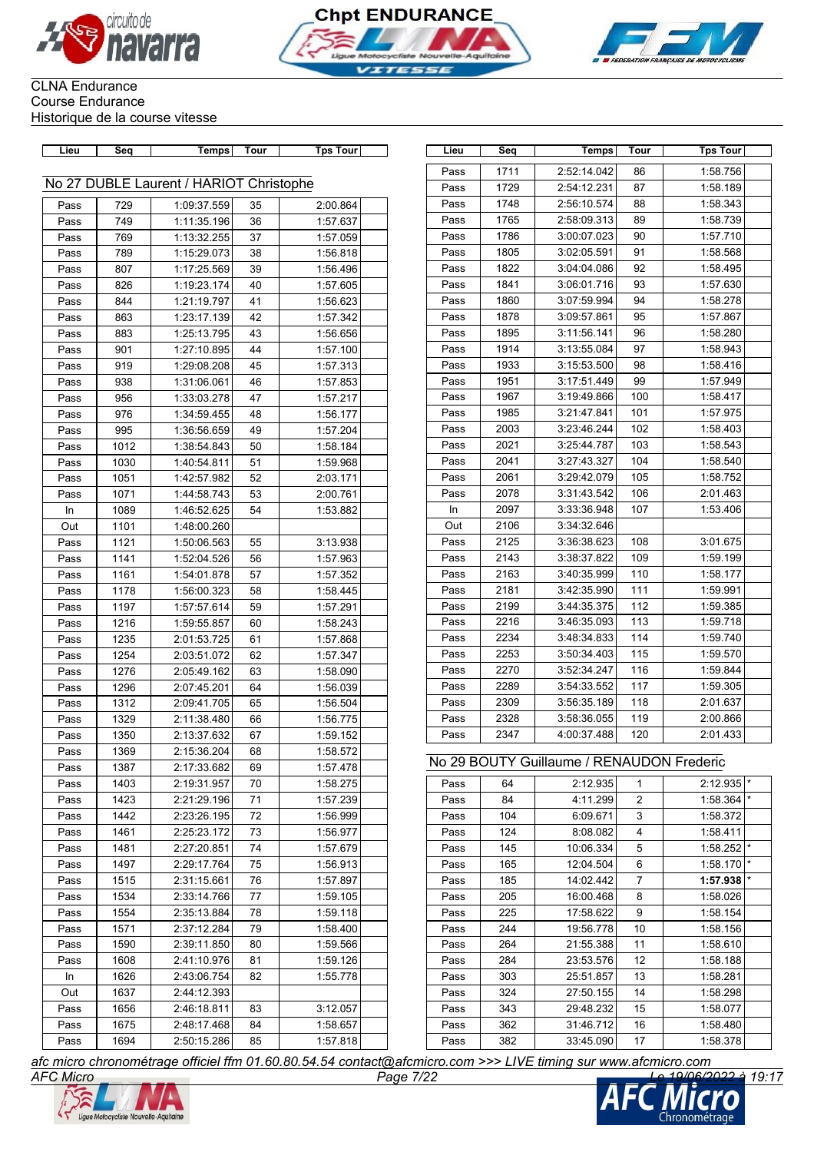





| Lieu | Seq  | Temps                                   | Tour | <b>Tps Tour</b> | Lieu | Seq  | Temps                                     | Tour           | <b>Tps Tour</b> |
|------|------|-----------------------------------------|------|-----------------|------|------|-------------------------------------------|----------------|-----------------|
|      |      |                                         |      |                 | Pass | 1711 | 2:52:14.042                               | 86             | 1:58.756        |
|      |      | No 27 DUBLE Laurent / HARIOT Christophe |      |                 | Pass | 1729 | 2:54:12.231                               | 87             | 1:58.189        |
| Pass | 729  | 1:09:37.559                             | 35   | 2:00.864        | Pass | 1748 | 2:56:10.574                               | 88             | 1:58.343        |
| Pass | 749  | 1:11:35.196                             | 36   | 1:57.637        | Pass | 1765 | 2:58:09.313                               | 89             | 1:58.739        |
| Pass | 769  | 1:13:32.255                             | 37   | 1:57.059        | Pass | 1786 | 3:00:07.023                               | 90             | 1:57.710        |
| Pass | 789  | 1:15:29.073                             | 38   | 1:56.818        | Pass | 1805 | 3:02:05.591                               | 91             | 1:58.568        |
| Pass | 807  | 1:17:25.569                             | 39   | 1:56.496        | Pass | 1822 | 3:04:04.086                               | 92             | 1:58.495        |
| Pass | 826  | 1:19:23.174                             | 40   | 1:57.605        | Pass | 1841 | 3:06:01.716                               | 93             | 1:57.630        |
| Pass | 844  | 1:21:19.797                             | 41   | 1:56.623        | Pass | 1860 | 3:07:59.994                               | 94             | 1:58.278        |
| Pass | 863  | 1:23:17.139                             | 42   | 1:57.342        | Pass | 1878 | 3:09:57.861                               | 95             | 1:57.867        |
| Pass | 883  | 1:25:13.795                             | 43   | 1:56.656        | Pass | 1895 | 3:11:56.141                               | 96             | 1:58.280        |
| Pass | 901  | 1:27:10.895                             | 44   | 1:57.100        | Pass | 1914 | 3:13:55.084                               | 97             | 1:58.943        |
| Pass | 919  | 1:29:08.208                             | 45   | 1:57.313        | Pass | 1933 | 3:15:53.500                               | 98             | 1:58.416        |
| Pass | 938  | 1:31:06.061                             | 46   | 1:57.853        | Pass | 1951 | 3:17:51.449                               | 99             | 1:57.949        |
| Pass | 956  | 1:33:03.278                             | 47   | 1:57.217        | Pass | 1967 | 3:19:49.866                               | 100            | 1:58.417        |
| Pass | 976  | 1:34:59.455                             | 48   | 1:56.177        | Pass | 1985 | 3:21:47.841                               | 101            | 1:57.975        |
| Pass | 995  | 1:36:56.659                             | 49   | 1:57.204        | Pass | 2003 | 3:23:46.244                               | 102            | 1:58.403        |
| Pass | 1012 | 1:38:54.843                             | 50   | 1:58.184        | Pass | 2021 | 3:25:44.787                               | 103            | 1:58.543        |
| Pass | 1030 | 1:40:54.811                             | 51   | 1:59.968        | Pass | 2041 | 3:27:43.327                               | 104            | 1:58.540        |
| Pass | 1051 | 1:42:57.982                             | 52   | 2:03.171        | Pass | 2061 | 3:29:42.079                               | 105            | 1:58.752        |
| Pass | 1071 | 1:44:58.743                             | 53   | 2:00.761        | Pass | 2078 | 3:31:43.542                               | 106            | 2:01.463        |
| In   | 1089 | 1:46:52.625                             | 54   | 1:53.882        | In   | 2097 | 3:33:36.948                               | 107            | 1:53.406        |
| Out  | 1101 | 1:48:00.260                             |      |                 | Out  | 2106 | 3:34:32.646                               |                |                 |
| Pass | 1121 | 1:50:06.563                             | 55   | 3:13.938        | Pass | 2125 | 3:36:38.623                               | 108            | 3:01.675        |
| Pass | 1141 | 1:52:04.526                             | 56   | 1:57.963        | Pass | 2143 | 3:38:37.822                               | 109            | 1:59.199        |
| Pass | 1161 | 1:54:01.878                             | 57   | 1:57.352        | Pass | 2163 | 3:40:35.999                               | 110            | 1:58.177        |
| Pass | 1178 | 1:56:00.323                             | 58   | 1:58.445        | Pass | 2181 | 3:42:35.990                               | 111            | 1:59.991        |
| Pass | 1197 | 1:57:57.614                             | 59   | 1:57.291        | Pass | 2199 | 3:44:35.375                               | 112            | 1:59.385        |
| Pass | 1216 | 1:59:55.857                             | 60   | 1:58.243        | Pass | 2216 | 3:46:35.093                               | 113            | 1:59.718        |
| Pass | 1235 | 2:01:53.725                             | 61   | 1:57.868        | Pass | 2234 | 3:48:34.833                               | 114            | 1:59.740        |
| Pass | 1254 | 2:03:51.072                             | 62   | 1:57.347        | Pass | 2253 | 3:50:34.403                               | 115            | 1:59.570        |
| Pass | 1276 | 2:05:49.162                             | 63   | 1:58.090        | Pass | 2270 | 3:52:34.247                               | 116            | 1:59.844        |
| Pass | 1296 | 2:07:45.201                             | 64   | 1:56.039        | Pass | 2289 | 3:54:33.552                               | 117            | 1:59.305        |
| Pass | 1312 | 2:09:41.705                             | 65   | 1:56.504        | Pass | 2309 | 3:56:35.189                               | 118            | 2:01.637        |
| Pass | 1329 | 2:11:38.480                             | 66   | 1:56.775        | Pass | 2328 | 3:58:36.055                               | 119            | 2:00.866        |
| Pass | 1350 | 2:13:37.632                             | 67   | 1:59.152        | Pass | 2347 | 4:00:37.488                               | 120            | 2:01.433        |
| Pass | 1369 | 2:15:36.204                             | 68   | 1:58.572        |      |      |                                           |                |                 |
| Pass | 1387 | 2:17:33.682                             | 69   | 1:57.478        |      |      | No 29 BOUTY Guillaume / RENAUDON Frederic |                |                 |
| Pass | 1403 | 2:19:31.957                             | 70   | 1:58.275        | Pass | 64   | 2:12.935                                  | 1              | 2:12.935        |
| Pass | 1423 | 2:21:29.196                             | 71   | 1:57.239        | Pass | 84   | 4:11.299                                  | $\overline{2}$ | 1:58.364        |
| Pass | 1442 | 2:23:26.195                             | 72   | 1:56.999        | Pass | 104  | 6:09.671                                  | 3              | 1:58.372        |
| Pass | 1461 | 2:25:23.172                             | 73   | 1:56.977        | Pass | 124  | 8:08.082                                  | 4              | 1:58.411        |
| Pass | 1481 | 2:27:20.851                             | 74   | 1:57.679        | Pass | 145  | 10:06.334                                 | 5              | 1:58.252        |
| Pass | 1497 | 2:29:17.764                             | 75   | 1:56.913        | Pass | 165  | 12:04.504                                 | 6              | 1:58.170        |
| Pass | 1515 | 2:31:15.661                             | 76   | 1:57.897        | Pass | 185  | 14:02.442                                 | $\overline{7}$ | 1:57.938        |
| Pass | 1534 | 2:33:14.766                             | 77   | 1:59.105        | Pass | 205  | 16:00.468                                 | 8              | 1:58.026        |
| Pass | 1554 | 2:35:13.884                             | 78   | 1:59.118        | Pass | 225  | 17:58.622                                 | 9              | 1:58.154        |
| Pass | 1571 | 2:37:12.284                             | 79   | 1:58.400        | Pass | 244  | 19:56.778                                 | 10             | 1:58.156        |
| Pass | 1590 | 2:39:11.850                             | 80   | 1:59.566        | Pass | 264  | 21:55.388                                 | 11             | 1:58.610        |
| Pass | 1608 | 2:41:10.976                             | 81   | 1:59.126        | Pass | 284  | 23:53.576                                 | 12             | 1:58.188        |
| In   | 1626 | 2:43:06.754                             | 82   | 1:55.778        | Pass | 303  | 25:51.857                                 | 13             | 1:58.281        |
| Out  | 1637 | 2:44:12.393                             |      |                 | Pass | 324  | 27:50.155                                 | 14             | 1:58.298        |
| Pass | 1656 | 2:46:18.811                             | 83   | 3:12.057        | Pass | 343  | 29:48.232                                 | 15             | 1:58.077        |
| Pass | 1675 | 2:48:17.468                             | 84   | 1:58.657        | Pass | 362  | 31:46.712                                 | 16             | 1:58.480        |
| Pass | 1694 | 2:50:15.286                             | 85   | 1:57.818        | Pass | 382  | 33:45.090                                 | 17             | 1:58.378        |
|      |      |                                         |      |                 |      |      |                                           |                |                 |

| Lieu | Seq  | Temps                                     | Tour | <b>Tps Tour</b> |
|------|------|-------------------------------------------|------|-----------------|
| Pass | 1711 | 2:52:14.042                               | 86   | 1:58.756        |
| Pass | 1729 | 2:54:12.231                               | 87   | 1:58.189        |
| Pass | 1748 | 2:56:10.574                               | 88   | 1:58.343        |
| Pass | 1765 | 2:58:09.313                               | 89   | 1:58.739        |
| Pass | 1786 | 3:00:07.023                               | 90   | 1:57.710        |
| Pass | 1805 | 3:02:05.591                               | 91   | 1:58.568        |
| Pass | 1822 | 3:04:04.086                               | 92   | 1:58.495        |
| Pass | 1841 | 3:06:01.716                               | 93   | 1:57.630        |
| Pass | 1860 | 3:07:59.994                               | 94   | 1:58.278        |
| Pass | 1878 | 3:09:57.861                               | 95   | 1:57.867        |
| Pass | 1895 | 3:11:56.141                               | 96   | 1:58.280        |
| Pass | 1914 | 3:13:55.084                               | 97   | 1:58.943        |
| Pass | 1933 | 3:15:53.500                               | 98   | 1:58.416        |
| Pass | 1951 | 3:17:51.449                               | 99   | 1:57.949        |
| Pass | 1967 | 3:19:49.866                               | 100  | 1:58.417        |
| Pass | 1985 | 3:21:47.841                               | 101  | 1:57.975        |
| Pass | 2003 | 3:23:46.244                               | 102  | 1:58.403        |
| Pass | 2021 | 3:25:44.787                               | 103  | 1:58.543        |
| Pass | 2041 | 3:27:43.327                               | 104  | 1:58.540        |
| Pass | 2061 | 3:29:42.079                               | 105  | 1:58.752        |
| Pass | 2078 | 3:31:43.542                               | 106  | 2:01.463        |
| In   | 2097 | 3:33:36.948                               | 107  | 1:53.406        |
| Out  | 2106 | 3:34:32.646                               |      |                 |
| Pass | 2125 | 3:36:38.623                               | 108  | 3:01.675        |
| Pass | 2143 | 3:38:37.822                               | 109  | 1:59.199        |
| Pass | 2163 | 3:40:35.999                               | 110  | 1:58.177        |
| Pass | 2181 | 3:42:35.990                               | 111  | 1:59.991        |
| Pass | 2199 | 3:44:35.375                               | 112  | 1:59.385        |
| Pass | 2216 | 3:46:35.093                               | 113  | 1:59.718        |
| Pass | 2234 | 3:48:34.833                               | 114  | 1:59.740        |
| Pass | 2253 | 3:50:34.403                               | 115  | 1:59.570        |
| Pass | 2270 | 3:52:34.247                               | 116  | 1:59.844        |
| Pass | 2289 | 3:54:33.552                               | 117  | 1:59.305        |
| Pass | 2309 | 3:56:35.189                               | 118  | 2:01.637        |
| Pass | 2328 | 3:58:36.055                               | 119  | 2:00.866        |
| Pass | 2347 | 4:00:37.488                               | 120  | 2:01.433        |
|      |      | No 29 BOUTY Guillaume / RENAUDON Frederic |      |                 |
| Pass | 64   | 2:12.935                                  | 1    | 2:12.935        |
|      |      |                                           |      |                 |

| Pass | 64  | 2:12.935  | 1                 | 2:12.935 | $\star$ |
|------|-----|-----------|-------------------|----------|---------|
| Pass | 84  | 4:11.299  | $\overline{2}$    | 1:58.364 | $\star$ |
| Pass | 104 | 6:09.671  | 3                 | 1:58.372 |         |
| Pass | 124 | 8:08.082  | 4                 | 1:58.411 |         |
| Pass | 145 | 10:06.334 | 5                 | 1:58.252 | $\star$ |
| Pass | 165 | 12:04.504 | 6                 | 1:58.170 | $\star$ |
| Pass | 185 | 14:02.442 | $\overline{7}$    | 1:57.938 | $\star$ |
| Pass | 205 | 16:00.468 | 8                 | 1:58.026 |         |
| Pass | 225 | 17:58.622 | 9                 | 1:58.154 |         |
| Pass | 244 | 19:56.778 | 10                | 1:58.156 |         |
| Pass | 264 | 21:55.388 | 11                | 1:58.610 |         |
| Pass | 284 | 23:53.576 | $12 \overline{ }$ | 1:58.188 |         |
| Pass | 303 | 25:51.857 | 13                | 1:58.281 |         |
| Pass | 324 | 27:50.155 | 14                | 1:58.298 |         |
| Pass | 343 | 29:48.232 | 15                | 1:58.077 |         |
| Pass | 362 | 31:46.712 | 16                | 1:58.480 |         |
| Pass | 382 | 33:45.090 | 17                | 1:58.378 |         |



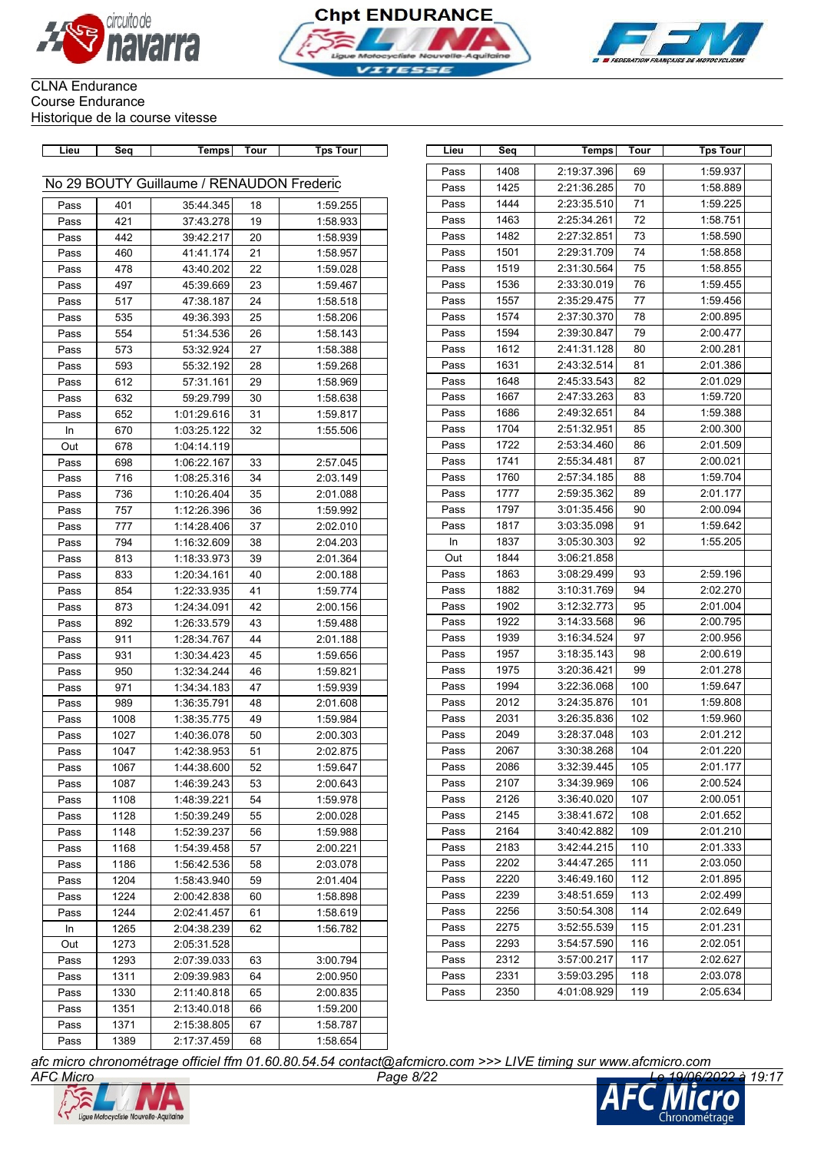





| Lieu | Seq  | <b>Temps</b>                              | Tour | <b>Tps Tour</b> | Lieu | Seq  | Temps       | Tour | <b>Tps Tour</b> |
|------|------|-------------------------------------------|------|-----------------|------|------|-------------|------|-----------------|
|      |      |                                           |      |                 | Pass | 1408 | 2:19:37.396 | 69   | 1:59.937        |
|      |      | No 29 BOUTY Guillaume / RENAUDON Frederic |      |                 | Pass | 1425 | 2:21:36.285 | 70   | 1:58.889        |
| Pass | 401  | 35:44.345                                 | 18   | 1:59.255        | Pass | 1444 | 2:23:35.510 | 71   | 1:59.225        |
| Pass | 421  | 37:43.278                                 | 19   | 1:58.933        | Pass | 1463 | 2:25:34.261 | 72   | 1:58.751        |
| Pass | 442  | 39:42.217                                 | 20   | 1:58.939        | Pass | 1482 | 2:27:32.851 | 73   | 1:58.590        |
| Pass | 460  | 41:41.174                                 | 21   | 1:58.957        | Pass | 1501 | 2:29:31.709 | 74   | 1:58.858        |
| Pass | 478  | 43:40.202                                 | 22   | 1:59.028        | Pass | 1519 | 2:31:30.564 | 75   | 1:58.855        |
| Pass | 497  | 45:39.669                                 | 23   | 1:59.467        | Pass | 1536 | 2:33:30.019 | 76   | 1:59.455        |
| Pass | 517  | 47:38.187                                 | 24   | 1:58.518        | Pass | 1557 | 2:35:29.475 | 77   | 1:59.456        |
| Pass | 535  | 49:36.393                                 | 25   | 1:58.206        | Pass | 1574 | 2:37:30.370 | 78   | 2:00.895        |
| Pass | 554  | 51:34.536                                 | 26   | 1:58.143        | Pass | 1594 | 2:39:30.847 | 79   | 2:00.477        |
| Pass | 573  | 53:32.924                                 | 27   | 1:58.388        | Pass | 1612 | 2:41:31.128 | 80   | 2:00.281        |
| Pass | 593  | 55:32.192                                 | 28   | 1:59.268        | Pass | 1631 | 2:43:32.514 | 81   | 2:01.386        |
| Pass | 612  | 57:31.161                                 | 29   | 1:58.969        | Pass | 1648 | 2:45:33.543 | 82   | 2:01.029        |
| Pass | 632  | 59:29.799                                 | 30   | 1:58.638        | Pass | 1667 | 2:47:33.263 | 83   | 1:59.720        |
| Pass | 652  | 1:01:29.616                               | 31   | 1:59.817        | Pass | 1686 | 2:49:32.651 | 84   | 1:59.388        |
| In   | 670  | 1:03:25.122                               | 32   | 1:55.506        | Pass | 1704 | 2:51:32.951 | 85   | 2:00.300        |
| Out  | 678  | 1:04:14.119                               |      |                 | Pass | 1722 | 2:53:34.460 | 86   | 2:01.509        |
| Pass | 698  | 1:06:22.167                               | 33   | 2:57.045        | Pass | 1741 | 2:55:34.481 | 87   | 2:00.021        |
| Pass | 716  | 1:08:25.316                               | 34   | 2:03.149        | Pass | 1760 | 2:57:34.185 | 88   | 1:59.704        |
| Pass | 736  | 1:10:26.404                               | 35   | 2:01.088        | Pass | 1777 | 2:59:35.362 | 89   | 2:01.177        |
| Pass | 757  | 1:12:26.396                               | 36   | 1:59.992        | Pass | 1797 | 3:01:35.456 | 90   | 2:00.094        |
| Pass | 777  | 1:14:28.406                               | 37   | 2:02.010        | Pass | 1817 | 3:03:35.098 | 91   | 1:59.642        |
| Pass | 794  | 1:16:32.609                               | 38   | 2:04.203        | In   | 1837 | 3:05:30.303 | 92   | 1:55.205        |
| Pass | 813  | 1:18:33.973                               | 39   | 2:01.364        | Out  | 1844 | 3:06:21.858 |      |                 |
| Pass | 833  | 1:20:34.161                               | 40   | 2:00.188        | Pass | 1863 | 3:08:29.499 | 93   | 2:59.196        |
| Pass | 854  | 1:22:33.935                               | 41   | 1:59.774        | Pass | 1882 | 3:10:31.769 | 94   | 2:02.270        |
| Pass | 873  | 1:24:34.091                               | 42   | 2:00.156        | Pass | 1902 | 3:12:32.773 | 95   | 2:01.004        |
| Pass | 892  | 1:26:33.579                               | 43   | 1:59.488        | Pass | 1922 | 3:14:33.568 | 96   | 2:00.795        |
| Pass | 911  | 1:28:34.767                               | 44   | 2:01.188        | Pass | 1939 | 3:16:34.524 | 97   | 2:00.956        |
| Pass | 931  | 1:30:34.423                               | 45   | 1:59.656        | Pass | 1957 | 3:18:35.143 | 98   | 2:00.619        |
| Pass | 950  | 1:32:34.244                               | 46   | 1:59.821        | Pass | 1975 | 3:20:36.421 | 99   | 2:01.278        |
| Pass | 971  | 1:34:34.183                               | 47   | 1:59.939        | Pass | 1994 | 3:22:36.068 | 100  | 1:59.647        |
| Pass | 989  | 1:36:35.791                               | 48   | 2:01.608        | Pass | 2012 | 3:24:35.876 | 101  | 1:59.808        |
| Pass | 1008 | 1:38:35.775                               | 49   | 1:59.984        | Pass | 2031 | 3:26:35.836 | 102  | 1:59.960        |
| Pass | 1027 | 1:40:36.078                               | 50   | 2:00.303        | Pass | 2049 | 3:28:37.048 | 103  | 2:01.212        |
| Pass | 1047 | 1:42:38.953                               | 51   | 2:02.875        | Pass | 2067 | 3:30:38.268 | 104  | 2:01.220        |
| Pass | 1067 | 1:44:38.600                               | 52   | 1:59.647        | Pass | 2086 | 3:32:39.445 | 105  | 2:01.177        |
| Pass | 1087 | 1:46:39.243                               | 53   | 2:00.643        | Pass | 2107 | 3:34:39.969 | 106  | 2:00.524        |
| Pass | 1108 | 1:48:39.221                               | 54   | 1:59.978        | Pass | 2126 | 3:36:40.020 | 107  | 2:00.051        |
| Pass | 1128 | 1:50:39.249                               | 55   | 2:00.028        | Pass | 2145 | 3:38:41.672 | 108  | 2:01.652        |
| Pass | 1148 | 1:52:39.237                               | 56   | 1:59.988        | Pass | 2164 | 3:40:42.882 | 109  | 2:01.210        |
| Pass | 1168 | 1:54:39.458                               | 57   | 2:00.221        | Pass | 2183 | 3:42:44.215 | 110  | 2:01.333        |
| Pass | 1186 | 1:56:42.536                               | 58   | 2:03.078        | Pass | 2202 | 3:44:47.265 | 111  | 2:03.050        |
| Pass | 1204 | 1:58:43.940                               | 59   | 2:01.404        | Pass | 2220 | 3:46:49.160 | 112  | 2:01.895        |
| Pass | 1224 | 2:00:42.838                               | 60   | 1:58.898        | Pass | 2239 | 3:48:51.659 | 113  | 2:02.499        |
| Pass | 1244 | 2:02:41.457                               | 61   | 1:58.619        | Pass | 2256 | 3:50:54.308 | 114  | 2:02.649        |
| In   | 1265 | 2:04:38.239                               | 62   | 1:56.782        | Pass | 2275 | 3:52:55.539 | 115  | 2:01.231        |
| Out  | 1273 | 2:05:31.528                               |      |                 | Pass | 2293 | 3:54:57.590 | 116  | 2:02.051        |
| Pass | 1293 | 2:07:39.033                               | 63   | 3:00.794        | Pass | 2312 | 3:57:00.217 | 117  | 2:02.627        |
| Pass | 1311 | 2:09:39.983                               | 64   | 2:00.950        | Pass | 2331 | 3:59:03.295 | 118  | 2:03.078        |
| Pass | 1330 | 2:11:40.818                               | 65   | 2:00.835        | Pass | 2350 | 4:01:08.929 | 119  | 2:05.634        |
| Pass | 1351 | 2:13:40.018                               | 66   | 1:59.200        |      |      |             |      |                 |
| Pass | 1371 | 2:15:38.805                               | 67   | 1:58.787        |      |      |             |      |                 |
| Pass | 1389 | 2:17:37.459                               | 68   | 1:58.654        |      |      |             |      |                 |
|      |      |                                           |      |                 |      |      |             |      |                 |

| Lieu | Seq  | Temps       | Tour | <b>Tps Tour</b> |
|------|------|-------------|------|-----------------|
| Pass | 1408 | 2:19:37.396 | 69   | 1:59.937        |
| Pass | 1425 | 2:21:36.285 | 70   | 1:58.889        |
| Pass | 1444 | 2:23:35.510 | 71   | 1:59.225        |
| Pass | 1463 | 2:25:34.261 | 72   | 1:58.751        |
| Pass | 1482 | 2:27:32.851 | 73   | 1:58.590        |
| Pass | 1501 | 2:29:31.709 | 74   | 1:58.858        |
| Pass | 1519 | 2:31:30.564 | 75   | 1:58.855        |
| Pass | 1536 | 2:33:30.019 | 76   | 1:59.455        |
| Pass | 1557 | 2:35:29.475 | 77   | 1:59.456        |
| Pass | 1574 | 2:37:30.370 | 78   | 2:00.895        |
| Pass | 1594 | 2:39:30.847 | 79   | 2:00.477        |
| Pass | 1612 | 2:41:31.128 | 80   | 2:00.281        |
| Pass | 1631 | 2:43:32.514 | 81   | 2:01.386        |
| Pass | 1648 | 2:45:33.543 | 82   | 2:01.029        |
| Pass | 1667 | 2:47:33.263 | 83   | 1:59.720        |
| Pass | 1686 | 2:49:32.651 | 84   | 1:59.388        |
| Pass | 1704 | 2:51:32.951 | 85   | 2:00.300        |
| Pass | 1722 | 2:53:34.460 | 86   | 2:01.509        |
| Pass | 1741 | 2:55:34.481 | 87   | 2:00.021        |
| Pass | 1760 | 2:57:34.185 | 88   | 1:59.704        |
| Pass | 1777 | 2:59:35.362 | 89   | 2:01.177        |
| Pass | 1797 | 3:01:35.456 | 90   | 2:00.094        |
| Pass | 1817 | 3:03:35.098 | 91   | 1:59.642        |
| In   | 1837 | 3:05:30.303 | 92   | 1:55.205        |
| Out  | 1844 | 3:06:21.858 |      |                 |
| Pass | 1863 | 3:08:29.499 | 93   | 2:59.196        |
| Pass | 1882 | 3:10:31.769 | 94   | 2:02.270        |
| Pass | 1902 | 3:12:32.773 | 95   | 2:01.004        |
| Pass | 1922 | 3:14:33.568 | 96   | 2:00.795        |
| Pass | 1939 | 3:16:34.524 | 97   | 2:00.956        |
| Pass | 1957 | 3:18:35.143 | 98   | 2:00.619        |
| Pass | 1975 | 3:20:36.421 | 99   | 2:01.278        |
| Pass | 1994 | 3:22:36.068 | 100  | 1:59.647        |
| Pass | 2012 | 3:24:35.876 | 101  | 1:59.808        |
| Pass | 2031 | 3:26:35.836 | 102  | 1:59.960        |
| Pass | 2049 | 3:28:37.048 | 103  | 2:01.212        |
| Pass | 2067 | 3:30:38.268 | 104  | 2:01.220        |
| Pass | 2086 | 3:32:39.445 | 105  | 2:01.177        |
| Pass | 2107 | 3:34:39.969 | 106  | 2:00.524        |
| Pass | 2126 | 3:36:40.020 | 107  | 2:00.051        |
| Pass | 2145 | 3:38:41.672 | 108  | 2:01.652        |
| Pass | 2164 | 3:40:42.882 | 109  | 2:01.210        |
| Pass | 2183 | 3:42:44.215 | 110  | 2:01.333        |
| Pass | 2202 | 3:44:47.265 | 111  | 2:03.050        |
| Pass | 2220 | 3:46:49.160 | 112  | 2:01.895        |
| Pass | 2239 | 3:48:51.659 | 113  | 2:02.499        |
| Pass | 2256 | 3:50:54.308 | 114  | 2:02.649        |
| Pass | 2275 | 3:52:55.539 | 115  | 2:01.231        |
| Pass | 2293 | 3:54:57.590 | 116  | 2:02.051        |
| Pass | 2312 | 3:57:00.217 | 117  | 2:02.627        |
| Pass | 2331 | 3:59:03.295 | 118  | 2:03.078        |
| Pass | 2350 | 4:01:08.929 | 119  | 2:05.634        |



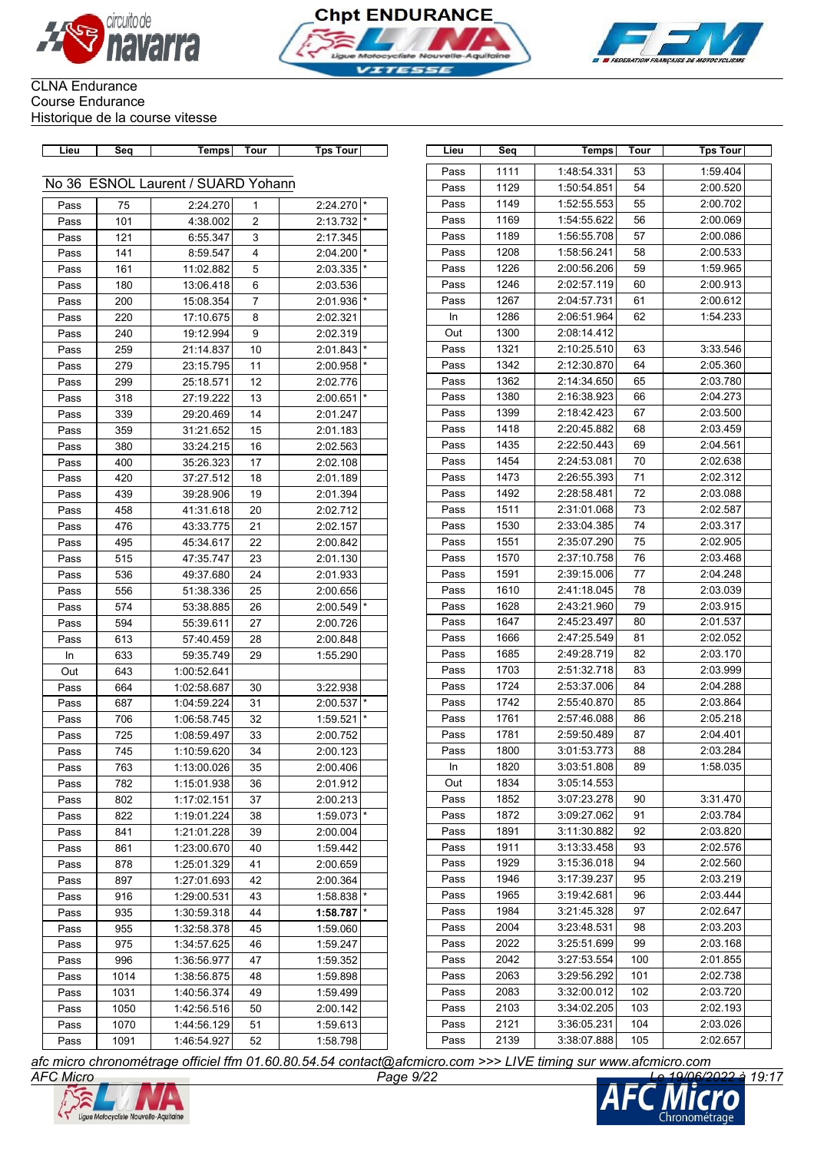





| Lieu | Seq  | Temps                              | Tour           | Tps Tour     | Lieu | Seq  | Temps       | Tour | Tps Tour |
|------|------|------------------------------------|----------------|--------------|------|------|-------------|------|----------|
|      |      |                                    |                |              | Pass | 1111 | 1:48:54.331 | 53   | 1:59.404 |
|      |      | No 36 ESNOL Laurent / SUARD Yohann |                |              | Pass | 1129 | 1:50:54.851 | 54   | 2:00.520 |
| Pass | 75   | 2:24.270                           | $\mathbf{1}$   | $2:24.270$ * | Pass | 1149 | 1:52:55.553 | 55   | 2:00.702 |
| Pass | 101  | 4:38.002                           | $\overline{2}$ | 2:13.732     | Pass | 1169 | 1:54:55.622 | 56   | 2:00.069 |
| Pass | 121  | 6:55.347                           | 3              | 2:17.345     | Pass | 1189 | 1:56:55.708 | 57   | 2:00.086 |
| Pass | 141  | 8:59.547                           | 4              | 2:04.200     | Pass | 1208 | 1:58:56.241 | 58   | 2:00.533 |
| Pass | 161  | 11:02.882                          | 5              | 2:03.335     | Pass | 1226 | 2:00:56.206 | 59   | 1:59.965 |
| Pass | 180  | 13:06.418                          | 6              | 2:03.536     | Pass | 1246 | 2:02:57.119 | 60   | 2:00.913 |
| Pass | 200  | 15:08.354                          | 7              | 2:01.936     | Pass | 1267 | 2:04:57.731 | 61   | 2:00.612 |
| Pass | 220  | 17:10.675                          | 8              | 2:02.321     | In   | 1286 | 2:06:51.964 | 62   | 1:54.233 |
| Pass | 240  | 19:12.994                          | 9              | 2:02.319     | Out  | 1300 | 2:08:14.412 |      |          |
| Pass | 259  | 21:14.837                          | 10             | 2:01.843     | Pass | 1321 | 2:10:25.510 | 63   | 3:33.546 |
| Pass | 279  | 23:15.795                          | 11             | 2:00.958     | Pass | 1342 | 2:12:30.870 | 64   | 2:05.360 |
| Pass | 299  | 25:18.571                          | 12             | 2:02.776     | Pass | 1362 | 2:14:34.650 | 65   | 2:03.780 |
| Pass | 318  | 27:19.222                          | 13             | $2:00.651$ * | Pass | 1380 | 2:16:38.923 | 66   | 2:04.273 |
| Pass | 339  | 29:20.469                          | 14             | 2:01.247     | Pass | 1399 | 2:18:42.423 | 67   | 2:03.500 |
| Pass | 359  | 31:21.652                          | 15             | 2:01.183     | Pass | 1418 | 2:20:45.882 | 68   | 2:03.459 |
| Pass | 380  | 33:24.215                          | 16             | 2:02.563     | Pass | 1435 | 2:22:50.443 | 69   | 2:04.561 |
| Pass | 400  | 35:26.323                          | 17             | 2:02.108     | Pass | 1454 | 2:24:53.081 | 70   | 2:02.638 |
| Pass | 420  | 37:27.512                          | 18             | 2:01.189     | Pass | 1473 | 2:26:55.393 | 71   | 2:02.312 |
| Pass | 439  | 39:28.906                          | 19             | 2:01.394     | Pass | 1492 | 2:28:58.481 | 72   | 2:03.088 |
| Pass | 458  | 41:31.618                          | 20             | 2:02.712     | Pass | 1511 | 2:31:01.068 | 73   | 2:02.587 |
| Pass | 476  | 43:33.775                          | 21             | 2:02.157     | Pass | 1530 | 2:33:04.385 | 74   | 2:03.317 |
| Pass | 495  | 45:34.617                          | 22             | 2:00.842     | Pass | 1551 | 2:35:07.290 | 75   | 2:02.905 |
| Pass | 515  | 47:35.747                          | 23             | 2:01.130     | Pass | 1570 | 2:37:10.758 | 76   | 2:03.468 |
| Pass | 536  | 49:37.680                          | 24             | 2:01.933     | Pass | 1591 | 2:39:15.006 | 77   | 2:04.248 |
| Pass | 556  | 51:38.336                          | 25             | 2:00.656     | Pass | 1610 | 2:41:18.045 | 78   | 2:03.039 |
| Pass | 574  | 53:38.885                          | 26             | 2:00.549     | Pass | 1628 | 2:43:21.960 | 79   | 2:03.915 |
| Pass | 594  | 55:39.611                          | 27             | 2:00.726     | Pass | 1647 | 2:45:23.497 | 80   | 2:01.537 |
| Pass | 613  | 57:40.459                          | 28             | 2:00.848     | Pass | 1666 | 2:47:25.549 | 81   | 2:02.052 |
| In   | 633  | 59:35.749                          | 29             | 1:55.290     | Pass | 1685 | 2:49:28.719 | 82   | 2:03.170 |
| Out  | 643  | 1:00:52.641                        |                |              | Pass | 1703 | 2:51:32.718 | 83   | 2:03.999 |
| Pass | 664  | 1:02:58.687                        | 30             | 3:22.938     | Pass | 1724 | 2:53:37.006 | 84   | 2:04.288 |
| Pass | 687  | 1:04:59.224                        | 31             | 2:00.537     | Pass | 1742 | 2:55:40.870 | 85   | 2:03.864 |
| Pass | 706  | 1:06:58.745                        | 32             | 1:59.521     | Pass | 1761 | 2:57:46.088 | 86   | 2:05.218 |
| Pass | 725  | 1:08:59.497                        | 33             | 2:00.752     | Pass | 1781 | 2:59:50.489 | 87   | 2:04.401 |
| Pass | 745  | 1:10:59.620                        | 34             | 2:00.123     | Pass | 1800 | 3:01:53.773 | 88   | 2:03.284 |
| Pass | 763  | 1:13:00.026                        | 35             | 2:00.406     | In   | 1820 | 3:03:51.808 | 89   | 1:58.035 |
| Pass | 782  | 1:15:01.938                        | 36             | 2:01.912     | Out  | 1834 | 3:05:14.553 |      |          |
| Pass | 802  | 1:17:02.151                        | 37             | 2:00.213     | Pass | 1852 | 3:07:23.278 | 90   | 3:31.470 |
| Pass | 822  | 1:19:01.224                        | 38             | $1:59.073$ * | Pass | 1872 | 3:09:27.062 | 91   | 2:03.784 |
| Pass | 841  | 1:21:01.228                        | 39             | 2:00.004     | Pass | 1891 | 3:11:30.882 | 92   | 2:03.820 |
| Pass | 861  | 1:23:00.670                        | 40             | 1:59.442     | Pass | 1911 | 3:13:33.458 | 93   | 2:02.576 |
| Pass | 878  | 1:25:01.329                        | 41             | 2:00.659     | Pass | 1929 | 3:15:36.018 | 94   | 2:02.560 |
| Pass | 897  | 1:27:01.693                        | 42             | 2:00.364     | Pass | 1946 | 3:17:39.237 | 95   | 2:03.219 |
| Pass | 916  | 1:29:00.531                        | 43             | 1:58.838     | Pass | 1965 | 3:19:42.681 | 96   | 2:03.444 |
| Pass | 935  | 1:30:59.318                        | 44             | 1:58.787     | Pass | 1984 | 3:21:45.328 | 97   | 2:02.647 |
| Pass | 955  | 1:32:58.378                        | 45             | 1:59.060     | Pass | 2004 | 3:23:48.531 | 98   | 2:03.203 |
| Pass | 975  | 1:34:57.625                        | 46             | 1:59.247     | Pass | 2022 | 3:25:51.699 | 99   | 2:03.168 |
| Pass | 996  | 1:36:56.977                        | 47             | 1:59.352     | Pass | 2042 | 3:27:53.554 | 100  | 2:01.855 |
| Pass | 1014 | 1:38:56.875                        | 48             | 1:59.898     | Pass | 2063 | 3:29:56.292 | 101  | 2:02.738 |
| Pass | 1031 | 1:40:56.374                        | 49             | 1:59.499     | Pass | 2083 | 3:32:00.012 | 102  | 2:03.720 |
| Pass | 1050 | 1:42:56.516                        | 50             | 2:00.142     | Pass | 2103 | 3:34:02.205 | 103  | 2:02.193 |
| Pass | 1070 | 1:44:56.129                        | 51             | 1:59.613     | Pass | 2121 | 3:36:05.231 | 104  | 2:03.026 |

| Lieu | Seq  | Temps       | Tour | <b>Tps Tour</b> |
|------|------|-------------|------|-----------------|
| Pass | 1111 | 1:48:54.331 | 53   | 1:59.404        |
| Pass | 1129 | 1:50:54.851 | 54   | 2:00.520        |
| Pass | 1149 | 1:52:55.553 | 55   | 2:00.702        |
| Pass | 1169 | 1:54:55.622 | 56   | 2:00.069        |
| Pass | 1189 | 1:56:55.708 | 57   | 2:00.086        |
| Pass | 1208 | 1:58:56.241 | 58   | 2:00.533        |
| Pass | 1226 | 2:00:56.206 | 59   | 1:59.965        |
| Pass | 1246 | 2:02:57.119 | 60   | 2:00.913        |
| Pass | 1267 | 2:04:57.731 | 61   | 2:00.612        |
| In   | 1286 | 2:06:51.964 | 62   | 1:54.233        |
| Out  | 1300 | 2:08:14.412 |      |                 |
| Pass | 1321 | 2:10:25.510 | 63   | 3:33.546        |
| Pass | 1342 | 2:12:30.870 | 64   | 2:05.360        |
| Pass | 1362 | 2:14:34.650 | 65   | 2:03.780        |
| Pass | 1380 | 2:16:38.923 | 66   | 2:04.273        |
| Pass | 1399 | 2:18:42.423 | 67   | 2:03.500        |
| Pass | 1418 | 2:20:45.882 | 68   | 2:03.459        |
| Pass | 1435 | 2:22:50.443 | 69   | 2:04.561        |
| Pass | 1454 | 2:24:53.081 | 70   | 2:02.638        |
| Pass | 1473 | 2:26:55.393 | 71   | 2:02.312        |
| Pass | 1492 | 2:28:58.481 | 72   | 2:03.088        |
| Pass | 1511 | 2:31:01.068 | 73   | 2:02.587        |
| Pass | 1530 | 2:33:04.385 | 74   | 2:03.317        |
| Pass | 1551 | 2:35:07.290 | 75   | 2:02.905        |
| Pass | 1570 | 2:37:10.758 | 76   | 2:03.468        |
| Pass | 1591 | 2:39:15.006 | 77   | 2:04.248        |
| Pass | 1610 | 2:41:18.045 | 78   | 2:03.039        |
| Pass | 1628 | 2:43:21.960 | 79   | 2:03.915        |
| Pass | 1647 | 2:45:23.497 | 80   | 2:01.537        |
| Pass | 1666 | 2:47:25.549 | 81   | 2:02.052        |
| Pass | 1685 | 2:49:28.719 | 82   | 2:03.170        |
| Pass | 1703 | 2:51:32.718 | 83   | 2:03.999        |
| Pass | 1724 | 2:53:37.006 | 84   | 2:04.288        |
| Pass | 1742 | 2:55:40.870 | 85   | 2:03.864        |
| Pass | 1761 | 2:57:46.088 | 86   | 2:05.218        |
| Pass | 1781 | 2:59:50.489 | 87   | 2:04.401        |
| Pass | 1800 | 3:01:53.773 | 88   | 2:03.284        |
| In   | 1820 | 3:03:51.808 | 89   | 1:58.035        |
| Out  | 1834 | 3:05:14.553 |      |                 |
| Pass | 1852 | 3:07:23.278 | 90   | 3:31.470        |
| Pass | 1872 | 3:09:27.062 | 91   | 2:03.784        |
| Pass | 1891 | 3:11:30.882 | 92   | 2:03.820        |
| Pass | 1911 | 3:13:33.458 | 93   | 2:02.576        |
| Pass | 1929 | 3:15:36.018 | 94   | 2:02.560        |
| Pass | 1946 | 3:17:39.237 | 95   | 2:03.219        |
| Pass | 1965 | 3:19:42.681 | 96   | 2:03.444        |
| Pass | 1984 | 3:21:45.328 | 97   | 2:02.647        |
| Pass | 2004 | 3:23:48.531 | 98   | 2:03.203        |
| Pass | 2022 | 3:25:51.699 | 99   | 2:03.168        |
| Pass | 2042 | 3:27:53.554 | 100  | 2:01.855        |
| Pass | 2063 | 3:29:56.292 | 101  | 2:02.738        |
| Pass | 2083 | 3:32:00.012 | 102  | 2:03.720        |
| Pass | 2103 | 3:34:02.205 | 103  | 2:02.193        |
| Pass | 2121 | 3:36:05.231 | 104  | 2:03.026        |
| Pass | 2139 | 3:38:07.888 | 105  | 2:02.657        |

*afc micro chronométrage officiel ffm 01.60.80.54.54 contact@afcmicro.com >>> LIVE timing sur www.afcmicro.com*



Pass 1091 1:46:54.927 52 1:58.798

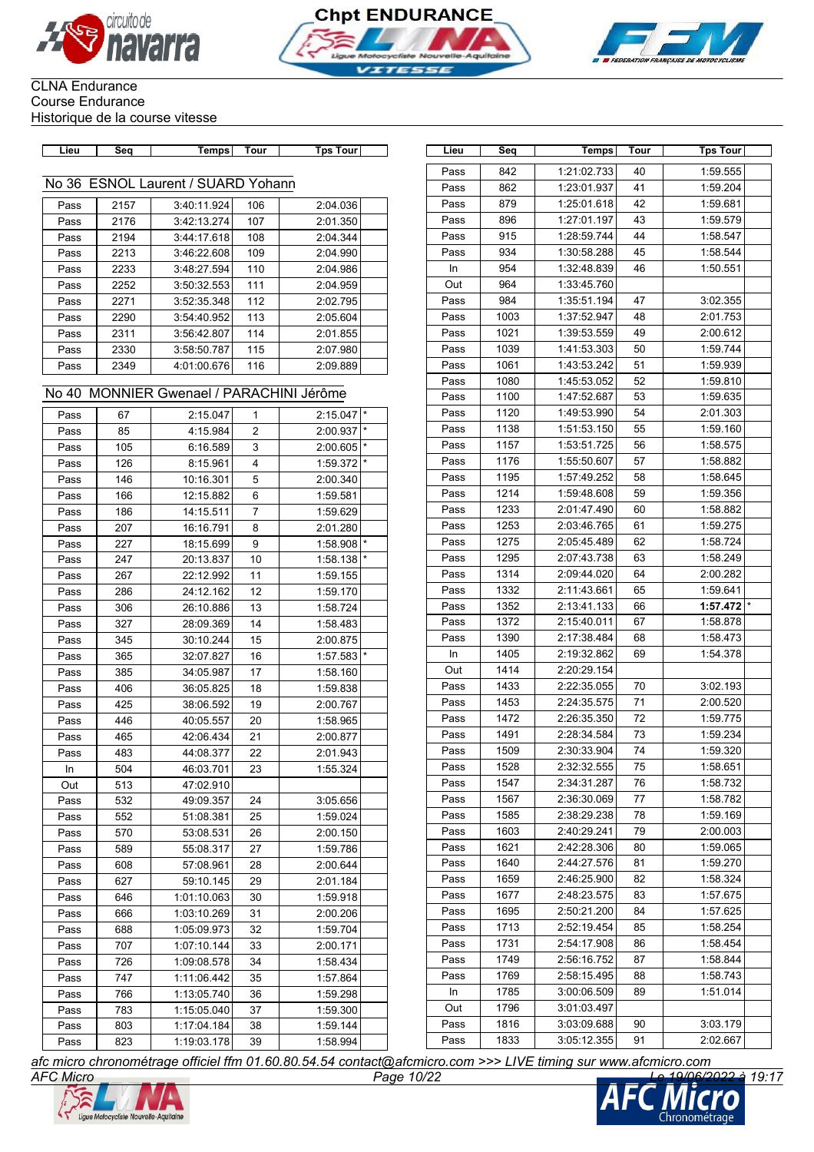





Pass 842 1:21:02.733 40 1:59.555 Pass 862 1:23:01.937 41 1:59.204 Pass 879 1:25:01.618 42 1:59.681 Pass 896 1:27:01.197 43 1:59.579 Pass 915 1:28:59.744 44 1:58.547 Pass 934 1:30:58.288 45 1:58.544 In 954 1:32:48.839 46 1:50.551

Pass 984 1:35:51.194 47 3:02.355 Pass 1003 1:37:52.947 48 2:01.753 Pass 1021 1:39:53.559 49 2:00.612 Pass | 1039 | 1:41:53.303 50 | 1:59.744

Out 964 1:33:45.760

### CLNA Endurance Course Endurance Historique de la course vitesse

| Lieu      | Sea          | Temps                   | Tour   | Tour<br>Tps |  | Lieu | Sea | Temps .      | Tour | <sup>→</sup> Tour<br>Tɒs |
|-----------|--------------|-------------------------|--------|-------------|--|------|-----|--------------|------|--------------------------|
|           |              |                         |        |             |  |      |     |              |      |                          |
|           |              |                         |        |             |  | Pass | 842 | 1:21:02.7331 | 40   | :59.555                  |
| No.<br>36 | <b>FSNOL</b> | <b>SUARD</b><br>.aurent | Yohann |             |  | Pass | 862 | 1.23.01937   | 4    | 1.59204                  |

| Pass | 2157 | 3:40:11.924 | 106 | 2:04.036 |
|------|------|-------------|-----|----------|
| Pass | 2176 | 3:42:13.274 | 107 | 2:01.350 |
| Pass | 2194 | 3:44:17.618 | 108 | 2:04.344 |
| Pass | 2213 | 3:46:22.608 | 109 | 2:04.990 |
| Pass | 2233 | 3:48:27.594 | 110 | 2:04.986 |
| Pass | 2252 | 3:50:32.553 | 111 | 2:04.959 |
| Pass | 2271 | 3:52:35.348 | 112 | 2:02.795 |
| Pass | 2290 | 3:54:40.952 | 113 | 2:05.604 |
| Pass | 2311 | 3:56:42.807 | 114 | 2:01.855 |
| Pass | 2330 | 3:58:50.787 | 115 | 2:07.980 |
| Pass | 2349 | 4:01:00.676 | 116 | 2:09.889 |

| 1080<br>1:45:53.052<br>52<br>1:59.810<br>Pass<br>No 40 MONNIER Gwenael / PARACHINI Jérôme<br>1:59.635<br>Pass<br>1100<br>1:47:52.687<br>53<br>54<br>2:01.303<br>Pass<br>1120<br>1:49:53.990<br>2:15.047<br>2:15.047<br>67<br>Pass<br>$\mathbf{1}$<br>1138<br>1:51:53.150<br>55<br>1:59.160<br>Pass<br>$\overline{2}$<br>85<br>4:15.984<br>2:00.937<br>Pass<br>1157<br>1:58.575<br>Pass<br>1:53:51.725<br>56<br>105<br>6:16.589<br>2:00.605<br>Pass<br>3<br>1176<br>57<br>Pass<br>1:55:50.607<br>1:58.882<br>1:59.372<br>126<br>8:15.961<br>4<br>Pass<br>1195<br>1:57:49.252<br>1:58.645<br>Pass<br>58<br>5<br>146<br>10:16.301<br>2:00.340<br>Pass<br>1214<br>1:59:48.608<br>59<br>1:59.356<br>Pass<br>6<br>1:59.581<br>166<br>12:15.882<br>Pass<br>1233<br>1:58.882<br>2:01:47.490<br>60<br>Pass<br>$\overline{7}$<br>186<br>14:15.511<br>1:59.629<br>Pass<br>1253<br>1:59.275<br>2:03:46.765<br>61<br>Pass<br>8<br>2:01.280<br>Pass<br>207<br>16:16.791<br>2:05:45.489<br>1:58.724<br>1275<br>62<br>Pass<br>227<br>18:15.699<br>9<br>1:58.908<br>Pass<br>1295<br>2:07:43.738<br>1:58.249<br>Pass<br>63<br>1:58.138<br>247<br>20:13.837<br>10<br>Pass<br>1314<br>Pass<br>2:09:44.020<br>64<br>2:00.282<br>267<br>22:12.992<br>11<br>1:59.155<br>Pass<br>1:59.641<br>1332<br>2:11:43.661<br>65<br>Pass<br>12<br>Pass<br>286<br>24:12.162<br>1:59.170<br>1352<br>2:13:41.133<br>1:57.472<br>Pass<br>66<br>1:58.724<br>306<br>26:10.886<br>13<br>Pass<br>Pass<br>1372<br>2:15:40.011<br>67<br>1:58.878<br>327<br>28:09.369<br>14<br>1:58.483<br>Pass<br>1390<br>2:17:38.484<br>1:58.473<br>Pass<br>68<br>345<br>30:10.244<br>15<br>2:00.875<br>Pass<br>1405<br>2:19:32.862<br>1:54.378<br>69<br>In<br>365<br>32:07.827<br>1:57.583<br>16<br>Pass<br>1414<br>2:20:29.154<br>Out<br>34:05.987<br>17<br>1:58.160<br>385<br>Pass<br>1433<br>2:22:35.055<br>70<br>3:02.193<br>Pass<br>406<br>36:05.825<br>18<br>1:59.838<br>Pass<br>1453<br>2:24:35.575<br>71<br>2:00.520<br>Pass<br>425<br>2:00.767<br>38:06.592<br>19<br>Pass<br>1:59.775<br>1472<br>2:26:35.350<br>72<br>Pass<br>446<br>20<br>1:58.965<br>40:05.557<br>Pass<br>1491<br>2:28:34.584<br>73<br>1:59.234<br>Pass<br>21<br>2:00.877<br>465<br>42:06.434<br>Pass<br>74<br>1:59.320<br>Pass<br>1509<br>2:30:33.904<br>483<br>44:08.377<br>22<br>2:01.943<br>Pass<br>1528<br>2:32:32.555<br>75<br>1:58.651<br>Pass<br>504<br>46:03.701<br>23<br>1:55.324<br>In<br>1547<br>2:34:31.287<br>76<br>1:58.732<br>Pass<br>513<br>47:02.910<br>Out<br>1567<br>Pass<br>2:36:30.069<br>77<br>1:58.782<br>532<br>49:09.357<br>3:05.656<br>Pass<br>24<br>1585<br>2:38:29.238<br>78<br>1:59.169<br>Pass<br>552<br>51:08.381<br>25<br>1:59.024<br>Pass<br>79<br>1603<br>2:40:29.241<br>2:00.003<br>Pass<br>570<br>53:08.531<br>26<br>2:00.150<br>Pass<br>1:59.065<br>1621<br>2:42:28.306<br>80<br>Pass<br>589<br>55:08.317<br>27<br>1:59.786<br>Pass<br>2:44:27.576<br>1:59.270<br>Pass<br>1640<br>81<br>608<br>57:08.961<br>28<br>2:00.644<br>Pass<br>1659<br>2:46:25.900<br>1:58.324<br>82<br>Pass<br>29<br>2:01.184<br>Pass<br>627<br>59:10.145<br>1677<br>2:48:23.575<br>1:57.675<br>Pass<br>83<br>1:01:10.063<br>1:59.918<br>646<br>30<br>Pass<br>1695<br>2:50:21.200<br>1:57.625<br>Pass<br>84<br>666<br>1:03:10.269<br>31<br>2:00.206<br>Pass<br>1713<br>2:52:19.454<br>Pass<br>85<br>1:58.254<br>1:59.704<br>Pass<br>688<br>1:05:09.973<br>32<br>1731<br>2:54:17.908<br>1:58.454<br>Pass<br>86<br>707<br>33<br>Pass<br>1:07:10.144<br>2:00.171<br>1749<br>2:56:16.752<br>1:58.844<br>Pass<br>87<br>726<br>1:09:08.578<br>34<br>1:58.434<br>Pass<br>1769<br>Pass<br>2:58:15.495<br>88<br>1:58.743<br>747<br>1:57.864<br>1:11:06.442<br>35<br>Pass<br>1785<br>1:51.014<br>3:00:06.509<br>89<br>In<br>766<br>36<br>1:59.298<br>Pass<br>1:13:05.740<br>3:01:03.497<br>1796<br>Out<br>783<br>1:15:05.040<br>37<br>1:59.300<br>Pass<br>1816<br>3:03:09.688<br>3:03.179<br>Pass<br>90<br>1:59.144<br>803<br>1:17:04.184<br>38<br>Pass<br>Pass<br>1833<br>3:05:12.355<br>91<br>2:02.667<br>823<br>1:19:03.178<br>39<br>1:58.994<br>Pass | Pass | 2349 | 4:01:00.676 | 116 | 2:09.889 | Pass | 1061 | 1:43:53.242 | 51 | 1:59.939 |
|-------------------------------------------------------------------------------------------------------------------------------------------------------------------------------------------------------------------------------------------------------------------------------------------------------------------------------------------------------------------------------------------------------------------------------------------------------------------------------------------------------------------------------------------------------------------------------------------------------------------------------------------------------------------------------------------------------------------------------------------------------------------------------------------------------------------------------------------------------------------------------------------------------------------------------------------------------------------------------------------------------------------------------------------------------------------------------------------------------------------------------------------------------------------------------------------------------------------------------------------------------------------------------------------------------------------------------------------------------------------------------------------------------------------------------------------------------------------------------------------------------------------------------------------------------------------------------------------------------------------------------------------------------------------------------------------------------------------------------------------------------------------------------------------------------------------------------------------------------------------------------------------------------------------------------------------------------------------------------------------------------------------------------------------------------------------------------------------------------------------------------------------------------------------------------------------------------------------------------------------------------------------------------------------------------------------------------------------------------------------------------------------------------------------------------------------------------------------------------------------------------------------------------------------------------------------------------------------------------------------------------------------------------------------------------------------------------------------------------------------------------------------------------------------------------------------------------------------------------------------------------------------------------------------------------------------------------------------------------------------------------------------------------------------------------------------------------------------------------------------------------------------------------------------------------------------------------------------------------------------------------------------------------------------------------------------------------------------------------------------------------------------------------------------------------------------------------------------------------------------------------------------------------------------------------------------------------------------------------------------------------------------------------------------------------------------------------------------------------------------------------------------------------------------------------------------------------------------------------------------------------------------------------------------------------------------------------------------------------------------------------------------------------------------------------------------------------|------|------|-------------|-----|----------|------|------|-------------|----|----------|
|                                                                                                                                                                                                                                                                                                                                                                                                                                                                                                                                                                                                                                                                                                                                                                                                                                                                                                                                                                                                                                                                                                                                                                                                                                                                                                                                                                                                                                                                                                                                                                                                                                                                                                                                                                                                                                                                                                                                                                                                                                                                                                                                                                                                                                                                                                                                                                                                                                                                                                                                                                                                                                                                                                                                                                                                                                                                                                                                                                                                                                                                                                                                                                                                                                                                                                                                                                                                                                                                                                                                                                                                                                                                                                                                                                                                                                                                                                                                                                                                                                                                               |      |      |             |     |          |      |      |             |    |          |
|                                                                                                                                                                                                                                                                                                                                                                                                                                                                                                                                                                                                                                                                                                                                                                                                                                                                                                                                                                                                                                                                                                                                                                                                                                                                                                                                                                                                                                                                                                                                                                                                                                                                                                                                                                                                                                                                                                                                                                                                                                                                                                                                                                                                                                                                                                                                                                                                                                                                                                                                                                                                                                                                                                                                                                                                                                                                                                                                                                                                                                                                                                                                                                                                                                                                                                                                                                                                                                                                                                                                                                                                                                                                                                                                                                                                                                                                                                                                                                                                                                                                               |      |      |             |     |          |      |      |             |    |          |
|                                                                                                                                                                                                                                                                                                                                                                                                                                                                                                                                                                                                                                                                                                                                                                                                                                                                                                                                                                                                                                                                                                                                                                                                                                                                                                                                                                                                                                                                                                                                                                                                                                                                                                                                                                                                                                                                                                                                                                                                                                                                                                                                                                                                                                                                                                                                                                                                                                                                                                                                                                                                                                                                                                                                                                                                                                                                                                                                                                                                                                                                                                                                                                                                                                                                                                                                                                                                                                                                                                                                                                                                                                                                                                                                                                                                                                                                                                                                                                                                                                                                               |      |      |             |     |          |      |      |             |    |          |
|                                                                                                                                                                                                                                                                                                                                                                                                                                                                                                                                                                                                                                                                                                                                                                                                                                                                                                                                                                                                                                                                                                                                                                                                                                                                                                                                                                                                                                                                                                                                                                                                                                                                                                                                                                                                                                                                                                                                                                                                                                                                                                                                                                                                                                                                                                                                                                                                                                                                                                                                                                                                                                                                                                                                                                                                                                                                                                                                                                                                                                                                                                                                                                                                                                                                                                                                                                                                                                                                                                                                                                                                                                                                                                                                                                                                                                                                                                                                                                                                                                                                               |      |      |             |     |          |      |      |             |    |          |
|                                                                                                                                                                                                                                                                                                                                                                                                                                                                                                                                                                                                                                                                                                                                                                                                                                                                                                                                                                                                                                                                                                                                                                                                                                                                                                                                                                                                                                                                                                                                                                                                                                                                                                                                                                                                                                                                                                                                                                                                                                                                                                                                                                                                                                                                                                                                                                                                                                                                                                                                                                                                                                                                                                                                                                                                                                                                                                                                                                                                                                                                                                                                                                                                                                                                                                                                                                                                                                                                                                                                                                                                                                                                                                                                                                                                                                                                                                                                                                                                                                                                               |      |      |             |     |          |      |      |             |    |          |
|                                                                                                                                                                                                                                                                                                                                                                                                                                                                                                                                                                                                                                                                                                                                                                                                                                                                                                                                                                                                                                                                                                                                                                                                                                                                                                                                                                                                                                                                                                                                                                                                                                                                                                                                                                                                                                                                                                                                                                                                                                                                                                                                                                                                                                                                                                                                                                                                                                                                                                                                                                                                                                                                                                                                                                                                                                                                                                                                                                                                                                                                                                                                                                                                                                                                                                                                                                                                                                                                                                                                                                                                                                                                                                                                                                                                                                                                                                                                                                                                                                                                               |      |      |             |     |          |      |      |             |    |          |
|                                                                                                                                                                                                                                                                                                                                                                                                                                                                                                                                                                                                                                                                                                                                                                                                                                                                                                                                                                                                                                                                                                                                                                                                                                                                                                                                                                                                                                                                                                                                                                                                                                                                                                                                                                                                                                                                                                                                                                                                                                                                                                                                                                                                                                                                                                                                                                                                                                                                                                                                                                                                                                                                                                                                                                                                                                                                                                                                                                                                                                                                                                                                                                                                                                                                                                                                                                                                                                                                                                                                                                                                                                                                                                                                                                                                                                                                                                                                                                                                                                                                               |      |      |             |     |          |      |      |             |    |          |
|                                                                                                                                                                                                                                                                                                                                                                                                                                                                                                                                                                                                                                                                                                                                                                                                                                                                                                                                                                                                                                                                                                                                                                                                                                                                                                                                                                                                                                                                                                                                                                                                                                                                                                                                                                                                                                                                                                                                                                                                                                                                                                                                                                                                                                                                                                                                                                                                                                                                                                                                                                                                                                                                                                                                                                                                                                                                                                                                                                                                                                                                                                                                                                                                                                                                                                                                                                                                                                                                                                                                                                                                                                                                                                                                                                                                                                                                                                                                                                                                                                                                               |      |      |             |     |          |      |      |             |    |          |
|                                                                                                                                                                                                                                                                                                                                                                                                                                                                                                                                                                                                                                                                                                                                                                                                                                                                                                                                                                                                                                                                                                                                                                                                                                                                                                                                                                                                                                                                                                                                                                                                                                                                                                                                                                                                                                                                                                                                                                                                                                                                                                                                                                                                                                                                                                                                                                                                                                                                                                                                                                                                                                                                                                                                                                                                                                                                                                                                                                                                                                                                                                                                                                                                                                                                                                                                                                                                                                                                                                                                                                                                                                                                                                                                                                                                                                                                                                                                                                                                                                                                               |      |      |             |     |          |      |      |             |    |          |
|                                                                                                                                                                                                                                                                                                                                                                                                                                                                                                                                                                                                                                                                                                                                                                                                                                                                                                                                                                                                                                                                                                                                                                                                                                                                                                                                                                                                                                                                                                                                                                                                                                                                                                                                                                                                                                                                                                                                                                                                                                                                                                                                                                                                                                                                                                                                                                                                                                                                                                                                                                                                                                                                                                                                                                                                                                                                                                                                                                                                                                                                                                                                                                                                                                                                                                                                                                                                                                                                                                                                                                                                                                                                                                                                                                                                                                                                                                                                                                                                                                                                               |      |      |             |     |          |      |      |             |    |          |
|                                                                                                                                                                                                                                                                                                                                                                                                                                                                                                                                                                                                                                                                                                                                                                                                                                                                                                                                                                                                                                                                                                                                                                                                                                                                                                                                                                                                                                                                                                                                                                                                                                                                                                                                                                                                                                                                                                                                                                                                                                                                                                                                                                                                                                                                                                                                                                                                                                                                                                                                                                                                                                                                                                                                                                                                                                                                                                                                                                                                                                                                                                                                                                                                                                                                                                                                                                                                                                                                                                                                                                                                                                                                                                                                                                                                                                                                                                                                                                                                                                                                               |      |      |             |     |          |      |      |             |    |          |
|                                                                                                                                                                                                                                                                                                                                                                                                                                                                                                                                                                                                                                                                                                                                                                                                                                                                                                                                                                                                                                                                                                                                                                                                                                                                                                                                                                                                                                                                                                                                                                                                                                                                                                                                                                                                                                                                                                                                                                                                                                                                                                                                                                                                                                                                                                                                                                                                                                                                                                                                                                                                                                                                                                                                                                                                                                                                                                                                                                                                                                                                                                                                                                                                                                                                                                                                                                                                                                                                                                                                                                                                                                                                                                                                                                                                                                                                                                                                                                                                                                                                               |      |      |             |     |          |      |      |             |    |          |
|                                                                                                                                                                                                                                                                                                                                                                                                                                                                                                                                                                                                                                                                                                                                                                                                                                                                                                                                                                                                                                                                                                                                                                                                                                                                                                                                                                                                                                                                                                                                                                                                                                                                                                                                                                                                                                                                                                                                                                                                                                                                                                                                                                                                                                                                                                                                                                                                                                                                                                                                                                                                                                                                                                                                                                                                                                                                                                                                                                                                                                                                                                                                                                                                                                                                                                                                                                                                                                                                                                                                                                                                                                                                                                                                                                                                                                                                                                                                                                                                                                                                               |      |      |             |     |          |      |      |             |    |          |
|                                                                                                                                                                                                                                                                                                                                                                                                                                                                                                                                                                                                                                                                                                                                                                                                                                                                                                                                                                                                                                                                                                                                                                                                                                                                                                                                                                                                                                                                                                                                                                                                                                                                                                                                                                                                                                                                                                                                                                                                                                                                                                                                                                                                                                                                                                                                                                                                                                                                                                                                                                                                                                                                                                                                                                                                                                                                                                                                                                                                                                                                                                                                                                                                                                                                                                                                                                                                                                                                                                                                                                                                                                                                                                                                                                                                                                                                                                                                                                                                                                                                               |      |      |             |     |          |      |      |             |    |          |
|                                                                                                                                                                                                                                                                                                                                                                                                                                                                                                                                                                                                                                                                                                                                                                                                                                                                                                                                                                                                                                                                                                                                                                                                                                                                                                                                                                                                                                                                                                                                                                                                                                                                                                                                                                                                                                                                                                                                                                                                                                                                                                                                                                                                                                                                                                                                                                                                                                                                                                                                                                                                                                                                                                                                                                                                                                                                                                                                                                                                                                                                                                                                                                                                                                                                                                                                                                                                                                                                                                                                                                                                                                                                                                                                                                                                                                                                                                                                                                                                                                                                               |      |      |             |     |          |      |      |             |    |          |
|                                                                                                                                                                                                                                                                                                                                                                                                                                                                                                                                                                                                                                                                                                                                                                                                                                                                                                                                                                                                                                                                                                                                                                                                                                                                                                                                                                                                                                                                                                                                                                                                                                                                                                                                                                                                                                                                                                                                                                                                                                                                                                                                                                                                                                                                                                                                                                                                                                                                                                                                                                                                                                                                                                                                                                                                                                                                                                                                                                                                                                                                                                                                                                                                                                                                                                                                                                                                                                                                                                                                                                                                                                                                                                                                                                                                                                                                                                                                                                                                                                                                               |      |      |             |     |          |      |      |             |    |          |
|                                                                                                                                                                                                                                                                                                                                                                                                                                                                                                                                                                                                                                                                                                                                                                                                                                                                                                                                                                                                                                                                                                                                                                                                                                                                                                                                                                                                                                                                                                                                                                                                                                                                                                                                                                                                                                                                                                                                                                                                                                                                                                                                                                                                                                                                                                                                                                                                                                                                                                                                                                                                                                                                                                                                                                                                                                                                                                                                                                                                                                                                                                                                                                                                                                                                                                                                                                                                                                                                                                                                                                                                                                                                                                                                                                                                                                                                                                                                                                                                                                                                               |      |      |             |     |          |      |      |             |    |          |
|                                                                                                                                                                                                                                                                                                                                                                                                                                                                                                                                                                                                                                                                                                                                                                                                                                                                                                                                                                                                                                                                                                                                                                                                                                                                                                                                                                                                                                                                                                                                                                                                                                                                                                                                                                                                                                                                                                                                                                                                                                                                                                                                                                                                                                                                                                                                                                                                                                                                                                                                                                                                                                                                                                                                                                                                                                                                                                                                                                                                                                                                                                                                                                                                                                                                                                                                                                                                                                                                                                                                                                                                                                                                                                                                                                                                                                                                                                                                                                                                                                                                               |      |      |             |     |          |      |      |             |    |          |
|                                                                                                                                                                                                                                                                                                                                                                                                                                                                                                                                                                                                                                                                                                                                                                                                                                                                                                                                                                                                                                                                                                                                                                                                                                                                                                                                                                                                                                                                                                                                                                                                                                                                                                                                                                                                                                                                                                                                                                                                                                                                                                                                                                                                                                                                                                                                                                                                                                                                                                                                                                                                                                                                                                                                                                                                                                                                                                                                                                                                                                                                                                                                                                                                                                                                                                                                                                                                                                                                                                                                                                                                                                                                                                                                                                                                                                                                                                                                                                                                                                                                               |      |      |             |     |          |      |      |             |    |          |
|                                                                                                                                                                                                                                                                                                                                                                                                                                                                                                                                                                                                                                                                                                                                                                                                                                                                                                                                                                                                                                                                                                                                                                                                                                                                                                                                                                                                                                                                                                                                                                                                                                                                                                                                                                                                                                                                                                                                                                                                                                                                                                                                                                                                                                                                                                                                                                                                                                                                                                                                                                                                                                                                                                                                                                                                                                                                                                                                                                                                                                                                                                                                                                                                                                                                                                                                                                                                                                                                                                                                                                                                                                                                                                                                                                                                                                                                                                                                                                                                                                                                               |      |      |             |     |          |      |      |             |    |          |
|                                                                                                                                                                                                                                                                                                                                                                                                                                                                                                                                                                                                                                                                                                                                                                                                                                                                                                                                                                                                                                                                                                                                                                                                                                                                                                                                                                                                                                                                                                                                                                                                                                                                                                                                                                                                                                                                                                                                                                                                                                                                                                                                                                                                                                                                                                                                                                                                                                                                                                                                                                                                                                                                                                                                                                                                                                                                                                                                                                                                                                                                                                                                                                                                                                                                                                                                                                                                                                                                                                                                                                                                                                                                                                                                                                                                                                                                                                                                                                                                                                                                               |      |      |             |     |          |      |      |             |    |          |
|                                                                                                                                                                                                                                                                                                                                                                                                                                                                                                                                                                                                                                                                                                                                                                                                                                                                                                                                                                                                                                                                                                                                                                                                                                                                                                                                                                                                                                                                                                                                                                                                                                                                                                                                                                                                                                                                                                                                                                                                                                                                                                                                                                                                                                                                                                                                                                                                                                                                                                                                                                                                                                                                                                                                                                                                                                                                                                                                                                                                                                                                                                                                                                                                                                                                                                                                                                                                                                                                                                                                                                                                                                                                                                                                                                                                                                                                                                                                                                                                                                                                               |      |      |             |     |          |      |      |             |    |          |
|                                                                                                                                                                                                                                                                                                                                                                                                                                                                                                                                                                                                                                                                                                                                                                                                                                                                                                                                                                                                                                                                                                                                                                                                                                                                                                                                                                                                                                                                                                                                                                                                                                                                                                                                                                                                                                                                                                                                                                                                                                                                                                                                                                                                                                                                                                                                                                                                                                                                                                                                                                                                                                                                                                                                                                                                                                                                                                                                                                                                                                                                                                                                                                                                                                                                                                                                                                                                                                                                                                                                                                                                                                                                                                                                                                                                                                                                                                                                                                                                                                                                               |      |      |             |     |          |      |      |             |    |          |
|                                                                                                                                                                                                                                                                                                                                                                                                                                                                                                                                                                                                                                                                                                                                                                                                                                                                                                                                                                                                                                                                                                                                                                                                                                                                                                                                                                                                                                                                                                                                                                                                                                                                                                                                                                                                                                                                                                                                                                                                                                                                                                                                                                                                                                                                                                                                                                                                                                                                                                                                                                                                                                                                                                                                                                                                                                                                                                                                                                                                                                                                                                                                                                                                                                                                                                                                                                                                                                                                                                                                                                                                                                                                                                                                                                                                                                                                                                                                                                                                                                                                               |      |      |             |     |          |      |      |             |    |          |
|                                                                                                                                                                                                                                                                                                                                                                                                                                                                                                                                                                                                                                                                                                                                                                                                                                                                                                                                                                                                                                                                                                                                                                                                                                                                                                                                                                                                                                                                                                                                                                                                                                                                                                                                                                                                                                                                                                                                                                                                                                                                                                                                                                                                                                                                                                                                                                                                                                                                                                                                                                                                                                                                                                                                                                                                                                                                                                                                                                                                                                                                                                                                                                                                                                                                                                                                                                                                                                                                                                                                                                                                                                                                                                                                                                                                                                                                                                                                                                                                                                                                               |      |      |             |     |          |      |      |             |    |          |
|                                                                                                                                                                                                                                                                                                                                                                                                                                                                                                                                                                                                                                                                                                                                                                                                                                                                                                                                                                                                                                                                                                                                                                                                                                                                                                                                                                                                                                                                                                                                                                                                                                                                                                                                                                                                                                                                                                                                                                                                                                                                                                                                                                                                                                                                                                                                                                                                                                                                                                                                                                                                                                                                                                                                                                                                                                                                                                                                                                                                                                                                                                                                                                                                                                                                                                                                                                                                                                                                                                                                                                                                                                                                                                                                                                                                                                                                                                                                                                                                                                                                               |      |      |             |     |          |      |      |             |    |          |
|                                                                                                                                                                                                                                                                                                                                                                                                                                                                                                                                                                                                                                                                                                                                                                                                                                                                                                                                                                                                                                                                                                                                                                                                                                                                                                                                                                                                                                                                                                                                                                                                                                                                                                                                                                                                                                                                                                                                                                                                                                                                                                                                                                                                                                                                                                                                                                                                                                                                                                                                                                                                                                                                                                                                                                                                                                                                                                                                                                                                                                                                                                                                                                                                                                                                                                                                                                                                                                                                                                                                                                                                                                                                                                                                                                                                                                                                                                                                                                                                                                                                               |      |      |             |     |          |      |      |             |    |          |
|                                                                                                                                                                                                                                                                                                                                                                                                                                                                                                                                                                                                                                                                                                                                                                                                                                                                                                                                                                                                                                                                                                                                                                                                                                                                                                                                                                                                                                                                                                                                                                                                                                                                                                                                                                                                                                                                                                                                                                                                                                                                                                                                                                                                                                                                                                                                                                                                                                                                                                                                                                                                                                                                                                                                                                                                                                                                                                                                                                                                                                                                                                                                                                                                                                                                                                                                                                                                                                                                                                                                                                                                                                                                                                                                                                                                                                                                                                                                                                                                                                                                               |      |      |             |     |          |      |      |             |    |          |
|                                                                                                                                                                                                                                                                                                                                                                                                                                                                                                                                                                                                                                                                                                                                                                                                                                                                                                                                                                                                                                                                                                                                                                                                                                                                                                                                                                                                                                                                                                                                                                                                                                                                                                                                                                                                                                                                                                                                                                                                                                                                                                                                                                                                                                                                                                                                                                                                                                                                                                                                                                                                                                                                                                                                                                                                                                                                                                                                                                                                                                                                                                                                                                                                                                                                                                                                                                                                                                                                                                                                                                                                                                                                                                                                                                                                                                                                                                                                                                                                                                                                               |      |      |             |     |          |      |      |             |    |          |
|                                                                                                                                                                                                                                                                                                                                                                                                                                                                                                                                                                                                                                                                                                                                                                                                                                                                                                                                                                                                                                                                                                                                                                                                                                                                                                                                                                                                                                                                                                                                                                                                                                                                                                                                                                                                                                                                                                                                                                                                                                                                                                                                                                                                                                                                                                                                                                                                                                                                                                                                                                                                                                                                                                                                                                                                                                                                                                                                                                                                                                                                                                                                                                                                                                                                                                                                                                                                                                                                                                                                                                                                                                                                                                                                                                                                                                                                                                                                                                                                                                                                               |      |      |             |     |          |      |      |             |    |          |
|                                                                                                                                                                                                                                                                                                                                                                                                                                                                                                                                                                                                                                                                                                                                                                                                                                                                                                                                                                                                                                                                                                                                                                                                                                                                                                                                                                                                                                                                                                                                                                                                                                                                                                                                                                                                                                                                                                                                                                                                                                                                                                                                                                                                                                                                                                                                                                                                                                                                                                                                                                                                                                                                                                                                                                                                                                                                                                                                                                                                                                                                                                                                                                                                                                                                                                                                                                                                                                                                                                                                                                                                                                                                                                                                                                                                                                                                                                                                                                                                                                                                               |      |      |             |     |          |      |      |             |    |          |
|                                                                                                                                                                                                                                                                                                                                                                                                                                                                                                                                                                                                                                                                                                                                                                                                                                                                                                                                                                                                                                                                                                                                                                                                                                                                                                                                                                                                                                                                                                                                                                                                                                                                                                                                                                                                                                                                                                                                                                                                                                                                                                                                                                                                                                                                                                                                                                                                                                                                                                                                                                                                                                                                                                                                                                                                                                                                                                                                                                                                                                                                                                                                                                                                                                                                                                                                                                                                                                                                                                                                                                                                                                                                                                                                                                                                                                                                                                                                                                                                                                                                               |      |      |             |     |          |      |      |             |    |          |
|                                                                                                                                                                                                                                                                                                                                                                                                                                                                                                                                                                                                                                                                                                                                                                                                                                                                                                                                                                                                                                                                                                                                                                                                                                                                                                                                                                                                                                                                                                                                                                                                                                                                                                                                                                                                                                                                                                                                                                                                                                                                                                                                                                                                                                                                                                                                                                                                                                                                                                                                                                                                                                                                                                                                                                                                                                                                                                                                                                                                                                                                                                                                                                                                                                                                                                                                                                                                                                                                                                                                                                                                                                                                                                                                                                                                                                                                                                                                                                                                                                                                               |      |      |             |     |          |      |      |             |    |          |
|                                                                                                                                                                                                                                                                                                                                                                                                                                                                                                                                                                                                                                                                                                                                                                                                                                                                                                                                                                                                                                                                                                                                                                                                                                                                                                                                                                                                                                                                                                                                                                                                                                                                                                                                                                                                                                                                                                                                                                                                                                                                                                                                                                                                                                                                                                                                                                                                                                                                                                                                                                                                                                                                                                                                                                                                                                                                                                                                                                                                                                                                                                                                                                                                                                                                                                                                                                                                                                                                                                                                                                                                                                                                                                                                                                                                                                                                                                                                                                                                                                                                               |      |      |             |     |          |      |      |             |    |          |
|                                                                                                                                                                                                                                                                                                                                                                                                                                                                                                                                                                                                                                                                                                                                                                                                                                                                                                                                                                                                                                                                                                                                                                                                                                                                                                                                                                                                                                                                                                                                                                                                                                                                                                                                                                                                                                                                                                                                                                                                                                                                                                                                                                                                                                                                                                                                                                                                                                                                                                                                                                                                                                                                                                                                                                                                                                                                                                                                                                                                                                                                                                                                                                                                                                                                                                                                                                                                                                                                                                                                                                                                                                                                                                                                                                                                                                                                                                                                                                                                                                                                               |      |      |             |     |          |      |      |             |    |          |
|                                                                                                                                                                                                                                                                                                                                                                                                                                                                                                                                                                                                                                                                                                                                                                                                                                                                                                                                                                                                                                                                                                                                                                                                                                                                                                                                                                                                                                                                                                                                                                                                                                                                                                                                                                                                                                                                                                                                                                                                                                                                                                                                                                                                                                                                                                                                                                                                                                                                                                                                                                                                                                                                                                                                                                                                                                                                                                                                                                                                                                                                                                                                                                                                                                                                                                                                                                                                                                                                                                                                                                                                                                                                                                                                                                                                                                                                                                                                                                                                                                                                               |      |      |             |     |          |      |      |             |    |          |
|                                                                                                                                                                                                                                                                                                                                                                                                                                                                                                                                                                                                                                                                                                                                                                                                                                                                                                                                                                                                                                                                                                                                                                                                                                                                                                                                                                                                                                                                                                                                                                                                                                                                                                                                                                                                                                                                                                                                                                                                                                                                                                                                                                                                                                                                                                                                                                                                                                                                                                                                                                                                                                                                                                                                                                                                                                                                                                                                                                                                                                                                                                                                                                                                                                                                                                                                                                                                                                                                                                                                                                                                                                                                                                                                                                                                                                                                                                                                                                                                                                                                               |      |      |             |     |          |      |      |             |    |          |
|                                                                                                                                                                                                                                                                                                                                                                                                                                                                                                                                                                                                                                                                                                                                                                                                                                                                                                                                                                                                                                                                                                                                                                                                                                                                                                                                                                                                                                                                                                                                                                                                                                                                                                                                                                                                                                                                                                                                                                                                                                                                                                                                                                                                                                                                                                                                                                                                                                                                                                                                                                                                                                                                                                                                                                                                                                                                                                                                                                                                                                                                                                                                                                                                                                                                                                                                                                                                                                                                                                                                                                                                                                                                                                                                                                                                                                                                                                                                                                                                                                                                               |      |      |             |     |          |      |      |             |    |          |
|                                                                                                                                                                                                                                                                                                                                                                                                                                                                                                                                                                                                                                                                                                                                                                                                                                                                                                                                                                                                                                                                                                                                                                                                                                                                                                                                                                                                                                                                                                                                                                                                                                                                                                                                                                                                                                                                                                                                                                                                                                                                                                                                                                                                                                                                                                                                                                                                                                                                                                                                                                                                                                                                                                                                                                                                                                                                                                                                                                                                                                                                                                                                                                                                                                                                                                                                                                                                                                                                                                                                                                                                                                                                                                                                                                                                                                                                                                                                                                                                                                                                               |      |      |             |     |          |      |      |             |    |          |
|                                                                                                                                                                                                                                                                                                                                                                                                                                                                                                                                                                                                                                                                                                                                                                                                                                                                                                                                                                                                                                                                                                                                                                                                                                                                                                                                                                                                                                                                                                                                                                                                                                                                                                                                                                                                                                                                                                                                                                                                                                                                                                                                                                                                                                                                                                                                                                                                                                                                                                                                                                                                                                                                                                                                                                                                                                                                                                                                                                                                                                                                                                                                                                                                                                                                                                                                                                                                                                                                                                                                                                                                                                                                                                                                                                                                                                                                                                                                                                                                                                                                               |      |      |             |     |          |      |      |             |    |          |
|                                                                                                                                                                                                                                                                                                                                                                                                                                                                                                                                                                                                                                                                                                                                                                                                                                                                                                                                                                                                                                                                                                                                                                                                                                                                                                                                                                                                                                                                                                                                                                                                                                                                                                                                                                                                                                                                                                                                                                                                                                                                                                                                                                                                                                                                                                                                                                                                                                                                                                                                                                                                                                                                                                                                                                                                                                                                                                                                                                                                                                                                                                                                                                                                                                                                                                                                                                                                                                                                                                                                                                                                                                                                                                                                                                                                                                                                                                                                                                                                                                                                               |      |      |             |     |          |      |      |             |    |          |
|                                                                                                                                                                                                                                                                                                                                                                                                                                                                                                                                                                                                                                                                                                                                                                                                                                                                                                                                                                                                                                                                                                                                                                                                                                                                                                                                                                                                                                                                                                                                                                                                                                                                                                                                                                                                                                                                                                                                                                                                                                                                                                                                                                                                                                                                                                                                                                                                                                                                                                                                                                                                                                                                                                                                                                                                                                                                                                                                                                                                                                                                                                                                                                                                                                                                                                                                                                                                                                                                                                                                                                                                                                                                                                                                                                                                                                                                                                                                                                                                                                                                               |      |      |             |     |          |      |      |             |    |          |

*AFC Micro Page 10/22 Le 19/06/2022 à 19:17 afc micro chronométrage officiel ffm 01.60.80.54.54 contact@afcmicro.com >>> LIVE timing sur www.afcmicro.com*



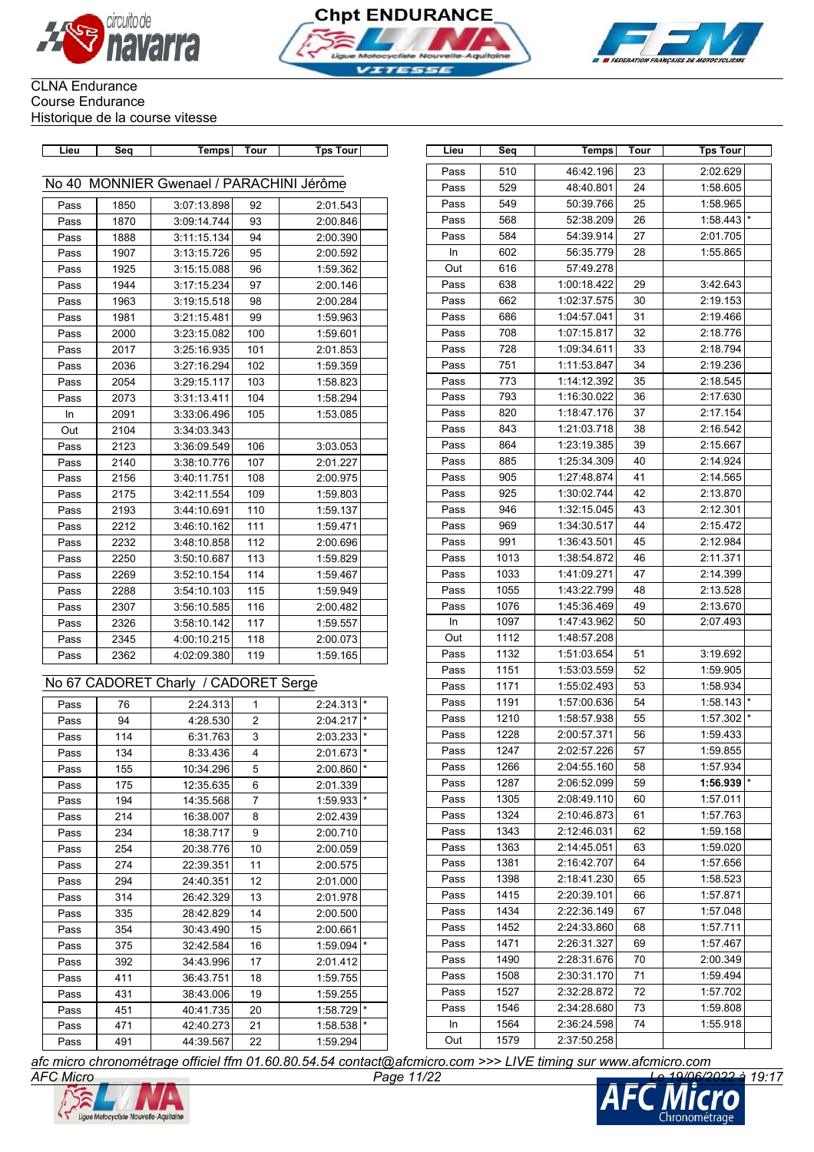





# CLNA Endurance Course Endurance

Historique de la course vitesse

| Lieu | Seq  | Temps                                    | <b>Tour</b>    | <b>Tps Tour</b>         | Lieu | Seq  | Temps       | Tour | <b>Tps Tour</b> |
|------|------|------------------------------------------|----------------|-------------------------|------|------|-------------|------|-----------------|
|      |      |                                          |                |                         | Pass | 510  | 46:42.196   | 23   | 2:02.629        |
|      |      | No 40 MONNIER Gwenael / PARACHINI Jérôme |                |                         | Pass | 529  | 48:40.801   | 24   | 1:58.605        |
| Pass | 1850 | 3:07:13.898                              | 92             | 2:01.543                | Pass | 549  | 50:39.766   | 25   | 1:58.965        |
| Pass | 1870 | 3:09:14.744                              | 93             | 2:00.846                | Pass | 568  | 52:38.209   | 26   | 1:58.443        |
| Pass | 1888 | 3:11:15.134                              | 94             | 2:00.390                | Pass | 584  | 54:39.914   | 27   | 2:01.705        |
| Pass | 1907 | 3:13:15.726                              | 95             | 2:00.592                | In   | 602  | 56:35.779   | 28   | 1:55.865        |
| Pass | 1925 | 3:15:15.088                              | 96             | 1:59.362                | Out  | 616  | 57:49.278   |      |                 |
| Pass | 1944 | 3:17:15.234                              | 97             | 2:00.146                | Pass | 638  | 1:00:18.422 | 29   | 3:42.643        |
| Pass | 1963 | 3:19:15.518                              | 98             | 2:00.284                | Pass | 662  | 1:02:37.575 | 30   | 2:19.153        |
| Pass | 1981 | 3:21:15.481                              | 99             | 1:59.963                | Pass | 686  | 1:04:57.041 | 31   | 2:19.466        |
| Pass | 2000 | 3:23:15.082                              | 100            | 1:59.601                | Pass | 708  | 1:07:15.817 | 32   | 2:18.776        |
| Pass | 2017 | 3:25:16.935                              | 101            | 2:01.853                | Pass | 728  | 1:09:34.611 | 33   | 2:18.794        |
| Pass | 2036 | 3:27:16.294                              | 102            | 1:59.359                | Pass | 751  | 1:11:53.847 | 34   | 2:19.236        |
| Pass | 2054 | 3:29:15.117                              | 103            | 1:58.823                | Pass | 773  | 1:14:12.392 | 35   | 2:18.545        |
| Pass | 2073 | 3:31:13.411                              | 104            | 1:58.294                | Pass | 793  | 1:16:30.022 | 36   | 2:17.630        |
| In   | 2091 | 3:33:06.496                              | 105            | 1:53.085                | Pass | 820  | 1:18:47.176 | 37   | 2:17.154        |
| Out  | 2104 | 3:34:03.343                              |                |                         | Pass | 843  | 1:21:03.718 | 38   | 2:16.542        |
| Pass | 2123 | 3:36:09.549                              | 106            | 3:03.053                | Pass | 864  | 1:23:19.385 | 39   | 2:15.667        |
| Pass | 2140 | 3:38:10.776                              | 107            | 2:01.227                | Pass | 885  | 1:25:34.309 | 40   | 2:14.924        |
| Pass | 2156 | 3:40:11.751                              | 108            | 2:00.975                | Pass | 905  | 1:27:48.874 | 41   | 2:14.565        |
| Pass | 2175 | 3:42:11.554                              | 109            | 1:59.803                | Pass | 925  | 1:30:02.744 | 42   | 2:13.870        |
| Pass | 2193 | 3:44:10.691                              | 110            | 1:59.137                | Pass | 946  | 1:32:15.045 | 43   | 2:12.301        |
| Pass | 2212 | 3:46:10.162                              | 111            | 1:59.471                | Pass | 969  | 1:34:30.517 | 44   | 2:15.472        |
| Pass | 2232 | 3:48:10.858                              | 112            | 2:00.696                | Pass | 991  | 1:36:43.501 | 45   | 2:12.984        |
| Pass | 2250 | 3:50:10.687                              | 113            | 1:59.829                | Pass | 1013 | 1:38:54.872 | 46   | 2:11.371        |
| Pass | 2269 | 3:52:10.154                              | 114            | 1:59.467                | Pass | 1033 | 1:41:09.271 | 47   | 2:14.399        |
| Pass | 2288 | 3:54:10.103                              | 115            | 1:59.949                | Pass | 1055 | 1:43:22.799 | 48   | 2:13.528        |
| Pass | 2307 | 3:56:10.585                              | 116            | 2:00.482                | Pass | 1076 | 1:45:36.469 | 49   | 2:13.670        |
| Pass | 2326 | 3:58:10.142                              | 117            | 1:59.557                | In   | 1097 | 1:47:43.962 | 50   | 2:07.493        |
| Pass | 2345 | 4:00:10.215                              | 118            | 2:00.073                | Out  | 1112 | 1:48:57.208 |      |                 |
| Pass | 2362 | 4:02:09.380                              | 119            | 1:59.165                | Pass | 1132 | 1:51:03.654 | 51   | 3:19.692        |
|      |      |                                          |                |                         | Pass | 1151 | 1:53:03.559 | 52   | 1:59.905        |
|      |      | No 67 CADORET Charly / CADORET Serge     |                |                         | Pass | 1171 | 1:55:02.493 | 53   | 1:58.934        |
| Pass | 76   | 2:24.313                                 | $\mathbf{1}$   | $2:24.313$ <sup>*</sup> | Pass | 1191 | 1:57:00.636 | 54   | 1:58.143        |
| Pass | 94   | 4:28.530                                 | $\overline{2}$ | $2:04.217$ *            | Pass | 1210 | 1:58:57.938 | 55   | 1:57.302        |
| Pass | 114  | 6:31.763                                 | 3              | 2:03.233                | Pass | 1228 | 2:00:57.371 | 56   | 1:59.433        |
| Pass | 134  | 8:33.436                                 | $\overline{4}$ | 2:01.673                | Pass | 1247 | 2:02:57.226 | 57   | 1:59.855        |
| Pass | 155  | 10:34.296                                | 5              | $2:00.860$ *            | Pass | 1266 | 2:04:55.160 | 58   | 1:57.934        |
| Pass | 175  | 12:35.635                                | 6              | 2:01.339                | Pass | 1287 | 2:06:52.099 | 59   | 1:56.939        |
| Pass | 194  | 14:35.568                                | 7              | 1:59.933                | Pass | 1305 | 2:08:49.110 | 60   | 1:57.011        |
| Pass | 214  | 16:38.007                                | 8              | 2:02.439                | Pass | 1324 | 2:10:46.873 | 61   | 1:57.763        |
| Pass | 234  | 18:38.717                                | 9              | 2:00.710                | Pass | 1343 | 2:12:46.031 | 62   | 1:59.158        |
| Pass | 254  | 20:38.776                                | 10             | 2:00.059                | Pass | 1363 | 2:14:45.051 | 63   | 1:59.020        |
| Pass | 274  | 22:39.351                                | 11             | 2:00.575                | Pass | 1381 | 2:16:42.707 | 64   | 1:57.656        |
| Pass | 294  | 24:40.351                                | 12             | 2:01.000                | Pass | 1398 | 2:18:41.230 | 65   | 1:58.523        |
| Pass | 314  | 26:42.329                                | 13             | 2:01.978                | Pass | 1415 | 2:20:39.101 | 66   | 1:57.871        |
| Pass | 335  | 28:42.829                                | 14             | 2:00.500                | Pass | 1434 | 2:22:36.149 | 67   | 1:57.048        |
| Pass | 354  | 30:43.490                                | 15             | 2:00.661                | Pass | 1452 | 2:24:33.860 | 68   | 1:57.711        |
| Pass | 375  | 32:42.584                                | 16             | 1:59.094                | Pass | 1471 | 2:26:31.327 | 69   | 1:57.467        |
| Pass | 392  | 34:43.996                                | 17             | 2:01.412                | Pass | 1490 | 2:28:31.676 | 70   | 2:00.349        |
| Pass | 411  | 36:43.751                                | 18             | 1:59.755                | Pass | 1508 | 2:30:31.170 | 71   | 1:59.494        |
| Pass | 431  | 38:43.006                                | 19             | 1:59.255                | Pass | 1527 | 2:32:28.872 | 72   | 1:57.702        |
| Pass | 451  | 40:41.735                                | 20             | $1:58.729$ *            | Pass | 1546 | 2:34:28.680 | 73   | 1:59.808        |
| Pass | 471  | 42:40.273                                | 21             | $1:58.538$ $\vert$ *    | In   | 1564 | 2:36:24.598 | 74   | 1:55.918        |
| Pass | 491  | 44:39.567                                | 22             | 1:59.294                | Out  | 1579 | 2:37:50.258 |      |                 |

| Lieu      | Seq  | Temps       | Tour | <b>Tps Tour</b>     |
|-----------|------|-------------|------|---------------------|
| Pass      | 510  | 46:42.196   | 23   | 2:02.629            |
| Pass      | 529  | 48:40.801   | 24   | 1:58.605            |
| Pass      | 549  | 50:39.766   | 25   | 1:58.965            |
| Pass      | 568  | 52:38.209   | 26   | 1:58.443            |
| Pass      | 584  | 54:39.914   | 27   | 2:01.705            |
| In        | 602  | 56:35.779   | 28   | 1:55.865            |
| Out       | 616  | 57:49.278   |      |                     |
| Pass      | 638  | 1:00:18.422 | 29   | 3:42.643            |
| Pass      | 662  | 1:02:37.575 | 30   | 2:19.153            |
| Pass      | 686  | 1:04:57.041 | 31   | 2:19.466            |
| Pass      | 708  | 1:07:15.817 | 32   | 2:18.776            |
| Pass      | 728  | 1:09:34.611 | 33   | 2:18.794            |
| Pass      | 751  | 1:11:53.847 | 34   | 2:19.236            |
| Pass      | 773  | 1:14:12.392 | 35   | 2:18.545            |
| Pass      | 793  | 1:16:30.022 | 36   | 2:17.630            |
| Pass      | 820  | 1:18:47.176 | 37   | 2:17.154            |
| Pass      | 843  | 1:21:03.718 | 38   | 2:16.542            |
| Pass      | 864  | 1:23:19.385 | 39   | 2:15.667            |
| Pass      | 885  | 1:25:34.309 | 40   | 2:14.924            |
| Pass      | 905  | 1:27:48.874 | 41   | 2:14.565            |
| Pass      | 925  | 1:30:02.744 | 42   | 2:13.870            |
| Pass      | 946  | 1:32:15.045 | 43   | 2:12.301            |
| Pass      | 969  | 1:34:30.517 | 44   | 2:15.472            |
| Pass      | 991  | 1:36:43.501 | 45   | 2:12.984            |
| Pass      | 1013 | 1:38:54.872 | 46   | 2:11.371            |
| Pass      | 1033 | 1:41:09.271 | 47   | 2:14.399            |
| Pass      | 1055 | 1:43:22.799 | 48   | 2:13.528            |
| Pass      | 1076 | 1:45:36.469 | 49   | 2:13.670            |
| <b>In</b> | 1097 | 1:47:43.962 | 50   | 2:07.493            |
| Out       | 1112 | 1:48:57.208 |      |                     |
| Pass      | 1132 | 1:51:03.654 | 51   | 3:19.692            |
| Pass      | 1151 | 1:53:03.559 | 52   | 1:59.905            |
| Pass      | 1171 | 1:55:02.493 | 53   | 1:58.934            |
| Pass      | 1191 | 1:57:00.636 | 54   | $\star$<br>1:58.143 |
| Pass      | 1210 | 1:58:57.938 | 55   | 1:57.302            |
| Pass      | 1228 | 2:00:57.371 | 56   | 1:59.433            |
| Pass      | 1247 | 2:02:57.226 | 57   | 1:59.855            |
| Pass      | 1266 | 2:04:55.160 | 58   | 1:57.934            |
| Pass      | 1287 | 2:06:52.099 | 59   | 1:56.939            |
| Pass      | 1305 | 2:08:49.110 | 60   | 1:57.011            |
| Pass      | 1324 | 2:10:46.873 | 61   | 1:57.763            |
| Pass      | 1343 | 2:12:46.031 | 62   | 1:59.158            |
| Pass      | 1363 | 2:14:45.051 | 63   | 1:59.020            |
| Pass      | 1381 | 2:16:42.707 | 64   | 1:57.656            |
| Pass      | 1398 | 2:18:41.230 | 65   | 1:58.523            |
| Pass      | 1415 | 2:20:39.101 | 66   | 1:57.871            |
| Pass      | 1434 | 2:22:36.149 | 67   | 1:57.048            |
| Pass      | 1452 | 2:24:33.860 | 68   | 1:57.711            |
| Pass      | 1471 | 2:26:31.327 | 69   | 1:57.467            |
| Pass      | 1490 | 2:28:31.676 | 70   | 2:00.349            |
| Pass      | 1508 | 2:30:31.170 | 71   | 1:59.494            |
| Pass      | 1527 | 2:32:28.872 | 72   | 1:57.702            |
| Pass      | 1546 | 2:34:28.680 | 73   | 1:59.808            |
| In.       | 1564 | 2:36:24.598 | 74   | 1:55.918            |
| Out       | 1579 | 2:37:50.258 |      |                     |

*AFC Micro Page 11/22 Le 19/06/2022 à 19:17 afc micro chronométrage officiel ffm 01.60.80.54.54 contact@afcmicro.com >>> LIVE timing sur www.afcmicro.com*



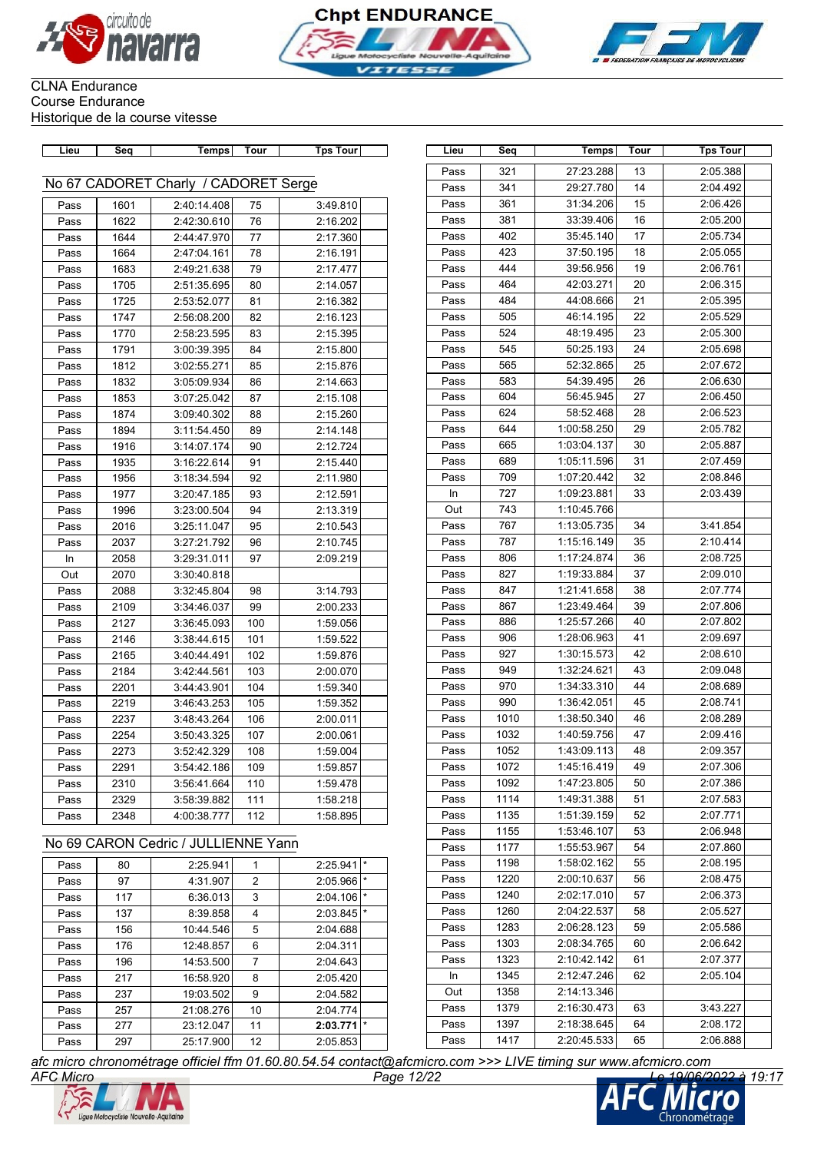





| Lieu | Seq  | <b>Temps</b>                         | Tour | <b>Tps Tour</b> | Lieu | Seq          | <b>Temps</b> | Tour     | <b>Tps Tour</b>      |
|------|------|--------------------------------------|------|-----------------|------|--------------|--------------|----------|----------------------|
|      |      |                                      |      |                 | Pass | 321          | 27:23.288    | 13       | 2:05.388             |
|      |      | No 67 CADORET Charly / CADORET Serge |      |                 | Pass | 341          | 29:27.780    | 14       | 2:04.492             |
| Pass | 1601 | 2:40:14.408                          | 75   | 3:49.810        | Pass | 361          | 31:34.206    | 15       | 2:06.426             |
| Pass | 1622 | 2:42:30.610                          | 76   | 2:16.202        | Pass | 381          | 33:39.406    | 16       | 2:05.200             |
| Pass | 1644 | 2:44:47.970                          | 77   | 2:17.360        | Pass | 402          | 35:45.140    | 17       | 2:05.734             |
| Pass | 1664 | 2:47:04.161                          | 78   | 2:16.191        | Pass | 423          | 37:50.195    | 18       | 2:05.055             |
| Pass | 1683 | 2:49:21.638                          | 79   | 2:17.477        | Pass | 444          | 39:56.956    | 19       | 2:06.761             |
| Pass | 1705 | 2:51:35.695                          | 80   | 2:14.057        | Pass | 464          | 42:03.271    | 20       | 2:06.315             |
| Pass | 1725 | 2:53:52.077                          | 81   | 2:16.382        | Pass | 484          | 44:08.666    | 21       | 2:05.395             |
| Pass | 1747 | 2:56:08.200                          | 82   | 2:16.123        | Pass | 505          | 46:14.195    | 22       | 2:05.529             |
| Pass | 1770 | 2:58:23.595                          | 83   | 2:15.395        | Pass | 524          | 48:19.495    | 23       | 2:05.300             |
| Pass | 1791 | 3:00:39.395                          | 84   | 2:15.800        | Pass | 545          | 50:25.193    | 24       | 2:05.698             |
| Pass | 1812 | 3:02:55.271                          | 85   | 2:15.876        | Pass | 565          | 52:32.865    | 25       | 2:07.672             |
| Pass | 1832 | 3:05:09.934                          | 86   | 2:14.663        | Pass | 583          | 54:39.495    | 26       | 2:06.630             |
| Pass | 1853 | 3:07:25.042                          | 87   | 2:15.108        | Pass | 604          | 56:45.945    | 27       | 2:06.450             |
| Pass | 1874 | 3:09:40.302                          | 88   | 2:15.260        | Pass | 624          | 58:52.468    | 28       | 2:06.523             |
| Pass | 1894 | 3:11:54.450                          | 89   | 2:14.148        | Pass | 644          | 1:00:58.250  | 29       | 2:05.782             |
| Pass | 1916 | 3:14:07.174                          | 90   | 2:12.724        | Pass | 665          | 1:03:04.137  | 30       | 2:05.887             |
| Pass | 1935 | 3:16:22.614                          | 91   | 2:15.440        | Pass | 689          | 1:05:11.596  | 31       | 2:07.459             |
| Pass | 1956 | 3:18:34.594                          | 92   | 2:11.980        | Pass | 709          | 1:07:20.442  | 32       | 2:08.846             |
| Pass | 1977 | 3:20:47.185                          | 93   | 2:12.591        | In   | 727          | 1:09:23.881  | 33       | 2:03.439             |
| Pass | 1996 | 3:23:00.504                          | 94   | 2:13.319        | Out  | 743          | 1:10:45.766  |          |                      |
| Pass | 2016 | 3:25:11.047                          | 95   | 2:10.543        | Pass | 767          | 1:13:05.735  | 34       | 3:41.854             |
| Pass | 2037 | 3:27:21.792                          | 96   | 2:10.745        | Pass | 787          | 1:15:16.149  | 35       | 2:10.414             |
| ln   | 2058 | 3:29:31.011                          | 97   | 2:09.219        | Pass | 806          | 1:17:24.874  | 36       | 2:08.725             |
| Out  | 2070 | 3:30:40.818                          |      |                 | Pass | 827          | 1:19:33.884  | 37       | 2:09.010             |
| Pass | 2088 | 3:32:45.804                          | 98   | 3:14.793        | Pass | 847          | 1:21:41.658  | 38       | 2:07.774             |
| Pass | 2109 | 3:34:46.037                          | 99   | 2:00.233        | Pass | 867          | 1:23:49.464  | 39       | 2:07.806             |
| Pass | 2127 | 3:36:45.093                          | 100  | 1:59.056        | Pass | 886          | 1:25:57.266  | 40       | 2:07.802             |
| Pass | 2146 | 3:38:44.615                          | 101  | 1:59.522        | Pass | 906          | 1:28:06.963  | 41       | 2:09.697             |
| Pass | 2165 | 3:40:44.491                          | 102  | 1:59.876        | Pass | 927          | 1:30:15.573  | 42       | 2:08.610             |
| Pass | 2184 | 3:42:44.561                          | 103  | 2:00.070        | Pass | 949          | 1:32:24.621  | 43       | 2:09.048             |
| Pass | 2201 | 3:44:43.901                          | 104  | 1:59.340        | Pass | 970          | 1:34:33.310  | 44       | 2:08.689             |
| Pass | 2219 | 3:46:43.253                          | 105  | 1:59.352        | Pass | 990          | 1:36:42.051  | 45       | 2:08.741             |
| Pass | 2237 | 3:48:43.264                          | 106  | 2:00.011        | Pass | 1010         | 1:38:50.340  | 46       | 2:08.289             |
| Pass | 2254 | 3:50:43.325                          | 107  | 2:00.061        | Pass | 1032         | 1:40:59.756  | 47       | 2:09.416             |
| Pass | 2273 | 3:52:42.329                          | 108  | 1:59.004        | Pass | 1052         | 1:43:09.113  | 48       | 2:09.357             |
| Pass | 2291 | 3:54:42.186                          | 109  | 1:59.857        | Pass | 1072         | 1:45:16.419  | 49       | 2:07.306             |
|      |      |                                      | 110  | 1:59.478        | Pass | 1092         | 1:47:23.805  | 50       | 2:07.386             |
| Pass | 2310 | 3:56:41.664                          |      |                 |      |              |              |          |                      |
| Pass | 2329 | 3:58:39.882                          | 111  | 1:58.218        | Pass | 1114<br>1135 | 1:49:31.388  | 51<br>52 | 2:07.583<br>2:07.771 |

### No 69 CARON Cedric / JULLIENNE Yann

| Pass | 80  | 2:25.941  | 1              | 2:25.941 | $\star$  |
|------|-----|-----------|----------------|----------|----------|
| Pass | 97  | 4:31.907  | 2              | 2:05.966 | $\star$  |
| Pass | 117 | 6:36.013  | 3              | 2:04.106 | $\star$  |
| Pass | 137 | 8:39.858  | 4              | 2:03.845 | $^\star$ |
| Pass | 156 | 10:44.546 | 5              | 2:04.688 |          |
| Pass | 176 | 12:48.857 | 6              | 2:04.311 |          |
| Pass | 196 | 14:53.500 | $\overline{7}$ | 2:04.643 |          |
| Pass | 217 | 16:58.920 | 8              | 2:05.420 |          |
| Pass | 237 | 19:03.502 | 9              | 2:04.582 |          |
| Pass | 257 | 21:08.276 | 10             | 2:04.774 |          |
| Pass | 277 | 23:12.047 | 11             | 2:03.771 | $^\star$ |
| Pass | 297 | 25:17.900 | 12             | 2:05.853 |          |

| Lieu | Seq  | <b>Temps</b> | Tour | Tps Tour |
|------|------|--------------|------|----------|
| Pass | 321  | 27:23.288    | 13   | 2:05.388 |
| Pass | 341  | 29:27.780    | 14   | 2:04.492 |
| Pass | 361  | 31:34.206    | 15   | 2:06.426 |
| Pass | 381  | 33:39.406    | 16   | 2:05.200 |
| Pass | 402  | 35:45.140    | 17   | 2:05.734 |
| Pass | 423  | 37:50.195    | 18   | 2:05.055 |
| Pass | 444  | 39:56.956    | 19   | 2:06.761 |
| Pass | 464  | 42:03.271    | 20   | 2:06.315 |
| Pass | 484  | 44:08.666    | 21   | 2:05.395 |
| Pass | 505  | 46:14.195    | 22   | 2:05.529 |
| Pass | 524  | 48:19.495    | 23   | 2:05.300 |
| Pass | 545  | 50:25.193    | 24   | 2:05.698 |
| Pass | 565  | 52:32.865    | 25   | 2:07.672 |
| Pass | 583  | 54:39.495    | 26   | 2:06.630 |
| Pass | 604  | 56:45.945    | 27   | 2:06.450 |
| Pass | 624  | 58:52.468    | 28   | 2:06.523 |
| Pass | 644  | 1:00:58.250  | 29   | 2:05.782 |
| Pass | 665  | 1:03:04.137  | 30   | 2:05.887 |
| Pass | 689  | 1:05:11.596  | 31   | 2:07.459 |
| Pass | 709  | 1:07:20.442  | 32   | 2:08.846 |
| In   | 727  | 1:09:23.881  | 33   | 2:03.439 |
| Out  | 743  | 1:10:45.766  |      |          |
| Pass | 767  | 1:13:05.735  | 34   | 3:41.854 |
| Pass | 787  | 1:15:16.149  | 35   | 2:10.414 |
| Pass | 806  | 1:17:24.874  | 36   | 2:08.725 |
| Pass | 827  | 1:19:33.884  | 37   | 2:09.010 |
| Pass | 847  | 1:21:41.658  | 38   | 2:07.774 |
| Pass | 867  | 1:23:49.464  | 39   | 2:07.806 |
| Pass | 886  | 1:25:57.266  | 40   | 2:07.802 |
| Pass | 906  | 1:28:06.963  | 41   | 2:09.697 |
| Pass | 927  | 1:30:15.573  | 42   | 2:08.610 |
| Pass | 949  | 1:32:24.621  | 43   | 2:09.048 |
| Pass | 970  | 1:34:33.310  | 44   | 2:08.689 |
| Pass | 990  | 1:36:42.051  | 45   | 2:08.741 |
| Pass | 1010 | 1:38:50.340  | 46   | 2:08.289 |
| Pass | 1032 | 1:40:59.756  | 47   | 2:09.416 |
| Pass | 1052 | 1:43:09.113  | 48   | 2:09.357 |
| Pass | 1072 | 1:45:16.419  | 49   | 2:07.306 |
| Pass | 1092 | 1:47:23.805  | 50   | 2:07.386 |
| Pass | 1114 | 1:49:31.388  | 51   | 2:07.583 |
| Pass | 1135 | 1:51:39.159  | 52   | 2:07.771 |
| Pass | 1155 | 1:53:46.107  | 53   | 2:06.948 |
| Pass | 1177 | 1:55:53.967  | 54   | 2:07.860 |
| Pass | 1198 | 1:58:02.162  | 55   | 2:08.195 |
| Pass | 1220 | 2:00:10.637  | 56   | 2:08.475 |
| Pass | 1240 | 2:02:17.010  | 57   | 2:06.373 |
| Pass | 1260 | 2:04:22.537  | 58   | 2:05.527 |
| Pass | 1283 | 2:06:28.123  | 59   | 2:05.586 |
| Pass | 1303 | 2:08:34.765  | 60   | 2:06.642 |
| Pass | 1323 | 2:10:42.142  | 61   | 2:07.377 |
| In   | 1345 | 2:12:47.246  | 62   | 2:05.104 |
| Out  | 1358 | 2:14:13.346  |      |          |
| Pass | 1379 | 2:16:30.473  | 63   | 3:43.227 |
| Pass | 1397 | 2:18:38.645  | 64   | 2:08.172 |
| Pass | 1417 | 2:20:45.533  | 65   | 2:06.888 |



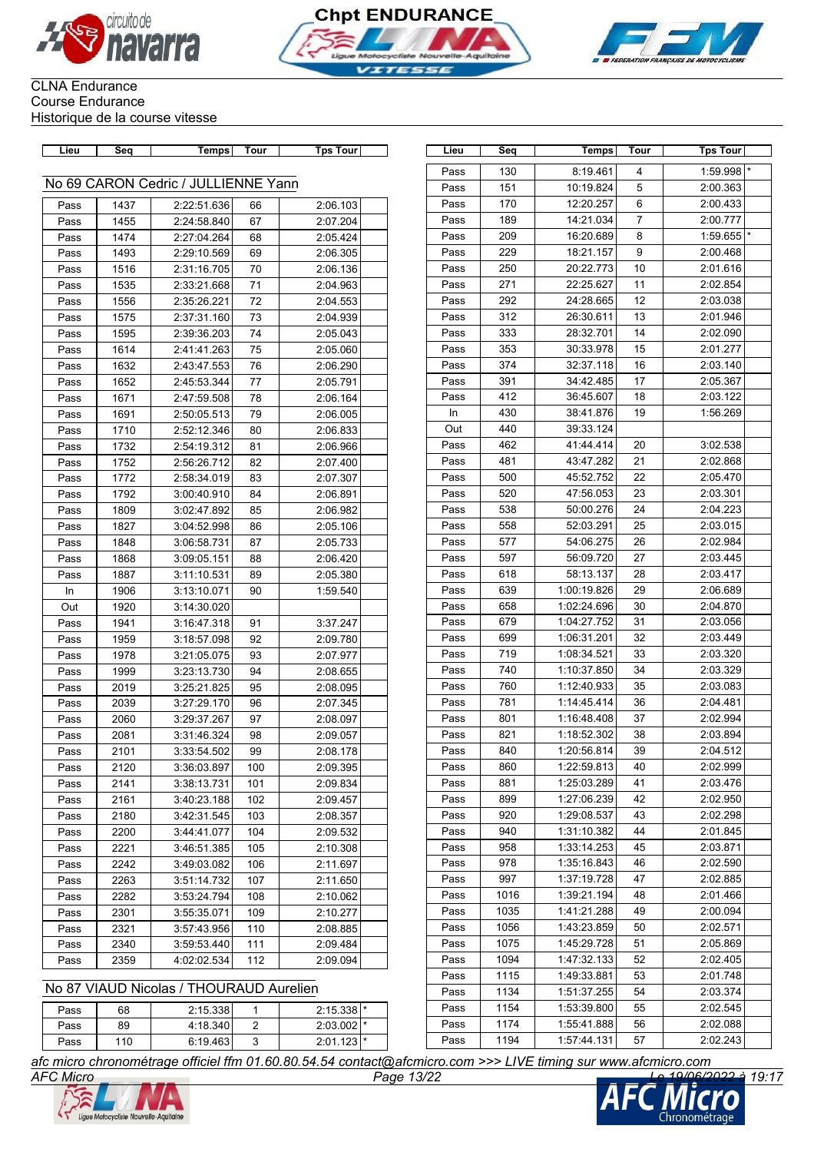





| Lieu | Sea  | Temps                               | Tour | Tps Tour | Lieu | Seq  | Temps       | Tour | <b>Tps Tour</b> |
|------|------|-------------------------------------|------|----------|------|------|-------------|------|-----------------|
|      |      |                                     |      |          | Pass | 130  | 8:19.461    | 4    | 1:59.998        |
|      |      | No 69 CARON Cedric / JULLIENNE Yann |      |          | Pass | 151  | 10:19.824   | 5    | 2:00.363        |
| Pass | 1437 | 2:22:51.636                         | 66   | 2:06.103 | Pass | 170  | 12:20.257   | 6    | 2:00.433        |
| Pass | 1455 | 2:24:58.840                         | 67   | 2:07.204 | Pass | 189  | 14:21.034   | 7    | 2:00.777        |
| Pass | 1474 | 2:27:04.264                         | 68   | 2:05.424 | Pass | 209  | 16:20.689   | 8    | 1:59.655        |
| Pass | 1493 | 2:29:10.569                         | 69   | 2:06.305 | Pass | 229  | 18:21.157   | 9    | 2:00.468        |
| Pass | 1516 | 2:31:16.705                         | 70   | 2:06.136 | Pass | 250  | 20:22.773   | 10   | 2:01.616        |
| Pass | 1535 | 2:33:21.668                         | 71   | 2:04.963 | Pass | 271  | 22:25.627   | 11   | 2:02.854        |
| Pass | 1556 | 2:35:26.221                         | 72   | 2:04.553 | Pass | 292  | 24:28.665   | 12   | 2:03.038        |
| Pass | 1575 | 2:37:31.160                         | 73   | 2:04.939 | Pass | 312  | 26:30.611   | 13   | 2:01.946        |
| Pass | 1595 | 2:39:36.203                         | 74   | 2:05.043 | Pass | 333  | 28:32.701   | 14   | 2:02.090        |
| Pass | 1614 | 2:41:41.263                         | 75   | 2:05.060 | Pass | 353  | 30:33.978   | 15   | 2:01.277        |
| Pass | 1632 | 2:43:47.553                         | 76   | 2:06.290 | Pass | 374  | 32:37.118   | 16   | 2:03.140        |
| Pass | 1652 | 2:45:53.344                         | 77   | 2:05.791 | Pass | 391  | 34:42.485   | 17   | 2:05.367        |
| Pass | 1671 | 2:47:59.508                         | 78   | 2:06.164 | Pass | 412  | 36:45.607   | 18   | 2:03.122        |
| Pass | 1691 | 2:50:05.513                         | 79   | 2:06.005 | In   | 430  | 38:41.876   | 19   | 1:56.269        |
| Pass | 1710 | 2:52:12.346                         | 80   | 2:06.833 | Out  | 440  | 39:33.124   |      |                 |
| Pass | 1732 | 2:54:19.312                         | 81   | 2:06.966 | Pass | 462  | 41:44.414   | 20   | 3:02.538        |
| Pass | 1752 | 2:56:26.712                         | 82   | 2:07.400 | Pass | 481  | 43:47.282   | 21   | 2:02.868        |
| Pass | 1772 | 2:58:34.019                         | 83   | 2:07.307 | Pass | 500  | 45:52.752   | 22   | 2:05.470        |
| Pass | 1792 | 3:00:40.910                         | 84   | 2:06.891 | Pass | 520  | 47:56.053   | 23   | 2:03.301        |
| Pass | 1809 | 3:02:47.892                         | 85   | 2:06.982 | Pass | 538  | 50:00.276   | 24   | 2:04.223        |
| Pass | 1827 | 3:04:52.998                         | 86   | 2:05.106 | Pass | 558  | 52:03.291   | 25   | 2:03.015        |
| Pass | 1848 | 3:06:58.731                         | 87   | 2:05.733 | Pass | 577  | 54:06.275   | 26   | 2:02.984        |
| Pass | 1868 | 3:09:05.151                         | 88   | 2:06.420 | Pass | 597  | 56:09.720   | 27   | 2:03.445        |
| Pass | 1887 | 3:11:10.531                         | 89   | 2:05.380 | Pass | 618  | 58:13.137   | 28   | 2:03.417        |
| In   | 1906 | 3:13:10.071                         | 90   | 1:59.540 | Pass | 639  | 1:00:19.826 | 29   | 2:06.689        |
| Out  | 1920 | 3:14:30.020                         |      |          | Pass | 658  | 1:02:24.696 | 30   | 2:04.870        |
| Pass | 1941 | 3:16:47.318                         | 91   | 3:37.247 | Pass | 679  | 1:04:27.752 | 31   | 2:03.056        |
| Pass | 1959 | 3:18:57.098                         | 92   | 2:09.780 | Pass | 699  | 1:06:31.201 | 32   | 2:03.449        |
| Pass | 1978 | 3:21:05.075                         | 93   | 2:07.977 | Pass | 719  | 1:08:34.521 | 33   | 2:03.320        |
| Pass | 1999 | 3:23:13.730                         | 94   | 2:08.655 | Pass | 740  | 1:10:37.850 | 34   | 2:03.329        |
| Pass | 2019 | 3:25:21.825                         | 95   | 2:08.095 | Pass | 760  | 1:12:40.933 | 35   | 2:03.083        |
| Pass | 2039 | 3:27:29.170                         | 96   | 2:07.345 | Pass | 781  | 1:14:45.414 | 36   | 2:04.481        |
| Pass | 2060 | 3:29:37.267                         | 97   | 2:08.097 | Pass | 801  | 1:16:48.408 | 37   | 2:02.994        |
| Pass | 2081 | 3:31:46.324                         | 98   | 2:09.057 | Pass | 821  | 1:18:52.302 | 38   | 2:03.894        |
| Pass | 2101 | 3:33:54.502                         | 99   | 2:08.178 | Pass | 840  | 1:20:56.814 | 39   | 2:04.512        |
| Pass | 2120 | 3:36:03.897                         | 100  | 2:09.395 | Pass | 860  | 1:22:59.813 | 40   | 2:02.999        |
| Pass | 2141 | 3:38:13.731                         | 101  | 2:09.834 | Pass | 881  | 1:25:03.289 | 41   | 2:03.476        |
| Pass | 2161 | 3:40:23.188                         | 102  | 2:09.457 | Pass | 899  | 1:27:06.239 | 42   | 2:02.950        |
| Pass | 2180 | 3:42:31.545                         | 103  | 2:08.357 | Pass | 920  | 1:29:08.537 | 43   | 2:02.298        |
| Pass | 2200 | 3:44:41.077                         | 104  | 2:09.532 | Pass | 940  | 1:31:10.382 | 44   | 2:01.845        |
| Pass | 2221 | 3:46:51.385                         | 105  | 2:10.308 | Pass | 958  | 1:33:14.253 | 45   | 2:03.871        |
| Pass | 2242 | 3:49:03.082                         | 106  | 2:11.697 | Pass | 978  | 1:35:16.843 | 46   | 2:02.590        |
| Pass | 2263 | 3:51:14.732                         | 107  | 2:11.650 | Pass | 997  | 1:37:19.728 | 47   | 2:02.885        |
| Pass | 2282 | 3:53:24.794                         | 108  | 2:10.062 | Pass | 1016 | 1:39:21.194 | 48   | 2:01.466        |
| Pass | 2301 | 3:55:35.071                         | 109  | 2:10.277 | Pass | 1035 | 1:41:21.288 | 49   | 2:00.094        |
| Pass | 2321 | 3:57:43.956                         | 110  | 2:08.885 | Pass | 1056 | 1:43:23.859 | 50   | 2:02.571        |
| Pass | 2340 | 3:59:53.440                         | 111  | 2:09.484 | Pass | 1075 | 1:45:29.728 | 51   | 2:05.869        |
| Pass | 2359 | 4:02:02.534                         | 112  | 2:09.094 | Pass | 1094 | 1:47:32.133 | 52   | 2:02.405        |

# No 87 VIAUD Nicolas / THOURAUD Aurelien

| Pass | 68  | 2:15.338 |   | $2:15.338$ *            |  |
|------|-----|----------|---|-------------------------|--|
| Pass | 89  | 4:18.340 |   | $2:03.002$ <sup>*</sup> |  |
| Pass | 110 | 6:19.463 | J | $2:01.123$ *            |  |

| Lieu | Seq  | <b>Temps</b> | Tour | Tps Tour   |
|------|------|--------------|------|------------|
| Pass | 130  | 8:19.461     | 4    | 1:59.998 * |
| Pass | 151  | 10:19.824    | 5    | 2:00.363   |
| Pass | 170  | 12:20.257    | 6    | 2:00.433   |
| Pass | 189  | 14:21.034    | 7    | 2:00.777   |
| Pass | 209  | 16:20.689    | 8    | 1:59.655   |
| Pass | 229  | 18:21.157    | 9    | 2:00.468   |
| Pass | 250  | 20:22.773    | 10   | 2:01.616   |
| Pass | 271  | 22:25.627    | 11   | 2:02.854   |
| Pass | 292  | 24:28.665    | 12   | 2:03.038   |
| Pass | 312  | 26:30.611    | 13   | 2:01.946   |
| Pass | 333  | 28:32.701    | 14   | 2:02.090   |
| Pass | 353  | 30:33.978    | 15   | 2:01.277   |
| Pass | 374  | 32:37.118    | 16   | 2:03.140   |
| Pass | 391  | 34:42.485    | 17   | 2:05.367   |
| Pass | 412  | 36:45.607    | 18   | 2:03.122   |
| In   | 430  | 38:41.876    | 19   | 1:56.269   |
| Out  | 440  | 39:33.124    |      |            |
| Pass | 462  | 41:44.414    | 20   | 3:02.538   |
| Pass | 481  | 43:47.282    | 21   | 2:02.868   |
| Pass | 500  | 45:52.752    | 22   | 2:05.470   |
| Pass | 520  | 47:56.053    | 23   | 2:03.301   |
| Pass | 538  | 50:00.276    | 24   | 2:04.223   |
| Pass | 558  | 52:03.291    | 25   | 2:03.015   |
| Pass | 577  | 54:06.275    | 26   | 2:02.984   |
| Pass | 597  | 56:09.720    | 27   | 2:03.445   |
| Pass | 618  | 58:13.137    | 28   | 2:03.417   |
| Pass | 639  | 1:00:19.826  | 29   | 2:06.689   |
| Pass | 658  | 1:02:24.696  | 30   | 2:04.870   |
| Pass | 679  | 1:04:27.752  | 31   | 2:03.056   |
| Pass | 699  | 1:06:31.201  | 32   | 2:03.449   |
| Pass | 719  | 1:08:34.521  | 33   | 2:03.320   |
| Pass | 740  | 1:10:37.850  | 34   | 2:03.329   |
| Pass | 760  | 1:12:40.933  | 35   | 2:03.083   |
| Pass | 781  | 1:14:45.414  | 36   | 2:04.481   |
| Pass | 801  | 1:16:48.408  | 37   | 2:02.994   |
| Pass | 821  | 1:18:52.302  | 38   | 2:03.894   |
| Pass | 840  | 1:20:56.814  | 39   | 2:04.512   |
| Pass | 860  | 1:22:59.813  | 40   | 2:02.999   |
| Pass | 881  | 1:25:03.289  | 41   | 2:03.476   |
| Pass | 899  | 1:27:06.239  | 42   | 2:02.950   |
| Pass | 920  | 1:29:08.537  | 43   | 2:02.298   |
| Pass | 940  | 1:31:10.382  | 44   | 2:01.845   |
| Pass | 958  | 1:33:14.253  | 45   | 2:03.871   |
| Pass | 978  | 1:35:16.843  | 46   | 2:02.590   |
| Pass | 997  | 1:37:19.728  | 47   | 2:02.885   |
| Pass | 1016 | 1:39:21.194  | 48   | 2:01.466   |
| Pass | 1035 | 1:41:21.288  | 49   | 2:00.094   |
| Pass | 1056 | 1:43:23.859  | 50   | 2:02.571   |
| Pass | 1075 | 1:45:29.728  | 51   | 2:05.869   |
| Pass | 1094 | 1:47:32.133  | 52   | 2:02.405   |
| Pass | 1115 | 1:49:33.881  | 53   | 2:01.748   |
| Pass | 1134 | 1:51:37.255  | 54   | 2:03.374   |
| Pass | 1154 | 1:53:39.800  | 55   | 2:02.545   |
| Pass | 1174 | 1:55:41.888  | 56   | 2:02.088   |
| Pass | 1194 | 1:57:44.131  | 57   | 2:02.243   |
|      |      |              |      |            |



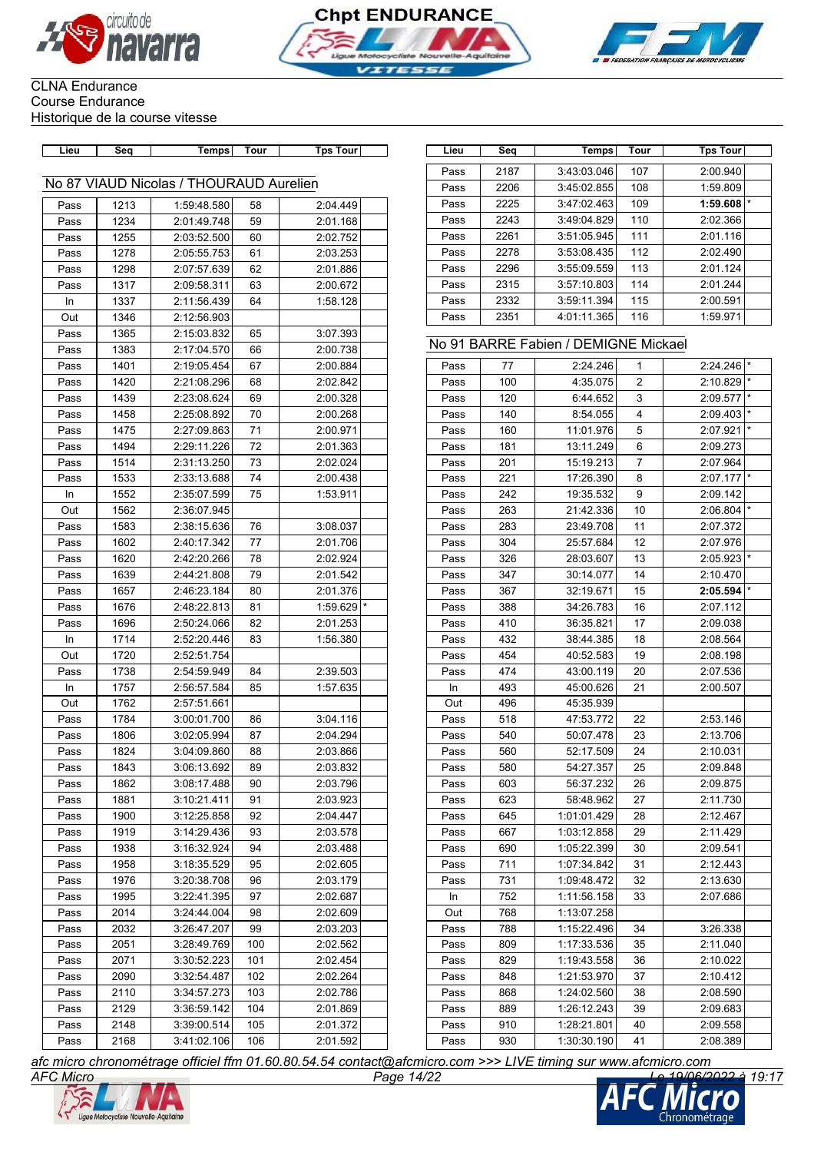





# CLNA Endurance Course Endurance

Historique de la course vitesse

| Lieu | Seq  | <b>Temps</b>                            | Tour | <b>Tps Tour</b> | Lieu | Seq  | Temps                                | Tour | <b>Tps Tour</b> |
|------|------|-----------------------------------------|------|-----------------|------|------|--------------------------------------|------|-----------------|
|      |      |                                         |      |                 | Pass | 2187 | 3:43:03.046                          | 107  | 2:00.940        |
|      |      | No 87 VIAUD Nicolas / THOURAUD Aurelien |      |                 | Pass | 2206 | 3:45:02.855                          | 108  | 1:59.809        |
| Pass | 1213 | 1:59:48.580                             | 58   | 2:04.449        | Pass | 2225 | 3:47:02.463                          | 109  | 1:59.608        |
| Pass | 1234 | 2:01:49.748                             | 59   | 2:01.168        | Pass | 2243 | 3:49:04.829                          | 110  | 2:02.366        |
| Pass | 1255 | 2:03:52.500                             | 60   | 2:02.752        | Pass | 2261 | 3:51:05.945                          | 111  | 2:01.116        |
| Pass | 1278 | 2:05:55.753                             | 61   | 2:03.253        | Pass | 2278 | 3:53:08.435                          | 112  | 2:02.490        |
| Pass | 1298 | 2:07:57.639                             | 62   | 2:01.886        | Pass | 2296 | 3:55:09.559                          | 113  | 2:01.124        |
| Pass | 1317 | 2:09:58.311                             | 63   | 2:00.672        | Pass | 2315 | 3:57:10.803                          | 114  | 2:01.244        |
| In   | 1337 | 2:11:56.439                             | 64   | 1:58.128        | Pass | 2332 | 3:59:11.394                          | 115  | 2:00.591        |
| Out  | 1346 | 2:12:56.903                             |      |                 | Pass | 2351 | 4:01:11.365                          | 116  | 1:59.971        |
| Pass | 1365 | 2:15:03.832                             | 65   | 3:07.393        |      |      |                                      |      |                 |
| Pass | 1383 | 2:17:04.570                             | 66   | 2:00.738        |      |      | No 91 BARRE Fabien / DEMIGNE Mickael |      |                 |
| Pass | 1401 | 2:19:05.454                             | 67   | 2:00.884        | Pass | 77   | 2:24.246                             | 1    | 2:24.246        |
| Pass | 1420 | 2:21:08.296                             | 68   | 2:02.842        | Pass | 100  | 4:35.075                             | 2    | 2:10.829        |
| Pass | 1439 | 2:23:08.624                             | 69   | 2:00.328        | Pass | 120  | 6:44.652                             | 3    | 2:09.577        |
| Pass | 1458 | 2:25:08.892                             | 70   | 2:00.268        | Pass | 140  | 8:54.055                             | 4    | 2:09.403        |
| Pass | 1475 | 2:27:09.863                             | 71   | 2:00.971        | Pass | 160  | 11:01.976                            | 5    | 2:07.921        |
| Pass | 1494 | 2:29:11.226                             | 72   | 2:01.363        | Pass | 181  | 13:11.249                            | 6    | 2:09.273        |
| Pass | 1514 | 2:31:13.250                             | 73   | 2:02.024        | Pass | 201  | 15:19.213                            | 7    | 2:07.964        |
| Pass | 1533 | 2:33:13.688                             | 74   | 2:00.438        | Pass | 221  | 17:26.390                            | 8    | 2:07.177        |
| In   | 1552 | 2:35:07.599                             | 75   | 1:53.911        | Pass | 242  | 19:35.532                            | 9    | 2:09.142        |
| Out  | 1562 | 2:36:07.945                             |      |                 | Pass | 263  | 21:42.336                            | $10$ | 2:06.804        |
| Pass | 1583 | 2:38:15.636                             | 76   | 3:08.037        | Pass | 283  | 23:49.708                            | 11   | 2:07.372        |
| Pass | 1602 | 2:40:17.342                             | 77   | 2:01.706        | Pass | 304  | 25:57.684                            | 12   | 2:07.976        |
| Pass | 1620 | 2:42:20.266                             | 78   | 2:02.924        | Pass | 326  | 28:03.607                            | 13   | 2:05.923        |
| Pass | 1639 | 2:44:21.808                             | 79   | 2:01.542        | Pass | 347  | 30:14.077                            | 14   | 2:10.470        |
| Pass | 1657 | 2:46:23.184                             | 80   | 2:01.376        | Pass | 367  | 32:19.671                            | 15   | 2:05.594        |
| Pass | 1676 | 2:48:22.813                             | 81   | 1:59.629        | Pass | 388  | 34:26.783                            | 16   | 2:07.112        |
| Pass | 1696 | 2:50:24.066                             | 82   | 2:01.253        | Pass | 410  | 36:35.821                            | 17   | 2:09.038        |
| In   | 1714 | 2:52:20.446                             | 83   | 1:56.380        | Pass | 432  | 38:44.385                            | 18   | 2:08.564        |
| Out  | 1720 | 2:52:51.754                             |      |                 | Pass | 454  | 40:52.583                            | 19   | 2:08.198        |
| Pass | 1738 | 2:54:59.949                             | 84   | 2:39.503        | Pass | 474  | 43:00.119                            | 20   | 2:07.536        |
| In   | 1757 | 2:56:57.584                             | 85   | 1:57.635        | In   | 493  | 45:00.626                            | 21   | 2:00.507        |
| Out  | 1762 | 2:57:51.661                             |      |                 | Out  | 496  | 45:35.939                            |      |                 |
| Pass | 1784 | 3:00:01.700                             | 86   | 3:04.116        | Pass | 518  | 47:53.772                            | 22   | 2:53.146        |
| Pass | 1806 | 3:02:05.994                             | 87   | 2:04.294        | Pass | 540  | 50:07.478                            | 23   | 2:13.706        |
| Pass | 1824 | 3:04:09.860                             | 88   | 2:03.866        | Pass | 560  | 52:17.509                            | 24   | 2:10.031        |
| Pass | 1843 | 3:06:13.692                             | 89   | 2:03.832        | Pass | 580  | 54:27.357                            | 25   | 2:09.848        |
| Pass | 1862 | 3:08:17.488                             | 90   | 2:03.796        | Pass | 603  | 56:37.232                            | 26   | 2:09.875        |
| Pass | 1881 | 3:10:21.411                             | 91   | 2:03.923        | Pass | 623  | 58:48.962                            | 27   | 2:11.730        |
| Pass | 1900 | 3:12:25.858                             | 92   | 2:04.447        | Pass | 645  | 1:01:01.429                          | 28   | 2:12.467        |
| Pass | 1919 | 3:14:29.436                             | 93   | 2:03.578        | Pass | 667  | 1:03:12.858                          | 29   | 2:11.429        |
| Pass | 1938 | 3:16:32.924                             | 94   | 2:03.488        | Pass | 690  | 1:05:22.399                          | 30   | 2:09.541        |
| Pass | 1958 | 3:18:35.529                             | 95   | 2:02.605        | Pass | 711  | 1:07:34.842                          | 31   | 2:12.443        |
| Pass | 1976 | 3:20:38.708                             | 96   | 2:03.179        | Pass | 731  | 1:09:48.472                          | 32   | 2:13.630        |
| Pass | 1995 | 3:22:41.395                             | 97   | 2:02.687        | In   | 752  | 1:11:56.158                          | 33   | 2:07.686        |
| Pass | 2014 | 3:24:44.004                             | 98   | 2:02.609        | Out  | 768  | 1:13:07.258                          |      |                 |
| Pass | 2032 | 3:26:47.207                             | 99   | 2:03.203        | Pass | 788  | 1:15:22.496                          | 34   | 3:26.338        |
| Pass | 2051 | 3:28:49.769                             | 100  | 2:02.562        | Pass | 809  | 1:17:33.536                          | 35   | 2:11.040        |
| Pass | 2071 | 3:30:52.223                             | 101  | 2:02.454        | Pass | 829  | 1:19:43.558                          | 36   | 2:10.022        |
| Pass | 2090 | 3:32:54.487                             | 102  | 2:02.264        | Pass | 848  | 1:21:53.970                          | 37   | 2:10.412        |
| Pass | 2110 | 3:34:57.273                             | 103  | 2:02.786        | Pass | 868  | 1:24:02.560                          | 38   | 2:08.590        |
| Pass | 2129 | 3:36:59.142                             | 104  | 2:01.869        | Pass | 889  | 1:26:12.243                          | 39   | 2:09.683        |
| Pass | 2148 | 3:39:00.514                             | 105  | 2:01.372        | Pass | 910  | 1:28:21.801                          | 40   | 2:09.558        |
| Pass | 2168 | 3:41:02.106                             | 106  | 2:01.592        | Pass | 930  | 1:30:30.190                          | 41   | 2:08.389        |
|      |      |                                         |      |                 |      |      |                                      |      |                 |

| Lieu | Seq  | Temps       | Tour | <b>Tps Tour</b> |         |
|------|------|-------------|------|-----------------|---------|
| Pass | 2187 | 3:43:03.046 | 107  | 2:00.940        |         |
| Pass | 2206 | 3:45:02.855 | 108  | 1:59.809        |         |
|      |      |             |      |                 | $\star$ |
| Pass | 2225 | 3:47:02.463 | 109  | 1:59.608        |         |
| Pass | 2243 | 3:49:04.829 | 110  | 2:02.366        |         |
| Pass | 2261 | 3:51:05.945 | 111  | 2:01.116        |         |
| Pass | 2278 | 3:53:08.435 | 112  | 2:02.490        |         |
| Pass | 2296 | 3:55:09.559 | 113  | 2:01.124        |         |
| Pass | 2315 | 3:57:10.803 | 114  | 2:01.244        |         |
| Pass | 2332 | 3:59:11.394 | 115  | 2:00.591        |         |
| Pass | 2351 | 4:01:11.365 | 116  | 1:59.971        |         |

### No 91 BARRE Fabien / DEMIGNE Mickael

| Pass | 77  | 2:24.246    | 1              | $2:24.246$ *            |         |
|------|-----|-------------|----------------|-------------------------|---------|
| Pass | 100 | 4:35.075    | $\overline{2}$ | 2:10.829                |         |
| Pass | 120 | 6:44.652    | 3              | 2:09.577                |         |
| Pass | 140 | 8:54.055    | 4              | 2:09.403                |         |
| Pass | 160 | 11:01.976   | 5              | 2:07.921                |         |
| Pass | 181 | 13:11.249   | 6              | 2:09.273                |         |
| Pass | 201 | 15:19.213   | 7              | 2:07.964                |         |
| Pass | 221 | 17:26.390   | 8              | 2:07.177                |         |
| Pass | 242 | 19:35.532   | 9              | 2:09.142                |         |
| Pass | 263 | 21:42.336   | 10             | $2:06.804$ <sup>*</sup> |         |
| Pass | 283 | 23:49.708   | 11             | 2:07.372                |         |
| Pass | 304 | 25:57.684   | 12             | 2:07.976                |         |
| Pass | 326 | 28:03.607   | 13             | 2:05.923                | $\star$ |
| Pass | 347 | 30:14.077   | 14             | 2:10.470                |         |
| Pass | 367 | 32:19.671   | 15             | $2:05.594$ *            |         |
| Pass | 388 | 34:26.783   | 16             | 2:07.112                |         |
| Pass | 410 | 36:35.821   | 17             | 2:09.038                |         |
| Pass | 432 | 38:44.385   | 18             | 2:08.564                |         |
| Pass | 454 | 40:52.583   | 19             | 2:08.198                |         |
| Pass | 474 | 43:00.119   | 20             | 2:07.536                |         |
| In.  | 493 | 45:00.626   | 21             | 2:00.507                |         |
| Out  | 496 | 45:35.939   |                |                         |         |
| Pass | 518 | 47:53.772   | 22             | 2:53.146                |         |
| Pass | 540 | 50:07.478   | 23             | 2:13.706                |         |
| Pass | 560 | 52:17.509   | 24             | 2:10.031                |         |
| Pass | 580 | 54:27.357   | 25             | 2:09.848                |         |
| Pass | 603 | 56:37.232   | 26             | 2:09.875                |         |
| Pass | 623 | 58:48.962   | 27             | 2:11.730                |         |
| Pass | 645 | 1:01:01.429 | 28             | 2:12.467                |         |
| Pass | 667 | 1:03:12.858 | 29             | 2:11.429                |         |
| Pass | 690 | 1:05:22.399 | 30             | 2:09.541                |         |
| Pass | 711 | 1:07:34.842 | 31             | 2:12.443                |         |
| Pass | 731 | 1:09:48.472 | 32             | 2:13.630                |         |
| In   | 752 | 1:11:56.158 | 33             | 2:07.686                |         |
| Out  | 768 | 1:13:07.258 |                |                         |         |
| Pass | 788 | 1:15:22.496 | 34             | 3:26.338                |         |
| Pass | 809 | 1:17:33.536 | 35             | 2:11.040                |         |
| Pass | 829 | 1:19:43.558 | 36             | 2:10.022                |         |
| Pass | 848 | 1:21:53.970 | 37             | 2:10.412                |         |
| Pass | 868 | 1:24:02.560 | 38             | 2:08.590                |         |
| Pass | 889 | 1:26:12.243 | 39             | 2:09.683                |         |
| Pass | 910 | 1:28:21.801 | 40             | 2:09.558                |         |
| Pass | 930 | 1:30:30.190 | 41             | 2:08.389                |         |
|      |     |             |                |                         |         |



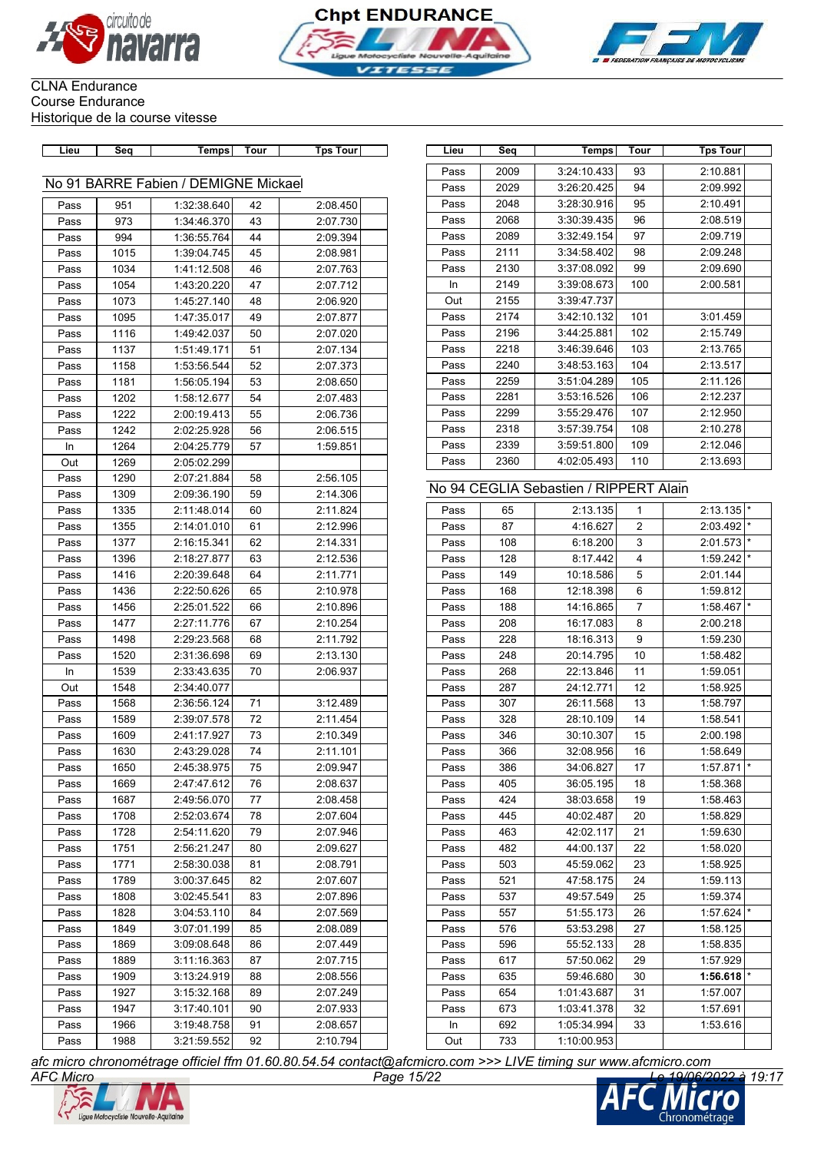





| Lieu | Seq  | Temps                                | Tour | <b>Tps Tour</b> | Lieu | Seq  | Temps                                  | Tour           | <b>Tps Tour</b> |
|------|------|--------------------------------------|------|-----------------|------|------|----------------------------------------|----------------|-----------------|
|      |      |                                      |      |                 | Pass | 2009 | 3:24:10.433                            | 93             | 2:10.881        |
|      |      | No 91 BARRE Fabien / DEMIGNE Mickael |      |                 | Pass | 2029 | 3:26:20.425                            | 94             | 2:09.992        |
| Pass | 951  | 1:32:38.640                          | 42   | 2:08.450        | Pass | 2048 | 3:28:30.916                            | 95             | 2:10.491        |
| Pass | 973  | 1:34:46.370                          | 43   | 2:07.730        | Pass | 2068 | 3:30:39.435                            | 96             | 2:08.519        |
| Pass | 994  | 1:36:55.764                          | 44   | 2:09.394        | Pass | 2089 | 3:32:49.154                            | 97             | 2:09.719        |
| Pass | 1015 | 1:39:04.745                          | 45   | 2:08.981        | Pass | 2111 | 3:34:58.402                            | 98             | 2:09.248        |
| Pass | 1034 | 1:41:12.508                          | 46   | 2:07.763        | Pass | 2130 | 3:37:08.092                            | 99             | 2:09.690        |
| Pass | 1054 | 1:43:20.220                          | 47   | 2:07.712        | In   | 2149 | 3:39:08.673                            | 100            | 2:00.581        |
| Pass | 1073 | 1:45:27.140                          | 48   | 2:06.920        | Out  | 2155 | 3:39:47.737                            |                |                 |
| Pass | 1095 | 1:47:35.017                          | 49   | 2:07.877        | Pass | 2174 | 3:42:10.132                            | 101            | 3:01.459        |
| Pass | 1116 | 1:49:42.037                          | 50   | 2:07.020        | Pass | 2196 | 3:44:25.881                            | 102            | 2:15.749        |
| Pass | 1137 | 1:51:49.171                          | 51   | 2:07.134        | Pass | 2218 | 3:46:39.646                            | 103            | 2:13.765        |
| Pass | 1158 | 1:53:56.544                          | 52   | 2:07.373        | Pass | 2240 | 3:48:53.163                            | 104            | 2:13.517        |
| Pass | 1181 | 1:56:05.194                          | 53   | 2:08.650        | Pass | 2259 | 3:51:04.289                            | 105            | 2:11.126        |
| Pass | 1202 | 1:58:12.677                          | 54   | 2:07.483        | Pass | 2281 | 3:53:16.526                            | 106            | 2:12.237        |
| Pass | 1222 | 2:00:19.413                          | 55   | 2:06.736        | Pass | 2299 | 3:55:29.476                            | 107            | 2:12.950        |
| Pass | 1242 | 2:02:25.928                          | 56   | 2:06.515        | Pass | 2318 | 3:57:39.754                            | 108            | 2:10.278        |
| In   | 1264 | 2:04:25.779                          | 57   | 1:59.851        | Pass | 2339 | 3:59:51.800                            | 109            | 2:12.046        |
| Out  | 1269 | 2:05:02.299                          |      |                 | Pass | 2360 | 4:02:05.493                            | 110            | 2:13.693        |
| Pass | 1290 | 2:07:21.884                          | 58   | 2:56.105        |      |      |                                        |                |                 |
| Pass | 1309 | 2:09:36.190                          | 59   | 2:14.306        |      |      | No 94 CEGLIA Sebastien / RIPPERT Alain |                |                 |
| Pass | 1335 | 2:11:48.014                          | 60   | 2:11.824        | Pass | 65   | 2:13.135                               | $\mathbf{1}$   | 2:13.135        |
| Pass | 1355 | 2:14:01.010                          | 61   | 2:12.996        | Pass | 87   | 4:16.627                               | $\overline{2}$ | 2:03.492        |
| Pass | 1377 | 2:16:15.341                          | 62   | 2:14.331        | Pass | 108  | 6:18.200                               | 3              | 2:01.573        |
| Pass | 1396 | 2:18:27.877                          | 63   | 2:12.536        | Pass | 128  | 8:17.442                               | 4              | 1:59.242        |
| Pass | 1416 | 2:20:39.648                          | 64   | 2:11.771        | Pass | 149  | 10:18.586                              | 5              | 2:01.144        |
| Pass | 1436 | 2:22:50.626                          | 65   | 2:10.978        | Pass | 168  | 12:18.398                              | 6              | 1:59.812        |
| Pass | 1456 | 2:25:01.522                          | 66   | 2:10.896        | Pass | 188  | 14:16.865                              | $\overline{7}$ | 1:58.467        |
| Pass | 1477 | 2:27:11.776                          | 67   | 2:10.254        | Pass | 208  | 16:17.083                              | 8              | 2:00.218        |
| Pass | 1498 | 2:29:23.568                          | 68   | 2:11.792        | Pass | 228  | 18:16.313                              | 9              | 1:59.230        |
| Pass | 1520 | 2:31:36.698                          | 69   | 2:13.130        | Pass | 248  | 20:14.795                              | 10             | 1:58.482        |
| In   | 1539 | 2:33:43.635                          | 70   | 2:06.937        | Pass | 268  | 22:13.846                              | 11             | 1:59.051        |
| Out  | 1548 | 2:34:40.077                          |      |                 | Pass | 287  | 24:12.771                              | 12             | 1:58.925        |
| Pass | 1568 | 2:36:56.124                          | 71   | 3:12.489        | Pass | 307  | 26:11.568                              | 13             | 1:58.797        |
| Pass | 1589 | 2:39:07.578                          | 72   | 2:11.454        | Pass | 328  | 28:10.109                              | 14             | 1:58.541        |
| Pass | 1609 | 2:41:17.927                          | 73   | 2:10.349        | Pass | 346  | 30:10.307                              | 15             | 2:00.198        |
| Pass | 1630 | 2:43:29.028                          | 74   | 2:11.101        | Pass | 366  | 32:08.956                              | 16             | 1:58.649        |
| Pass | 1650 | 2:45:38.975                          | 75   | 2:09.947        | Pass | 386  | 34:06.827                              | 17             | 1:57.871        |
| Pass | 1669 | 2:47:47.612                          | 76   | 2:08.637        | Pass | 405  | 36:05.195                              | 18             | 1:58.368        |
| Pass | 1687 | 2:49:56.070                          | 77   | 2:08.458        | Pass | 424  | 38:03.658                              | 19             | 1:58.463        |
| Pass | 1708 | 2:52:03.674                          | 78   | 2:07.604        | Pass | 445  | 40:02.487                              | 20             | 1:58.829        |
| Pass | 1728 | 2:54:11.620                          | 79   | 2:07.946        | Pass | 463  | 42:02.117                              | 21             | 1:59.630        |
| Pass | 1751 | 2:56:21.247                          | 80   | 2:09.627        | Pass | 482  | 44:00.137                              | 22             | 1:58.020        |
| Pass | 1771 | 2:58:30.038                          | 81   | 2:08.791        | Pass | 503  | 45:59.062                              | 23             | 1:58.925        |
| Pass | 1789 | 3:00:37.645                          | 82   | 2:07.607        | Pass | 521  | 47:58.175                              | 24             | 1:59.113        |
| Pass | 1808 | 3:02:45.541                          | 83   | 2:07.896        | Pass | 537  | 49:57.549                              | 25             | 1:59.374        |
| Pass | 1828 | 3:04:53.110                          | 84   | 2:07.569        | Pass | 557  | 51:55.173                              | 26             | 1:57.624        |
| Pass | 1849 | 3:07:01.199                          | 85   | 2:08.089        | Pass | 576  | 53:53.298                              | 27             | 1:58.125        |
| Pass | 1869 | 3:09:08.648                          | 86   | 2:07.449        | Pass | 596  | 55:52.133                              | 28             | 1:58.835        |
| Pass | 1889 | 3:11:16.363                          | 87   | 2:07.715        | Pass | 617  | 57:50.062                              | 29             | 1:57.929        |
| Pass | 1909 | 3:13:24.919                          | 88   | 2:08.556        | Pass | 635  | 59:46.680                              | 30             | 1:56.618        |
| Pass | 1927 | 3:15:32.168                          | 89   | 2:07.249        | Pass | 654  | 1:01:43.687                            | 31             | 1:57.007        |
| Pass | 1947 | 3:17:40.101                          | 90   | 2:07.933        | Pass | 673  | 1:03:41.378                            | 32             | 1:57.691        |
| Pass | 1966 | 3:19:48.758                          | 91   | 2:08.657        | In   | 692  | 1:05:34.994                            | 33             | 1:53.616        |

| Lieu | Seq  | Temps                                  | Tour | <b>Tps Tour</b>         |
|------|------|----------------------------------------|------|-------------------------|
|      |      |                                        |      |                         |
| Pass | 2009 | 3:24:10.433                            | 93   | 2:10.881                |
| Pass | 2029 | 3:26:20.425                            | 94   | 2:09.992                |
| Pass | 2048 | 3:28:30.916                            | 95   | 2:10.491                |
| Pass | 2068 | 3:30:39.435                            | 96   | 2:08.519                |
| Pass | 2089 | 3:32:49.154                            | 97   | 2:09.719                |
| Pass | 2111 | 3:34:58.402                            | 98   | 2:09.248                |
| Pass | 2130 | 3:37:08.092                            | 99   | 2:09.690                |
| In.  | 2149 | 3:39:08.673                            | 100  | 2:00.581                |
| Out  | 2155 | 3:39:47.737                            |      |                         |
| Pass | 2174 | 3:42:10.132                            | 101  | 3:01.459                |
| Pass | 2196 | 3:44:25.881                            | 102  | 2:15.749                |
| Pass | 2218 | 3:46:39.646                            | 103  | 2:13.765                |
| Pass | 2240 | 3:48:53.163                            | 104  | 2:13.517                |
| Pass | 2259 | 3:51:04.289                            | 105  | 2:11.126                |
| Pass | 2281 | 3:53:16.526                            | 106  | 2:12.237                |
| Pass | 2299 | 3:55:29.476                            | 107  | 2:12.950                |
| Pass | 2318 | 3:57:39.754                            | 108  | 2:10.278                |
| Pass | 2339 | 3:59:51.800                            | 109  | 2:12.046                |
| Pass | 2360 | 4:02:05.493                            | 110  | 2:13.693                |
|      |      | No 94 CEGLIA Sebastien / RIPPERT Alain |      |                         |
| Pass | 65   | 2.13135                                | 1    | $2:13.135$ <sup>*</sup> |

# Pass | 65 | 2:13.135| 1 | 2:13.135|\*

| Pass | 65  | 2:13.135    | 1                       | 2:13.135 |         |
|------|-----|-------------|-------------------------|----------|---------|
| Pass | 87  | 4:16.627    | $\overline{2}$          | 2:03.492 | $\star$ |
| Pass | 108 | 6:18.200    | 3                       | 2:01.573 | $\star$ |
| Pass | 128 | 8:17.442    | $\overline{\mathbf{4}}$ | 1:59.242 | $\star$ |
| Pass | 149 | 10:18.586   | 5                       | 2:01.144 |         |
| Pass | 168 | 12:18.398   | 6                       | 1:59.812 |         |
| Pass | 188 | 14:16.865   | $\overline{7}$          | 1:58.467 | $\star$ |
| Pass | 208 | 16:17.083   | 8                       | 2:00.218 |         |
| Pass | 228 | 18:16.313   | 9                       | 1:59.230 |         |
| Pass | 248 | 20:14.795   | 10                      | 1:58.482 |         |
| Pass | 268 | 22:13.846   | 11                      | 1:59.051 |         |
| Pass | 287 | 24:12.771   | 12                      | 1:58.925 |         |
| Pass | 307 | 26:11.568   | 13                      | 1:58.797 |         |
| Pass | 328 | 28:10.109   | 14                      | 1:58.541 |         |
| Pass | 346 | 30:10.307   | 15                      | 2:00.198 |         |
| Pass | 366 | 32:08.956   | 16                      | 1:58.649 |         |
| Pass | 386 | 34:06.827   | 17                      | 1:57.871 | $\star$ |
| Pass | 405 | 36:05.195   | 18                      | 1:58.368 |         |
| Pass | 424 | 38:03.658   | 19                      | 1:58.463 |         |
| Pass | 445 | 40:02.487   | 20                      | 1:58.829 |         |
| Pass | 463 | 42:02.117   | 21                      | 1:59.630 |         |
| Pass | 482 | 44:00.137   | 22                      | 1:58.020 |         |
| Pass | 503 | 45:59.062   | 23                      | 1:58.925 |         |
| Pass | 521 | 47:58.175   | 24                      | 1:59.113 |         |
| Pass | 537 | 49:57.549   | 25                      | 1:59.374 |         |
| Pass | 557 | 51:55.173   | 26                      | 1:57.624 | $\star$ |
| Pass | 576 | 53:53.298   | 27                      | 1:58.125 |         |
| Pass | 596 | 55:52.133   | 28                      | 1:58.835 |         |
| Pass | 617 | 57:50.062   | 29                      | 1:57.929 |         |
| Pass | 635 | 59:46.680   | 30                      | 1:56.618 | $\star$ |
| Pass | 654 | 1:01:43.687 | 31                      | 1:57.007 |         |
| Pass | 673 | 1:03:41.378 | 32                      | 1:57.691 |         |
| In.  | 692 | 1:05:34.994 | 33                      | 1:53.616 |         |
| Out  | 733 | 1:10:00.953 |                         |          |         |
|      |     |             |                         |          |         |

*AFC Micro Page 15/22 Le 19/06/2022 à 19:17 afc micro chronométrage officiel ffm 01.60.80.54.54 contact@afcmicro.com >>> LIVE timing sur www.afcmicro.com*



Pass 1988 3:21:59.552 92 2:10.794

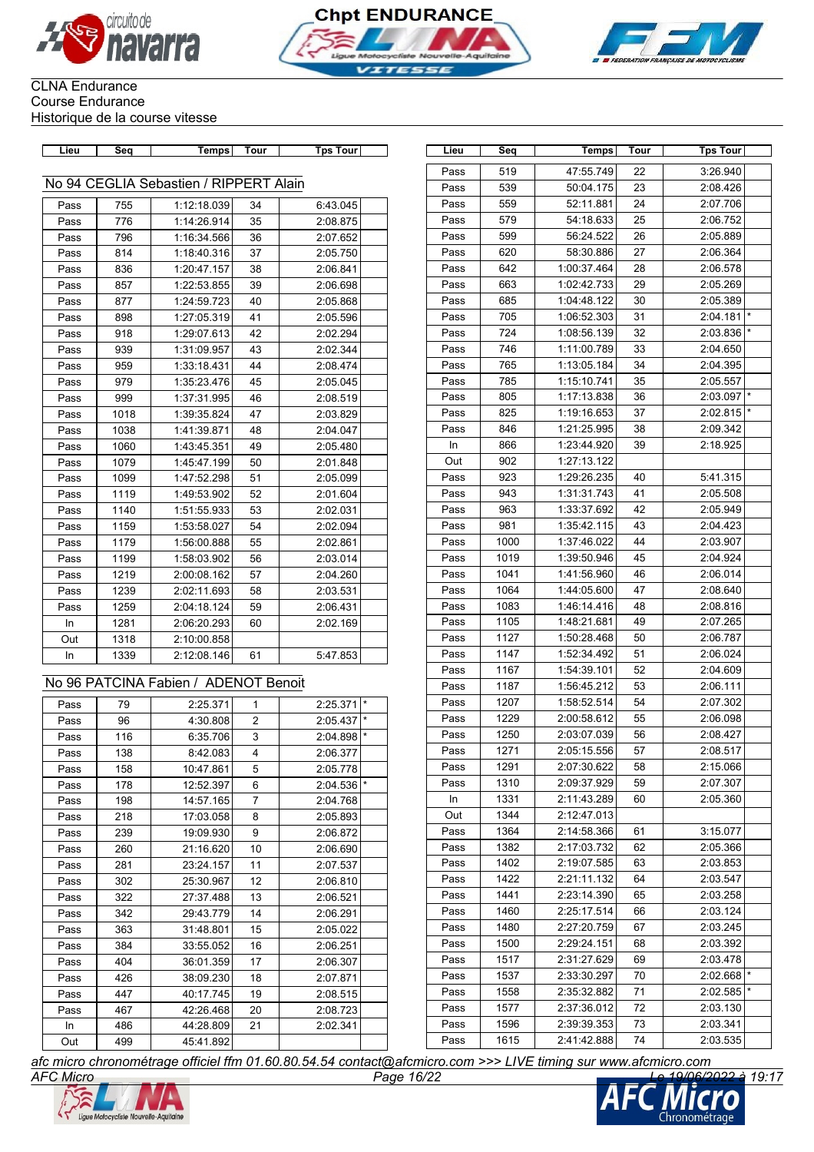





| Lieu | Seq  | Temps                                  | Tour           | <b>Tps Tour</b>        | Lieu | Seq  | <b>Temps</b> | Tour | <b>Tps Tour</b> |
|------|------|----------------------------------------|----------------|------------------------|------|------|--------------|------|-----------------|
|      |      |                                        |                |                        | Pass | 519  | 47:55.749    | 22   | 3:26.940        |
|      |      | No 94 CEGLIA Sebastien / RIPPERT Alain |                |                        | Pass | 539  | 50:04.175    | 23   | 2:08.426        |
| Pass | 755  | 1:12:18.039                            | 34             | 6:43.045               | Pass | 559  | 52:11.881    | 24   | 2:07.706        |
| Pass | 776  | 1:14:26.914                            | 35             | 2:08.875               | Pass | 579  | 54:18.633    | 25   | 2:06.752        |
| Pass | 796  | 1:16:34.566                            | 36             | 2:07.652               | Pass | 599  | 56:24.522    | 26   | 2:05.889        |
| Pass | 814  | 1:18:40.316                            | 37             | 2:05.750               | Pass | 620  | 58:30.886    | 27   | 2:06.364        |
| Pass | 836  | 1:20:47.157                            | 38             | 2:06.841               | Pass | 642  | 1:00:37.464  | 28   | 2:06.578        |
| Pass | 857  | 1:22:53.855                            | 39             | 2:06.698               | Pass | 663  | 1:02:42.733  | 29   | 2:05.269        |
| Pass | 877  | 1:24:59.723                            | 40             | 2:05.868               | Pass | 685  | 1:04:48.122  | 30   | 2:05.389        |
| Pass | 898  | 1:27:05.319                            | 41             | 2:05.596               | Pass | 705  | 1:06:52.303  | 31   | 2:04.181        |
| Pass | 918  | 1:29:07.613                            | 42             | 2:02.294               | Pass | 724  | 1:08:56.139  | 32   | 2:03.836        |
| Pass | 939  | 1:31:09.957                            | 43             | 2:02.344               | Pass | 746  | 1:11:00.789  | 33   | 2:04.650        |
| Pass | 959  | 1:33:18.431                            | 44             | 2:08.474               | Pass | 765  | 1:13:05.184  | 34   | 2:04.395        |
| Pass | 979  | 1:35:23.476                            | 45             | 2:05.045               | Pass | 785  | 1:15:10.741  | 35   | 2:05.557        |
| Pass | 999  | 1:37:31.995                            | 46             | 2:08.519               | Pass | 805  | 1:17:13.838  | 36   | 2:03.097        |
| Pass | 1018 | 1:39:35.824                            | 47             | 2:03.829               | Pass | 825  | 1:19:16.653  | 37   | 2:02.815        |
| Pass | 1038 | 1:41:39.871                            | 48             | 2:04.047               | Pass | 846  | 1:21:25.995  | 38   | 2:09.342        |
| Pass | 1060 | 1:43:45.351                            | 49             | 2:05.480               | In   | 866  | 1:23:44.920  | 39   | 2:18.925        |
| Pass | 1079 | 1:45:47.199                            | 50             | 2:01.848               | Out  | 902  | 1:27:13.122  |      |                 |
| Pass | 1099 | 1:47:52.298                            | 51             | 2:05.099               | Pass | 923  | 1:29:26.235  | 40   | 5:41.315        |
| Pass | 1119 | 1:49:53.902                            | 52             | 2:01.604               | Pass | 943  | 1:31:31.743  | 41   | 2:05.508        |
| Pass | 1140 | 1:51:55.933                            | 53             | 2:02.031               | Pass | 963  | 1:33:37.692  | 42   | 2:05.949        |
| Pass | 1159 | 1:53:58.027                            | 54             | 2:02.094               | Pass | 981  | 1:35:42.115  | 43   | 2:04.423        |
| Pass | 1179 | 1:56:00.888                            | 55             | 2:02.861               | Pass | 1000 | 1:37:46.022  | 44   | 2:03.907        |
| Pass | 1199 | 1:58:03.902                            | 56             | 2:03.014               | Pass | 1019 | 1:39:50.946  | 45   | 2:04.924        |
| Pass | 1219 | 2:00:08.162                            | 57             | 2:04.260               | Pass | 1041 | 1:41:56.960  | 46   | 2:06.014        |
| Pass | 1239 | 2:02:11.693                            | 58             | 2:03.531               | Pass | 1064 | 1:44:05.600  | 47   | 2:08.640        |
| Pass | 1259 | 2:04:18.124                            | 59             | 2:06.431               | Pass | 1083 | 1:46:14.416  | 48   | 2:08.816        |
| In   | 1281 | 2:06:20.293                            | 60             | 2:02.169               | Pass | 1105 | 1:48:21.681  | 49   | 2:07.265        |
| Out  | 1318 | 2:10:00.858                            |                |                        | Pass | 1127 | 1:50:28.468  | 50   | 2:06.787        |
| In   | 1339 | 2:12:08.146                            | 61             | 5:47.853               | Pass | 1147 | 1:52:34.492  | 51   | 2:06.024        |
|      |      |                                        |                |                        | Pass | 1167 | 1:54:39.101  | 52   | 2:04.609        |
|      |      | No 96 PATCINA Fabien / ADENOT Benoit   |                |                        | Pass | 1187 | 1:56:45.212  | 53   | 2:06.111        |
| Pass | 79   | 2:25.371                               | $\mathbf{1}$   | $\star$<br>2:25.371    | Pass | 1207 | 1:58:52.514  | 54   | 2:07.302        |
| Pass | 96   | 4:30.808                               | $\overline{2}$ | 2:05.437<br>$^{\star}$ | Pass | 1229 | 2:00:58.612  | 55   | 2:06.098        |
| Pass | 116  | 6:35.706                               | 3              | 2:04.898               | Pass | 1250 | 2:03:07.039  | 56   | 2:08.427        |
| Pass | 138  | 8:42.083                               | 4              | 2:06.377               | Pass | 1271 | 2:05:15.556  | 57   | 2:08.517        |
| Pass | 158  | 10:47.861                              | 5              | 2:05.778               | Pass | 1291 | 2:07:30.622  | 58   | 2:15.066        |
| Pass | 178  | 12:52.397                              | 6              | $2:04.536$ *           | Pass | 1310 | 2:09:37.929  | 59   | 2:07.307        |
| Pass | 198  | 14:57.165                              | 7              | 2:04.768               | In   | 1331 | 2:11:43.289  | 60   | 2:05.360        |
| Pass | 218  | 17:03.058                              | 8              | 2:05.893               | Out  | 1344 | 2:12:47.013  |      |                 |
| Pass | 239  | 19:09.930                              | 9              | 2:06.872               | Pass | 1364 | 2:14:58.366  | 61   | 3:15.077        |
| Pass | 260  | 21:16.620                              | 10             | 2:06.690               | Pass | 1382 | 2:17:03.732  | 62   | 2:05.366        |
| Pass | 281  | 23:24.157                              | 11             | 2:07.537               | Pass | 1402 | 2:19:07.585  | 63   | 2:03.853        |
| Pass | 302  | 25:30.967                              | 12             | 2:06.810               | Pass | 1422 | 2:21:11.132  | 64   | 2:03.547        |
| Pass | 322  | 27:37.488                              | 13             | 2:06.521               | Pass | 1441 | 2:23:14.390  | 65   | 2:03.258        |
| Pass | 342  | 29:43.779                              | 14             | 2:06.291               | Pass | 1460 | 2:25:17.514  | 66   | 2:03.124        |
| Pass | 363  | 31:48.801                              | 15             | 2:05.022               | Pass | 1480 | 2:27:20.759  | 67   | 2:03.245        |
| Pass | 384  | 33:55.052                              | 16             | 2:06.251               | Pass | 1500 | 2:29:24.151  | 68   | 2:03.392        |
| Pass | 404  | 36:01.359                              | 17             | 2:06.307               | Pass | 1517 | 2:31:27.629  | 69   | 2:03.478        |
| Pass | 426  | 38:09.230                              | 18             | 2:07.871               | Pass | 1537 | 2:33:30.297  | 70   | 2:02.668        |
| Pass | 447  | 40:17.745                              | 19             | 2:08.515               | Pass | 1558 | 2:35:32.882  | 71   | 2:02.585        |
|      | 467  | 42:26.468                              | 20             | 2:08.723               | Pass | 1577 | 2:37:36.012  | 72   | 2:03.130        |
| Pass |      |                                        |                |                        | Pass | 1596 | 2:39:39.353  | 73   | 2:03.341        |
| In   | 486  | 44:28.809                              | 21             | 2:02.341               |      |      |              |      |                 |

| Lieu | Seq  | Temps       | Tour | Tps Tour |         |
|------|------|-------------|------|----------|---------|
| Pass | 519  | 47:55.749   | 22   | 3:26.940 |         |
| Pass | 539  | 50:04.175   | 23   | 2:08.426 |         |
| Pass | 559  | 52:11.881   | 24   | 2:07.706 |         |
| Pass | 579  | 54:18.633   | 25   | 2:06.752 |         |
| Pass | 599  | 56:24.522   | 26   | 2:05.889 |         |
| Pass | 620  | 58:30.886   | 27   | 2:06.364 |         |
| Pass | 642  | 1:00:37.464 | 28   | 2:06.578 |         |
| Pass | 663  | 1:02:42.733 | 29   | 2:05.269 |         |
| Pass | 685  | 1:04:48.122 | 30   | 2:05.389 |         |
| Pass | 705  | 1:06:52.303 | 31   | 2:04.181 |         |
| Pass | 724  | 1:08:56.139 | 32   | 2:03.836 | $\star$ |
| Pass | 746  | 1:11:00.789 | 33   | 2:04.650 |         |
| Pass | 765  | 1:13:05.184 | 34   | 2:04.395 |         |
| Pass | 785  | 1:15:10.741 | 35   | 2:05.557 |         |
| Pass | 805  | 1:17:13.838 | 36   | 2:03.097 |         |
| Pass | 825  | 1:19:16.653 | 37   | 2:02.815 |         |
| Pass | 846  | 1:21:25.995 | 38   | 2:09.342 |         |
| In   | 866  | 1:23:44.920 | 39   | 2:18.925 |         |
| Out  | 902  | 1:27:13.122 |      |          |         |
| Pass | 923  | 1:29:26.235 | 40   | 5:41.315 |         |
| Pass | 943  | 1:31:31.743 | 41   | 2:05.508 |         |
| Pass | 963  | 1:33:37.692 | 42   | 2:05.949 |         |
| Pass | 981  | 1:35:42.115 | 43   | 2:04.423 |         |
| Pass | 1000 | 1:37:46.022 | 44   | 2:03.907 |         |
| Pass | 1019 | 1:39:50.946 | 45   | 2:04.924 |         |
| Pass | 1041 | 1:41:56.960 | 46   | 2:06.014 |         |
| Pass | 1064 | 1:44:05.600 | 47   | 2:08.640 |         |
| Pass | 1083 | 1:46:14.416 | 48   | 2:08.816 |         |
| Pass | 1105 | 1:48:21.681 | 49   | 2:07.265 |         |
| Pass | 1127 | 1:50:28.468 | 50   | 2:06.787 |         |
| Pass | 1147 | 1:52:34.492 | 51   | 2:06.024 |         |
| Pass | 1167 | 1:54:39.101 | 52   | 2:04.609 |         |
| Pass | 1187 | 1:56:45.212 | 53   | 2:06.111 |         |
| Pass | 1207 | 1:58:52.514 | 54   | 2:07.302 |         |
| Pass | 1229 | 2:00:58.612 | 55   | 2:06.098 |         |
| Pass | 1250 | 2:03:07.039 | 56   | 2:08.427 |         |
| Pass | 1271 | 2:05:15.556 | 57   | 2:08.517 |         |
| Pass | 1291 | 2:07:30.622 | 58   | 2:15.066 |         |
| Pass | 1310 | 2:09:37.929 | 59   | 2:07.307 |         |
| In   | 1331 | 2:11:43.289 | 60   | 2:05.360 |         |
| Out  | 1344 | 2:12:47.013 |      |          |         |
| Pass | 1364 | 2:14:58.366 | 61   | 3:15.077 |         |
| Pass | 1382 | 2:17:03.732 | 62   | 2:05.366 |         |
| Pass | 1402 | 2:19:07.585 | 63   | 2:03.853 |         |
| Pass | 1422 | 2:21:11.132 | 64   | 2:03.547 |         |
| Pass | 1441 | 2:23:14.390 | 65   | 2:03.258 |         |
| Pass | 1460 | 2:25:17.514 | 66   | 2:03.124 |         |
| Pass | 1480 | 2:27:20.759 | 67   | 2:03.245 |         |
| Pass | 1500 | 2:29:24.151 | 68   | 2:03.392 |         |
| Pass | 1517 | 2:31:27.629 | 69   | 2:03.478 |         |
| Pass | 1537 | 2:33:30.297 | 70   | 2:02.668 |         |
| Pass | 1558 | 2:35:32.882 | 71   | 2:02.585 |         |
| Pass | 1577 | 2:37:36.012 | 72   | 2:03.130 |         |
| Pass | 1596 | 2:39:39.353 | 73   | 2:03.341 |         |
| Pass | 1615 | 2:41:42.888 | 74   | 2:03.535 |         |

*afc micro chronométrage officiel ffm 01.60.80.54.54 contact@afcmicro.com >>> LIVE timing sur www.afcmicro.com*



Out 499 45:41.892

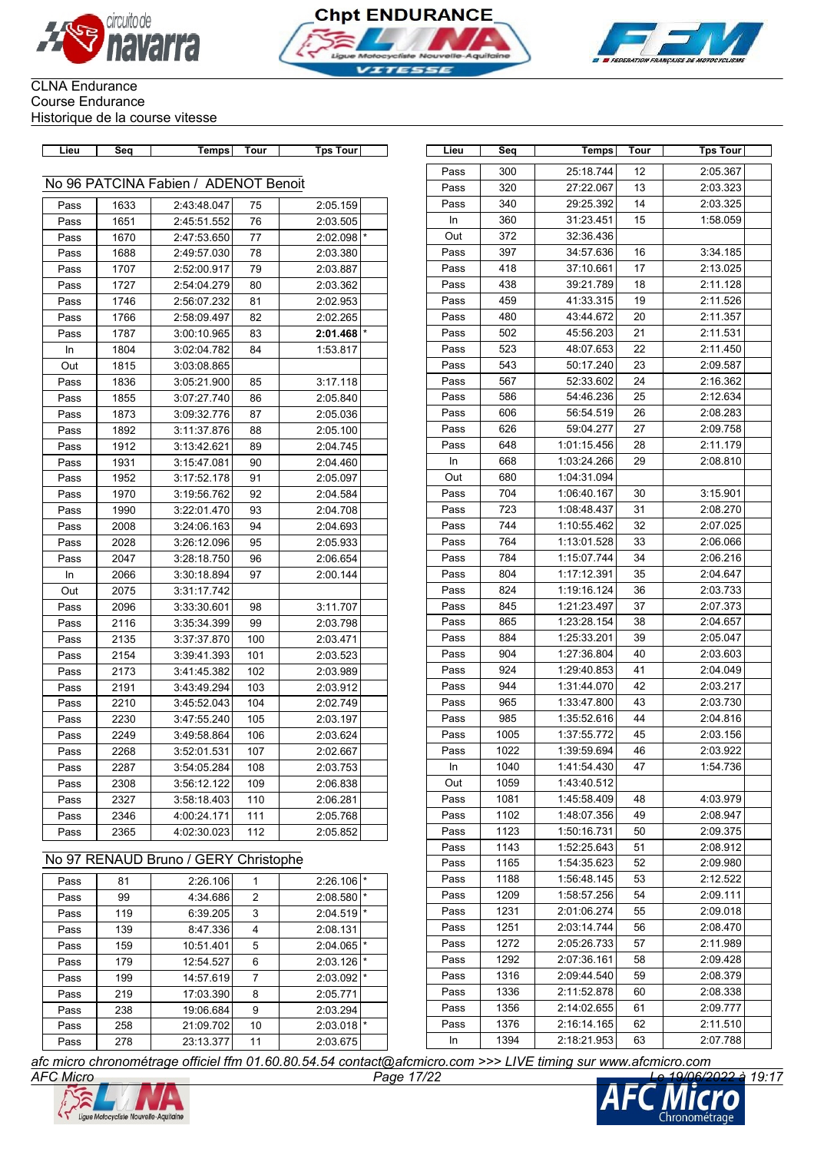





### CLNA Endurance Course Endurance Historique de la course vitesse

| Lieu | <b>Seq</b>                           | Temps       | Tour | <b>Tps Tour</b>     |  |  |  |  |  |
|------|--------------------------------------|-------------|------|---------------------|--|--|--|--|--|
|      |                                      |             |      |                     |  |  |  |  |  |
|      | No 96 PATCINA Fabien / ADENOT Benoit |             |      |                     |  |  |  |  |  |
| Pass | 1633                                 | 2:43:48.047 | 75   | 2:05.159            |  |  |  |  |  |
| Pass | 1651                                 | 2:45:51.552 | 76   | 2:03.505            |  |  |  |  |  |
| Pass | 1670                                 | 2:47:53.650 | 77   | $\star$<br>2:02.098 |  |  |  |  |  |
| Pass | 1688                                 | 2:49:57.030 | 78   | 2:03.380            |  |  |  |  |  |
| Pass | 1707                                 | 2:52:00.917 | 79   | 2:03.887            |  |  |  |  |  |
| Pass | 1727                                 | 2:54:04.279 | 80   | 2:03.362            |  |  |  |  |  |
| Pass | 1746                                 | 2:56:07.232 | 81   | 2:02.953            |  |  |  |  |  |
| Pass | 1766                                 | 2:58:09.497 | 82   | 2:02.265            |  |  |  |  |  |
| Pass | 1787                                 | 3:00:10.965 | 83   | $\star$<br>2:01.468 |  |  |  |  |  |
| In   | 1804                                 | 3:02:04.782 | 84   | 1:53.817            |  |  |  |  |  |
| Out  | 1815                                 | 3:03:08.865 |      |                     |  |  |  |  |  |
| Pass | 1836                                 | 3:05:21.900 | 85   | 3:17.118            |  |  |  |  |  |
| Pass | 1855                                 | 3:07:27.740 | 86   | 2:05.840            |  |  |  |  |  |
| Pass | 1873                                 | 3:09:32.776 | 87   | 2:05.036            |  |  |  |  |  |
| Pass | 1892                                 | 3:11:37.876 | 88   | 2:05.100            |  |  |  |  |  |
| Pass | 1912                                 | 3:13:42.621 | 89   | 2:04.745            |  |  |  |  |  |
| Pass | 1931                                 | 3:15:47.081 | 90   | 2:04.460            |  |  |  |  |  |
| Pass | 1952                                 | 3:17:52.178 | 91   | 2:05.097            |  |  |  |  |  |
| Pass | 1970                                 | 3:19:56.762 | 92   | 2:04.584            |  |  |  |  |  |
| Pass | 1990                                 | 3:22:01.470 | 93   | 2:04.708            |  |  |  |  |  |
| Pass | 2008                                 | 3:24:06.163 | 94   | 2:04.693            |  |  |  |  |  |
| Pass | 2028                                 | 3:26:12.096 | 95   | 2:05.933            |  |  |  |  |  |
| Pass | 2047                                 | 3:28:18.750 | 96   | 2:06.654            |  |  |  |  |  |
| In   | 2066                                 | 3:30:18.894 | 97   | 2:00.144            |  |  |  |  |  |
| Out  | 2075                                 | 3:31:17.742 |      |                     |  |  |  |  |  |
| Pass | 2096                                 | 3:33:30.601 | 98   | 3:11.707            |  |  |  |  |  |
| Pass | 2116                                 | 3:35:34.399 | 99   | 2:03.798            |  |  |  |  |  |
| Pass | 2135                                 | 3:37:37.870 | 100  | 2:03.471            |  |  |  |  |  |
| Pass | 2154                                 | 3:39:41.393 | 101  | 2:03.523            |  |  |  |  |  |
| Pass | 2173                                 | 3:41:45.382 | 102  | 2:03.989            |  |  |  |  |  |
| Pass | 2191                                 | 3:43:49.294 | 103  | 2:03.912            |  |  |  |  |  |
| Pass | 2210                                 | 3:45:52.043 | 104  | 2:02.749            |  |  |  |  |  |
| Pass | 2230                                 | 3:47:55.240 | 105  | 2:03.197            |  |  |  |  |  |
| Pass | 2249                                 | 3:49:58.864 | 106  | 2:03.624            |  |  |  |  |  |
| Pass | 2268                                 | 3:52:01.531 | 107  | 2:02.667            |  |  |  |  |  |
| Pass | 2287                                 | 3:54:05.284 | 108  | 2:03.753            |  |  |  |  |  |
| Pass | 2308                                 | 3:56:12.122 | 109  | 2:06.838            |  |  |  |  |  |
| Pass | 2327                                 | 3:58:18.403 | 110  | 2:06.281            |  |  |  |  |  |
| Pass | 2346                                 | 4:00:24.171 | 111  | 2:05.768            |  |  |  |  |  |
| Pass | 2365                                 | 4:02:30.023 | 112  | 2:05.852            |  |  |  |  |  |

| Pass | 300  | 25:18.744   | 12 | 2:05.367 |
|------|------|-------------|----|----------|
| Pass | 320  | 27:22.067   | 13 | 2:03.323 |
| Pass | 340  | 29:25.392   | 14 | 2:03.325 |
| In   | 360  | 31:23.451   | 15 | 1:58.059 |
| Out  | 372  | 32:36.436   |    |          |
| Pass | 397  | 34:57.636   | 16 | 3:34.185 |
| Pass | 418  | 37:10.661   | 17 | 2:13.025 |
| Pass | 438  | 39:21.789   | 18 | 2:11.128 |
| Pass | 459  | 41:33.315   | 19 | 2:11.526 |
| Pass | 480  | 43:44.672   | 20 | 2:11.357 |
| Pass | 502  | 45:56.203   | 21 | 2:11.531 |
| Pass | 523  | 48:07.653   | 22 | 2:11.450 |
| Pass | 543  | 50:17.240   | 23 | 2:09.587 |
| Pass | 567  | 52:33.602   | 24 | 2:16.362 |
| Pass | 586  | 54:46.236   | 25 | 2:12.634 |
| Pass | 606  | 56:54.519   | 26 | 2:08.283 |
| Pass | 626  | 59:04.277   | 27 | 2:09.758 |
| Pass | 648  | 1:01:15.456 | 28 | 2:11.179 |
| In   | 668  | 1:03:24.266 | 29 | 2:08.810 |
| Out  | 680  | 1:04:31.094 |    |          |
| Pass | 704  | 1:06:40.167 | 30 | 3:15.901 |
| Pass | 723  | 1:08:48.437 | 31 | 2:08.270 |
| Pass | 744  | 1:10:55.462 | 32 | 2:07.025 |
| Pass | 764  | 1:13:01.528 | 33 | 2:06.066 |
| Pass | 784  | 1:15:07.744 | 34 | 2:06.216 |
| Pass | 804  | 1:17:12.391 | 35 | 2:04.647 |
| Pass | 824  | 1:19:16.124 | 36 | 2:03.733 |
| Pass | 845  | 1:21:23.497 | 37 | 2:07.373 |
| Pass | 865  | 1:23:28.154 | 38 | 2:04.657 |
| Pass | 884  | 1:25:33.201 | 39 | 2:05.047 |
| Pass | 904  | 1:27:36.804 | 40 | 2:03.603 |
| Pass | 924  | 1:29:40.853 | 41 | 2:04.049 |
| Pass | 944  | 1:31:44.070 | 42 | 2:03.217 |
| Pass | 965  | 1:33:47.800 | 43 | 2:03.730 |
| Pass | 985  | 1:35:52.616 | 44 | 2:04.816 |
| Pass | 1005 | 1:37:55.772 | 45 | 2:03.156 |
| Pass | 1022 | 1:39:59.694 | 46 | 2:03.922 |
| In   | 1040 | 1:41:54.430 | 47 | 1:54.736 |
| Out  | 1059 | 1:43:40.512 |    |          |
| Pass | 1081 | 1:45:58.409 | 48 | 4:03.979 |
| Pass | 1102 | 1:48:07.356 | 49 | 2:08.947 |
| Pass | 1123 | 1:50:16.731 | 50 | 2:09.375 |
| Pass | 1143 | 1:52:25.643 | 51 | 2:08.912 |
| Pass | 1165 | 1:54:35.623 | 52 | 2:09.980 |
| Pass | 1188 | 1:56:48.145 | 53 | 2:12.522 |
| Pass | 1209 | 1:58:57.256 | 54 | 2:09.111 |
| Pass | 1231 | 2:01:06.274 | 55 | 2:09.018 |
| Pass | 1251 | 2:03:14.744 | 56 | 2:08.470 |
| Pass | 1272 | 2:05:26.733 | 57 | 2:11.989 |
| Pass | 1292 | 2:07:36.161 | 58 | 2:09.428 |
| Pass | 1316 | 2:09:44.540 | 59 | 2:08.379 |
| Pass | 1336 | 2:11:52.878 | 60 | 2:08.338 |
| Pass | 1356 | 2:14:02.655 | 61 | 2:09.777 |
| Pass | 1376 | 2:16:14.165 | 62 | 2:11.510 |
| In   | 1394 | 2:18:21.953 | 63 | 2:07.788 |

**Lieu Seq Temps Tour Tps Tour Lieu Seq Temps Tour Tps Tour**

# No 97 RENAUD Bruno / GERY Christophe

| Pass | 81  | 2:26.106  |                | $2:26.106$ *            |         |
|------|-----|-----------|----------------|-------------------------|---------|
| Pass | 99  | 4:34.686  | 2              | 2:08.580                | $\star$ |
| Pass | 119 | 6:39.205  | 3              | 2:04.519                | $\star$ |
| Pass | 139 | 8:47.336  | 4              | 2:08.131                |         |
| Pass | 159 | 10:51.401 | 5              | 2:04.065                | $\star$ |
| Pass | 179 | 12:54.527 | 6              | 2:03.126                | $\star$ |
| Pass | 199 | 14:57.619 | $\overline{7}$ | $2:03.092$ <sup>*</sup> |         |
| Pass | 219 | 17:03.390 | 8              | 2:05.771                |         |
| Pass | 238 | 19:06.684 | 9              | 2:03.294                |         |
| Pass | 258 | 21:09.702 | 10             | 2:03.018                | $\star$ |
| Pass | 278 | 23:13.377 | 11             | 2:03.675                |         |

*AFC Micro Page 17/22 Le 19/06/2022 à 19:17 afc micro chronométrage officiel ffm 01.60.80.54.54 contact@afcmicro.com >>> LIVE timing sur www.afcmicro.com*



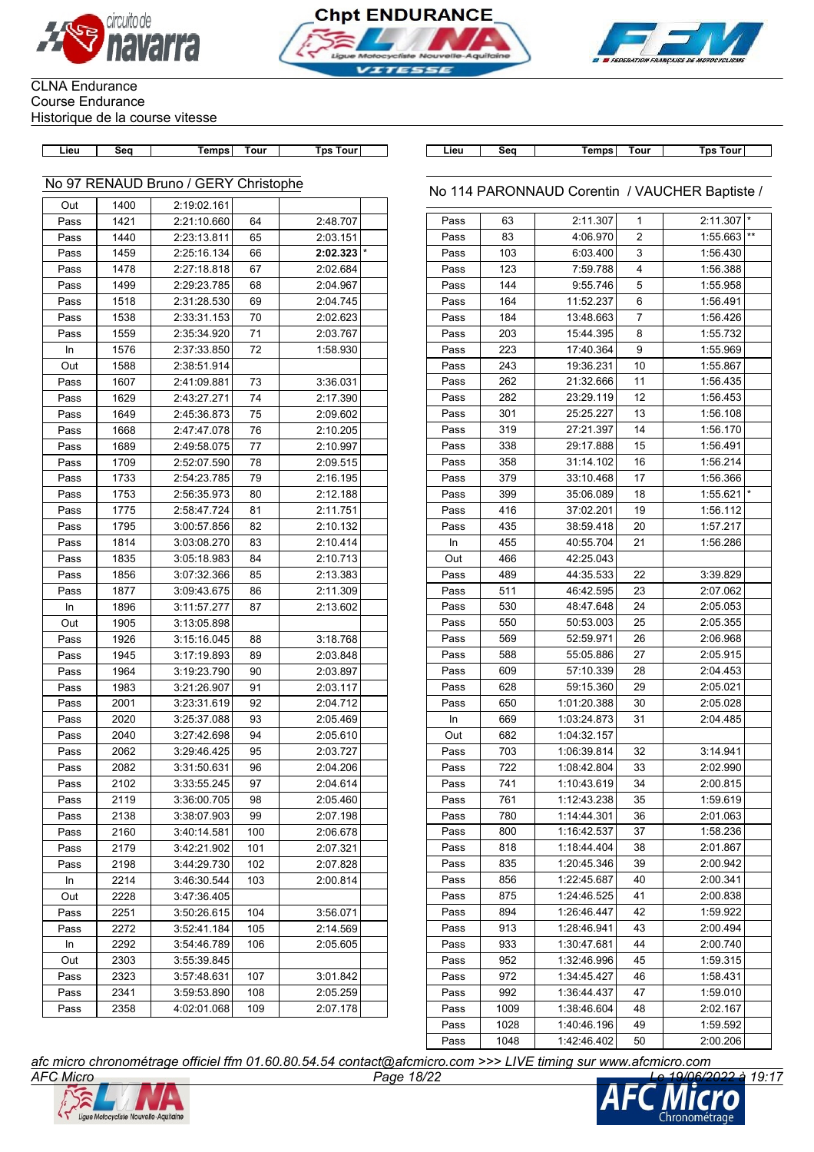



 $\overline{\phantom{a}}$ 



### CLNA Endurance Course Endurance Historique de la course vitesse

| Lieu | Sea            | Temps                                | Tour   | Tps To |
|------|----------------|--------------------------------------|--------|--------|
|      |                |                                      |        |        |
|      |                |                                      |        |        |
|      |                | No 97 RENAUD Bruno / GERY Christophe |        |        |
|      |                |                                      |        |        |
| Out  | 1400           | 2:19:02.161                          |        |        |
|      |                |                                      |        |        |
| n    | $\overline{A}$ | 0.04.40.000                          | $\sim$ | 0.40   |

| Pass | 1421 | 2:21:10.660 | 64  | 2:48.707 |         |
|------|------|-------------|-----|----------|---------|
| Pass | 1440 | 2:23:13.811 | 65  | 2:03.151 |         |
| Pass | 1459 | 2:25:16.134 | 66  | 2:02.323 | $\star$ |
| Pass | 1478 | 2:27:18.818 | 67  | 2:02.684 |         |
| Pass | 1499 | 2:29:23.785 | 68  | 2:04.967 |         |
| Pass | 1518 | 2:31:28.530 | 69  | 2:04.745 |         |
| Pass | 1538 | 2:33:31.153 | 70  | 2:02.623 |         |
| Pass | 1559 | 2:35:34.920 | 71  | 2:03.767 |         |
| In   | 1576 | 2:37:33.850 | 72  | 1:58.930 |         |
| Out  | 1588 | 2:38:51.914 |     |          |         |
| Pass | 1607 | 2:41:09.881 | 73  | 3:36.031 |         |
| Pass | 1629 | 2:43:27.271 | 74  | 2:17.390 |         |
| Pass | 1649 | 2:45:36.873 | 75  | 2:09.602 |         |
| Pass | 1668 | 2:47:47.078 | 76  | 2:10.205 |         |
| Pass | 1689 | 2:49:58.075 | 77  | 2:10.997 |         |
| Pass | 1709 | 2:52:07.590 | 78  | 2:09.515 |         |
| Pass | 1733 | 2:54:23.785 | 79  | 2:16.195 |         |
| Pass | 1753 | 2:56:35.973 | 80  | 2:12.188 |         |
| Pass | 1775 | 2:58:47.724 | 81  | 2:11.751 |         |
| Pass | 1795 | 3:00:57.856 | 82  | 2:10.132 |         |
| Pass | 1814 | 3:03:08.270 | 83  | 2:10.414 |         |
| Pass | 1835 | 3:05:18.983 | 84  | 2:10.713 |         |
| Pass | 1856 | 3:07:32.366 | 85  | 2:13.383 |         |
| Pass | 1877 | 3:09:43.675 | 86  | 2:11.309 |         |
| In   | 1896 | 3:11:57.277 | 87  | 2:13.602 |         |
| Out  | 1905 | 3:13:05.898 |     |          |         |
| Pass | 1926 | 3:15:16.045 | 88  | 3:18.768 |         |
| Pass | 1945 | 3:17:19.893 | 89  | 2:03.848 |         |
| Pass | 1964 | 3:19:23.790 | 90  | 2:03.897 |         |
| Pass | 1983 | 3:21:26.907 | 91  | 2:03.117 |         |
| Pass | 2001 | 3:23:31.619 | 92  | 2:04.712 |         |
| Pass | 2020 | 3:25:37.088 | 93  | 2:05.469 |         |
| Pass | 2040 | 3:27:42.698 | 94  | 2:05.610 |         |
| Pass | 2062 | 3:29:46.425 | 95  | 2:03.727 |         |
| Pass | 2082 | 3:31:50.631 | 96  | 2:04.206 |         |
| Pass | 2102 | 3:33:55.245 | 97  | 2:04.614 |         |
| Pass | 2119 | 3:36:00.705 | 98  | 2:05.460 |         |
| Pass | 2138 | 3:38:07.903 | 99  | 2:07.198 |         |
| Pass | 2160 | 3:40:14.581 | 100 | 2:06.678 |         |
| Pass | 2179 | 3:42:21.902 | 101 | 2:07.321 |         |
| Pass | 2198 | 3:44:29.730 | 102 | 2:07.828 |         |
| In   | 2214 | 3:46:30.544 | 103 | 2:00.814 |         |
| Out  | 2228 | 3:47:36.405 |     |          |         |
| Pass | 2251 | 3:50:26.615 | 104 | 3:56.071 |         |
| Pass | 2272 | 3:52:41.184 | 105 | 2:14.569 |         |
| In   | 2292 | 3:54:46.789 | 106 | 2:05.605 |         |
| Out  | 2303 | 3:55:39.845 |     |          |         |
| Pass | 2323 | 3:57:48.631 | 107 | 3:01.842 |         |
| Pass | 2341 | 3:59:53.890 | 108 | 2:05.259 |         |
| Pass | 2358 | 4:02:01.068 | 109 | 2:07.178 |         |

| our | Lieu. | Sea | Temps | .<br>our | Tourl<br>Гps |
|-----|-------|-----|-------|----------|--------------|

### No 114 PARONNAUD Corentin / VAUCHER Baptiste /

| Pass | 63   | 2:11.307    | 1  | $2:11.307$ * |                 |
|------|------|-------------|----|--------------|-----------------|
| Pass | 83   | 4:06.970    | 2  | 1:55.663     | $^{\star\star}$ |
| Pass | 103  | 6:03.400    | 3  | 1:56.430     |                 |
| Pass | 123  | 7:59.788    | 4  | 1:56.388     |                 |
| Pass | 144  | 9:55.746    | 5  | 1:55.958     |                 |
| Pass | 164  | 11:52.237   | 6  | 1:56.491     |                 |
| Pass | 184  | 13:48.663   | 7  | 1:56.426     |                 |
| Pass | 203  | 15:44.395   | 8  | 1:55.732     |                 |
| Pass | 223  | 17:40.364   | 9  | 1:55.969     |                 |
| Pass | 243  | 19:36.231   | 10 | 1:55.867     |                 |
| Pass | 262  | 21:32.666   | 11 | 1:56.435     |                 |
| Pass | 282  | 23:29.119   | 12 | 1:56.453     |                 |
| Pass | 301  | 25:25.227   | 13 | 1:56.108     |                 |
| Pass | 319  | 27:21.397   | 14 | 1:56.170     |                 |
| Pass | 338  | 29:17.888   | 15 | 1:56.491     |                 |
| Pass | 358  | 31:14.102   | 16 | 1:56.214     |                 |
| Pass | 379  | 33:10.468   | 17 | 1:56.366     |                 |
| Pass | 399  | 35:06.089   | 18 | 1:55.621     |                 |
| Pass | 416  | 37:02.201   | 19 | 1:56.112     |                 |
| Pass | 435  | 38:59.418   | 20 | 1:57.217     |                 |
| In   | 455  | 40:55.704   | 21 | 1:56.286     |                 |
| Out  | 466  | 42:25.043   |    |              |                 |
| Pass | 489  | 44:35.533   | 22 | 3:39.829     |                 |
| Pass | 511  | 46:42.595   | 23 | 2:07.062     |                 |
| Pass | 530  | 48:47.648   | 24 | 2:05.053     |                 |
| Pass | 550  | 50:53.003   | 25 | 2:05.355     |                 |
| Pass | 569  | 52:59.971   | 26 | 2:06.968     |                 |
| Pass | 588  | 55:05.886   | 27 | 2:05.915     |                 |
| Pass | 609  | 57:10.339   | 28 | 2:04.453     |                 |
| Pass | 628  | 59:15.360   | 29 | 2:05.021     |                 |
| Pass | 650  | 1:01:20.388 | 30 | 2:05.028     |                 |
| In   | 669  | 1:03:24.873 | 31 | 2:04.485     |                 |
| Out  | 682  | 1:04:32.157 |    |              |                 |
| Pass | 703  | 1:06:39.814 | 32 | 3:14.941     |                 |
| Pass | 722  | 1:08:42.804 | 33 | 2:02.990     |                 |
| Pass | 741  | 1:10:43.619 | 34 | 2:00.815     |                 |
| Pass | 761  | 1:12:43.238 | 35 | 1:59.619     |                 |
| Pass | 780  | 1:14:44.301 | 36 | 2:01.063     |                 |
| Pass | 800  | 1:16:42.537 | 37 | 1:58.236     |                 |
| Pass | 818  | 1:18:44.404 | 38 | 2:01.867     |                 |
| Pass | 835  | 1:20:45.346 | 39 | 2:00.942     |                 |
| Pass | 856  | 1:22:45.687 | 40 | 2:00.341     |                 |
| Pass | 875  | 1:24:46.525 | 41 | 2:00.838     |                 |
| Pass | 894  | 1:26:46.447 | 42 | 1:59.922     |                 |
| Pass | 913  | 1:28:46.941 | 43 | 2:00.494     |                 |
| Pass | 933  | 1:30:47.681 | 44 | 2:00.740     |                 |
| Pass | 952  | 1:32:46.996 | 45 | 1:59.315     |                 |
| Pass | 972  | 1:34:45.427 | 46 | 1:58.431     |                 |
| Pass | 992  | 1:36:44.437 | 47 | 1:59.010     |                 |
| Pass | 1009 | 1:38:46.604 | 48 | 2:02.167     |                 |
| Pass | 1028 | 1:40:46.196 | 49 | 1:59.592     |                 |
| Pass | 1048 | 1:42:46.402 | 50 | 2:00.206     |                 |
|      |      |             |    |              |                 |



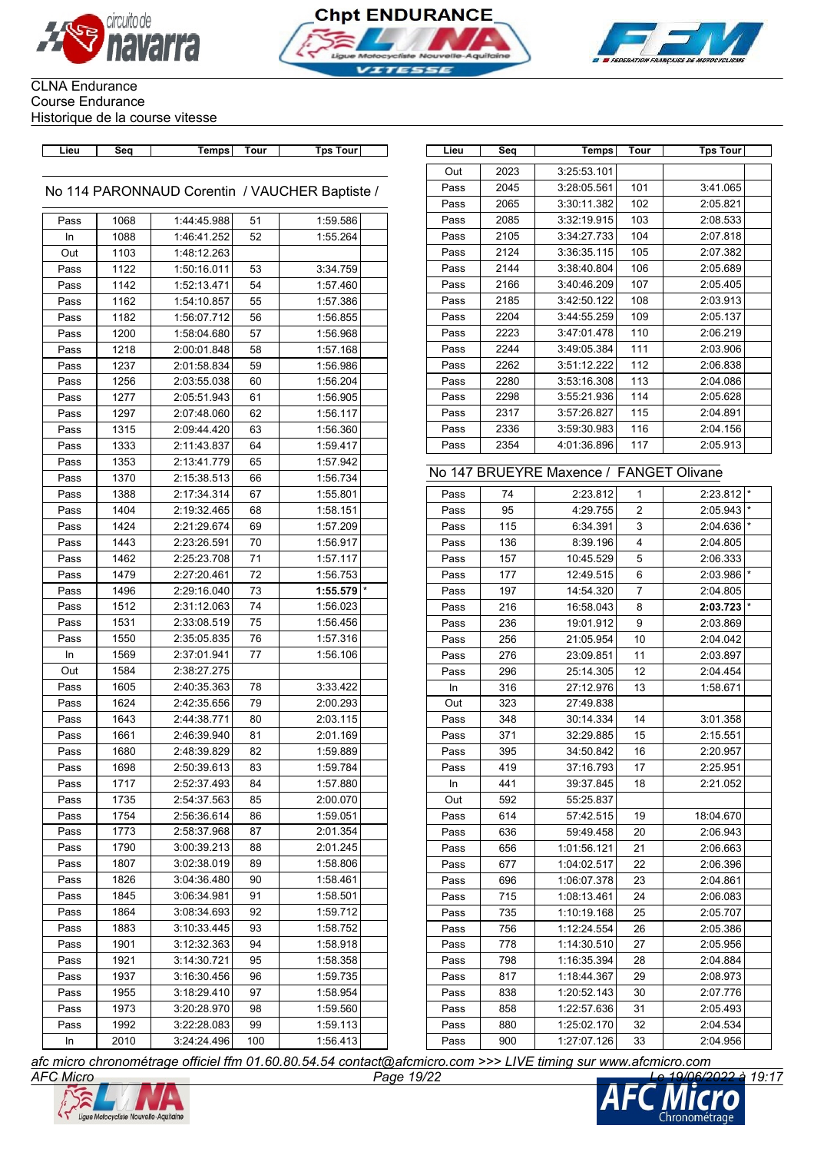





| Lieu | Sea | Temps | Tour | Tns. |
|------|-----|-------|------|------|

### No 114 PARONNAUD Corentin / VAUCHER Baptiste /

| Pass | 1068 | 1:44:45.988 | 51  | 1:59.586            |
|------|------|-------------|-----|---------------------|
| In   | 1088 | 1:46:41.252 | 52  | 1:55.264            |
| Out  | 1103 | 1:48:12.263 |     |                     |
| Pass | 1122 | 1:50:16.011 | 53  | 3:34.759            |
| Pass | 1142 | 1:52:13.471 | 54  | 1:57.460            |
| Pass | 1162 | 1:54:10.857 | 55  | 1:57.386            |
| Pass | 1182 | 1:56:07.712 | 56  | 1:56.855            |
| Pass | 1200 | 1:58:04.680 | 57  | 1:56.968            |
| Pass | 1218 | 2:00:01.848 | 58  | 1:57.168            |
| Pass | 1237 | 2:01:58.834 | 59  | 1:56.986            |
| Pass | 1256 | 2:03:55.038 | 60  | 1:56.204            |
| Pass | 1277 | 2:05:51.943 | 61  | 1:56.905            |
| Pass | 1297 | 2:07:48.060 | 62  | 1:56.117            |
| Pass | 1315 | 2:09:44.420 | 63  | 1:56.360            |
| Pass | 1333 | 2:11:43.837 | 64  | 1:59.417            |
| Pass | 1353 | 2:13:41.779 | 65  | 1:57.942            |
| Pass | 1370 | 2:15:38.513 | 66  | 1:56.734            |
| Pass | 1388 | 2:17:34.314 | 67  | 1:55.801            |
| Pass | 1404 | 2:19:32.465 | 68  | 1:58.151            |
| Pass | 1424 | 2:21:29.674 | 69  | 1:57.209            |
| Pass | 1443 | 2:23:26.591 | 70  | 1:56.917            |
| Pass | 1462 | 2:25:23.708 | 71  | 1:57.117            |
| Pass | 1479 | 2:27:20.461 | 72  | 1:56.753            |
| Pass | 1496 | 2:29:16.040 | 73  | $\star$<br>1:55.579 |
| Pass | 1512 | 2:31:12.063 | 74  | 1:56.023            |
| Pass | 1531 | 2:33:08.519 | 75  | 1:56.456            |
| Pass | 1550 | 2:35:05.835 | 76  | 1:57.316            |
| In   | 1569 | 2:37:01.941 | 77  | 1:56.106            |
| Out  | 1584 | 2:38:27.275 |     |                     |
| Pass | 1605 | 2:40:35.363 | 78  | 3:33.422            |
| Pass | 1624 | 2:42:35.656 | 79  | 2:00.293            |
| Pass | 1643 | 2:44:38.771 | 80  | 2:03.115            |
| Pass | 1661 | 2:46:39.940 | 81  | 2:01.169            |
| Pass | 1680 | 2:48:39.829 | 82  | 1:59.889            |
| Pass | 1698 | 2:50:39.613 | 83  | 1:59.784            |
| Pass | 1717 | 2:52:37.493 | 84  | 1:57.880            |
| Pass | 1735 | 2:54:37.563 | 85  | 2:00.070            |
| Pass | 1754 | 2:56:36.614 | 86  | 1:59.051            |
| Pass | 1773 | 2:58:37.968 | 87  | 2:01.354            |
| Pass | 1790 | 3:00:39.213 | 88  | 2:01.245            |
| Pass | 1807 | 3:02:38.019 | 89  | 1:58.806            |
| Pass | 1826 | 3:04:36.480 | 90  | 1:58.461            |
| Pass | 1845 | 3:06:34.981 | 91  | 1:58.501            |
| Pass | 1864 | 3:08:34.693 | 92  | 1:59.712            |
| Pass | 1883 | 3:10:33.445 | 93  | 1:58.752            |
| Pass | 1901 | 3:12:32.363 | 94  | 1:58.918            |
| Pass | 1921 | 3:14:30.721 | 95  | 1:58.358            |
| Pass | 1937 | 3:16:30.456 | 96  | 1:59.735            |
| Pass | 1955 | 3:18:29.410 | 97  | 1:58.954            |
| Pass | 1973 | 3:20:28.970 | 98  | 1:59.560            |
| Pass | 1992 | 3:22:28.083 | 99  | 1:59.113            |
| In   | 2010 | 3:24:24.496 | 100 | 1:56.413            |
|      |      |             |     |                     |

| Lieu | Seq  | Temps       | Tour | <b>Tps Tour</b>                               | Lieu | Seq  | Temps                                   | Tour | <b>Tps Tour</b> |
|------|------|-------------|------|-----------------------------------------------|------|------|-----------------------------------------|------|-----------------|
|      |      |             |      |                                               | Out  | 2023 | 3:25:53.101                             |      |                 |
|      |      |             |      | / 114 PARONNAUD Corentin / VAUCHER Baptiste ( | Pass | 2045 | 3:28:05.561                             | 101  | 3:41.065        |
|      |      |             |      |                                               | Pass | 2065 | 3:30:11.382                             | 102  | 2:05.821        |
| Pass | 1068 | 1:44:45.988 | 51   | 1:59.586                                      | Pass | 2085 | 3:32:19.915                             | 103  | 2:08.533        |
| In   | 1088 | 1:46:41.252 | 52   | 1:55.264                                      | Pass | 2105 | 3:34:27.733                             | 104  | 2:07.818        |
| Out  | 1103 | 1:48:12.263 |      |                                               | Pass | 2124 | 3:36:35.115                             | 105  | 2:07.382        |
| Pass | 1122 | 1:50:16.011 | 53   | 3:34.759                                      | Pass | 2144 | 3:38:40.804                             | 106  | 2:05.689        |
| Pass | 1142 | 1:52:13.471 | 54   | 1:57.460                                      | Pass | 2166 | 3:40:46.209                             | 107  | 2:05.405        |
| Pass | 1162 | 1:54:10.857 | 55   | 1:57.386                                      | Pass | 2185 | 3:42:50.122                             | 108  | 2:03.913        |
| Pass | 1182 | 1:56:07.712 | 56   | 1:56.855                                      | Pass | 2204 | 3:44:55.259                             | 109  | 2:05.137        |
| Pass | 1200 | 1:58:04.680 | 57   | 1:56.968                                      | Pass | 2223 | 3:47:01.478                             | 110  | 2:06.219        |
| Pass | 1218 | 2:00:01.848 | 58   | 1:57.168                                      | Pass | 2244 | 3:49:05.384                             | 111  | 2:03.906        |
| Pass | 1237 | 2:01:58.834 | 59   | 1:56.986                                      | Pass | 2262 | 3:51:12.222                             | 112  | 2:06.838        |
| Pass | 1256 | 2:03:55.038 | 60   | 1:56.204                                      | Pass | 2280 | 3:53:16.308                             | 113  | 2:04.086        |
| Pass | 1277 | 2:05:51.943 | 61   | 1:56.905                                      | Pass | 2298 | 3:55:21.936                             | 114  | 2:05.628        |
| Pass | 1297 | 2:07:48.060 | 62   | 1:56.117                                      | Pass | 2317 | 3:57:26.827                             | 115  | 2:04.891        |
|      | 1315 | 2:09:44.420 | 63   | 1:56.360                                      | Pass | 2336 | 3:59:30.983                             | 116  | 2:04.156        |
| Pass |      | 2:11:43.837 |      |                                               | Pass | 2354 | 4:01:36.896                             | 117  | 2:05.913        |
| Pass | 1333 |             | 64   | 1:59.417<br>1:57.942                          |      |      |                                         |      |                 |
| Pass | 1353 | 2:13:41.779 | 65   |                                               |      |      | No 147 BRUEYRE Maxence / FANGET Olivane |      |                 |
| Pass | 1370 | 2:15:38.513 | 66   | 1:56.734                                      |      |      |                                         |      |                 |
| Pass | 1388 | 2:17:34.314 | 67   | 1:55.801                                      | Pass | 74   | 2:23.812                                | 1    | $2:23.812$ *    |
| Pass | 1404 | 2:19:32.465 | 68   | 1:58.151                                      | Pass | 95   | 4:29.755                                | 2    | 2:05.943        |
| Pass | 1424 | 2:21:29.674 | 69   | 1:57.209                                      | Pass | 115  | 6:34.391                                | 3    | 2:04.636        |
| Pass | 1443 | 2:23:26.591 | 70   | 1:56.917                                      | Pass | 136  | 8:39.196                                | 4    | 2:04.805        |
| Pass | 1462 | 2:25:23.708 | 71   | 1:57.117                                      | Pass | 157  | 10:45.529                               | 5    | 2:06.333        |
| Pass | 1479 | 2:27:20.461 | 72   | 1:56.753                                      | Pass | 177  | 12:49.515                               | 6    | 2:03.986        |
| Pass | 1496 | 2:29:16.040 | 73   | 1:55.579                                      | Pass | 197  | 14:54.320                               | 7    | 2:04.805        |
| Pass | 1512 | 2:31:12.063 | 74   | 1:56.023                                      | Pass | 216  | 16:58.043                               | 8    | 2:03.723        |
| Pass | 1531 | 2:33:08.519 | 75   | 1:56.456                                      | Pass | 236  | 19:01.912                               | 9    | 2:03.869        |
| Pass | 1550 | 2:35:05.835 | 76   | 1:57.316                                      | Pass | 256  | 21:05.954                               | 10   | 2:04.042        |
| In   | 1569 | 2:37:01.941 | 77   | 1:56.106                                      | Pass | 276  | 23:09.851                               | 11   | 2:03.897        |
| Out  | 1584 | 2:38:27.275 |      |                                               | Pass | 296  | 25:14.305                               | 12   | 2:04.454        |
| Pass | 1605 | 2:40:35.363 | 78   | 3:33.422                                      | In   | 316  | 27:12.976                               | 13   | 1:58.671        |
| Pass | 1624 | 2:42:35.656 | 79   | 2:00.293                                      | Out  | 323  | 27:49.838                               |      |                 |
| Pass | 1643 | 2:44:38.771 | 80   | 2:03.115                                      | Pass | 348  | 30:14.334                               | 14   | 3:01.358        |
| Pass | 1661 | 2:46:39.940 | 81   | 2:01.169                                      | Pass | 371  | 32:29.885                               | 15   | 2:15.551        |
| Pass | 1680 | 2:48:39.829 | 82   | 1:59.889                                      | Pass | 395  | 34:50.842                               | 16   | 2:20.957        |
| Pass | 1698 | 2:50:39.613 | 83   | 1:59.784                                      | Pass | 419  | 37:16.793                               | 17   | 2:25.951        |
| Pass | 1717 | 2:52:37.493 | 84   | 1:57.880                                      | In   | 441  | 39:37.845                               | 18   | 2:21.052        |
| Pass | 1735 | 2:54:37.563 | 85   | 2:00.070                                      | Out  | 592  | 55:25.837                               |      |                 |
| Pass | 1754 | 2:56:36.614 | 86   | 1:59.051                                      | Pass | 614  | 57:42.515                               | 19   | 18:04.670       |
| Pass | 1773 | 2:58:37.968 | 87   | 2:01.354                                      | Pass | 636  | 59:49.458                               | 20   | 2:06.943        |
| Pass | 1790 | 3:00:39.213 | 88   | 2:01.245                                      | Pass | 656  | 1:01:56.121                             | 21   | 2:06.663        |
| Pass | 1807 | 3:02:38.019 | 89   | 1:58.806                                      | Pass | 677  | 1:04:02.517                             | 22   | 2:06.396        |
| Pass | 1826 | 3:04:36.480 | 90   | 1:58.461                                      | Pass | 696  | 1:06:07.378                             | 23   | 2:04.861        |
| Pass | 1845 | 3:06:34.981 | 91   | 1:58.501                                      | Pass | 715  | 1:08:13.461                             | 24   | 2:06.083        |
| Pass | 1864 | 3:08:34.693 | 92   | 1:59.712                                      | Pass | 735  | 1:10:19.168                             | 25   | 2:05.707        |
| Pass | 1883 | 3:10:33.445 | 93   | 1:58.752                                      | Pass | 756  | 1:12:24.554                             | 26   | 2:05.386        |
| Pass | 1901 | 3:12:32.363 | 94   | 1:58.918                                      | Pass | 778  | 1:14:30.510                             | 27   | 2:05.956        |
| Pass | 1921 | 3:14:30.721 | 95   | 1:58.358                                      | Pass | 798  | 1:16:35.394                             | 28   | 2:04.884        |
| Pass | 1937 | 3:16:30.456 | 96   | 1:59.735                                      | Pass | 817  | 1:18:44.367                             | 29   | 2:08.973        |
| Pass | 1955 | 3:18:29.410 | 97   | 1:58.954                                      | Pass | 838  | 1:20:52.143                             | 30   | 2:07.776        |
| Pass | 1973 | 3:20:28.970 | 98   | 1:59.560                                      | Pass | 858  | 1:22:57.636                             | 31   | 2:05.493        |
| Pass | 1992 | 3:22:28.083 | 99   | 1:59.113                                      | Pass | 880  | 1:25:02.170                             | 32   | 2:04.534        |
| In   | 2010 | 3:24:24.496 | 100  | 1:56.413                                      | Pass | 900  | 1:27:07.126                             | 33   | 2:04.956        |
|      |      |             |      |                                               |      |      |                                         |      |                 |

*AFC Micro Page 19/22 Le 19/06/2022 à 19:17 afc micro chronométrage officiel ffm 01.60.80.54.54 contact@afcmicro.com >>> LIVE timing sur www.afcmicro.com*



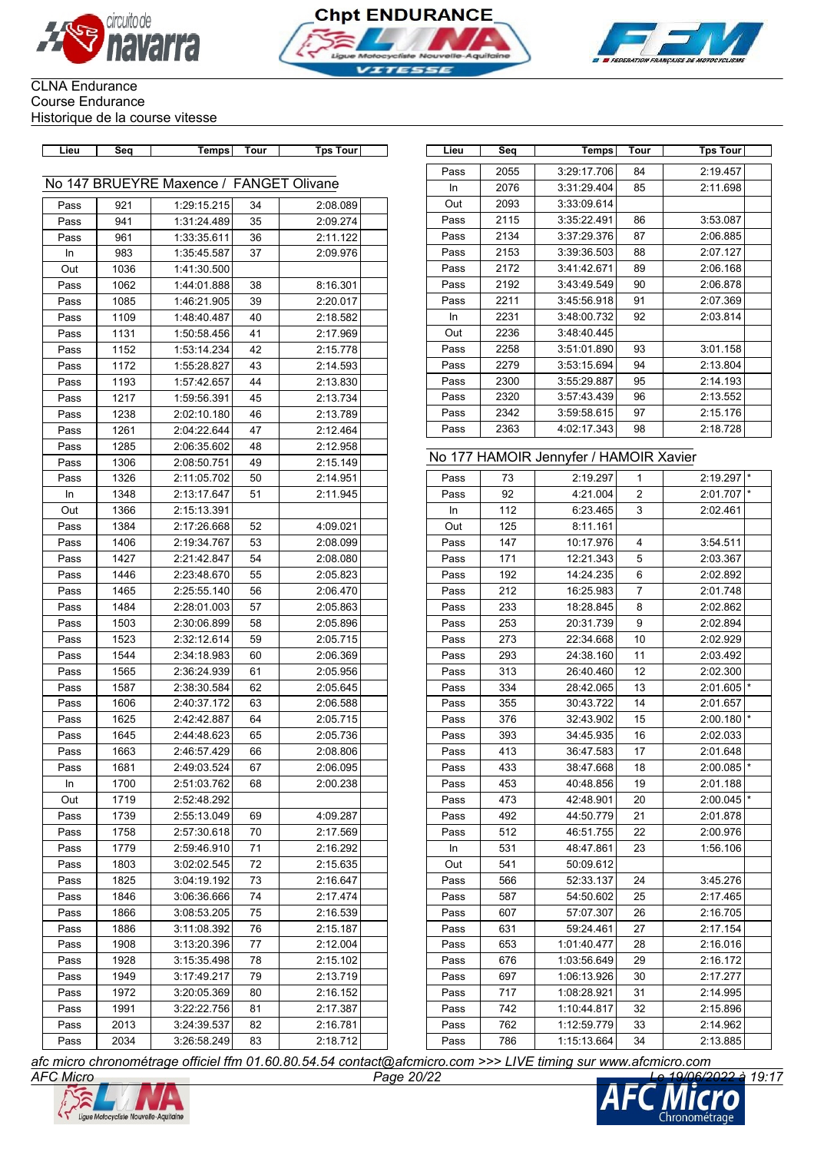





# CLNA Endurance Course Endurance

Historique de la course vitesse

| Lieu | Seq  | <b>Temps</b>                            | Tour | <b>Tps Tour</b> | Lieu | Seq  | Temps                                  | Tour           | <b>Tps Tour</b> |
|------|------|-----------------------------------------|------|-----------------|------|------|----------------------------------------|----------------|-----------------|
|      |      |                                         |      |                 | Pass | 2055 | 3:29:17.706                            | 84             | 2:19.457        |
|      |      | No 147 BRUEYRE Maxence / FANGET Olivane |      |                 | In   | 2076 | 3:31:29.404                            | 85             | 2:11.698        |
| Pass | 921  | 1:29:15.215                             | 34   | 2:08.089        | Out  | 2093 | 3:33:09.614                            |                |                 |
| Pass | 941  | 1:31:24.489                             | 35   | 2:09.274        | Pass | 2115 | 3:35:22.491                            | 86             | 3:53.087        |
| Pass | 961  | 1:33:35.611                             | 36   | 2:11.122        | Pass | 2134 | 3:37:29.376                            | 87             | 2:06.885        |
| In   | 983  | 1:35:45.587                             | 37   | 2:09.976        | Pass | 2153 | 3:39:36.503                            | 88             | 2:07.127        |
| Out  | 1036 | 1:41:30.500                             |      |                 | Pass | 2172 | 3:41:42.671                            | 89             | 2:06.168        |
| Pass | 1062 | 1:44:01.888                             | 38   | 8:16.301        | Pass | 2192 | 3:43:49.549                            | 90             | 2:06.878        |
| Pass | 1085 | 1:46:21.905                             | 39   | 2:20.017        | Pass | 2211 | 3:45:56.918                            | 91             | 2:07.369        |
| Pass | 1109 | 1:48:40.487                             | 40   | 2:18.582        | In   | 2231 | 3:48:00.732                            | 92             | 2:03.814        |
| Pass | 1131 | 1:50:58.456                             | 41   | 2:17.969        | Out  | 2236 | 3:48:40.445                            |                |                 |
| Pass | 1152 | 1:53:14.234                             | 42   | 2:15.778        | Pass | 2258 | 3:51:01.890                            | 93             | 3:01.158        |
| Pass | 1172 | 1:55:28.827                             | 43   | 2:14.593        | Pass | 2279 | 3:53:15.694                            | 94             | 2:13.804        |
| Pass | 1193 | 1:57:42.657                             | 44   | 2:13.830        | Pass | 2300 | 3:55:29.887                            | 95             | 2:14.193        |
| Pass | 1217 | 1:59:56.391                             | 45   | 2:13.734        | Pass | 2320 | 3:57:43.439                            | 96             | 2:13.552        |
| Pass | 1238 | 2:02:10.180                             | 46   | 2:13.789        | Pass | 2342 | 3:59:58.615                            | 97             | 2:15.176        |
| Pass | 1261 | 2:04:22.644                             | 47   | 2:12.464        | Pass | 2363 | 4:02:17.343                            | 98             | 2:18.728        |
| Pass | 1285 | 2:06:35.602                             | 48   | 2:12.958        |      |      |                                        |                |                 |
| Pass | 1306 | 2:08:50.751                             | 49   | 2:15.149        |      |      | No 177 HAMOIR Jennyfer / HAMOIR Xavier |                |                 |
| Pass | 1326 | 2:11:05.702                             | 50   | 2:14.951        | Pass | 73   | 2:19.297                               | 1              | 2:19.297        |
| In   | 1348 | 2:13:17.647                             | 51   | 2:11.945        | Pass | 92   | 4:21.004                               | $\overline{c}$ | 2:01.707        |
| Out  | 1366 | 2:15:13.391                             |      |                 | In   | 112  | 6:23.465                               | 3              | 2:02.461        |
| Pass | 1384 | 2:17:26.668                             | 52   | 4:09.021        | Out  | 125  | 8:11.161                               |                |                 |
| Pass | 1406 | 2:19:34.767                             | 53   | 2:08.099        | Pass | 147  | 10:17.976                              | 4              | 3:54.511        |
| Pass | 1427 | 2:21:42.847                             | 54   | 2:08.080        | Pass | 171  | 12:21.343                              | 5              | 2:03.367        |
| Pass | 1446 | 2:23:48.670                             | 55   | 2:05.823        | Pass | 192  | 14:24.235                              | 6              | 2:02.892        |
| Pass | 1465 | 2:25:55.140                             | 56   | 2:06.470        | Pass | 212  | 16:25.983                              | 7              | 2:01.748        |
| Pass | 1484 | 2:28:01.003                             | 57   | 2:05.863        | Pass | 233  | 18:28.845                              | 8              | 2:02.862        |
| Pass | 1503 | 2:30:06.899                             | 58   | 2:05.896        | Pass | 253  | 20:31.739                              | 9              | 2:02.894        |
| Pass | 1523 | 2:32:12.614                             | 59   | 2:05.715        | Pass | 273  | 22:34.668                              | 10             | 2:02.929        |
| Pass | 1544 | 2:34:18.983                             | 60   | 2:06.369        | Pass | 293  | 24:38.160                              | 11             | 2:03.492        |
| Pass | 1565 | 2:36:24.939                             | 61   | 2:05.956        | Pass | 313  | 26:40.460                              | 12             | 2:02.300        |
| Pass | 1587 | 2:38:30.584                             | 62   | 2:05.645        | Pass | 334  | 28:42.065                              | 13             | 2:01.605        |
| Pass | 1606 | 2:40:37.172                             | 63   | 2:06.588        | Pass | 355  | 30:43.722                              | 14             | 2:01.657        |
| Pass | 1625 | 2:42:42.887                             | 64   | 2:05.715        | Pass | 376  | 32:43.902                              | 15             | 2:00.180        |
| Pass | 1645 | 2:44:48.623                             | 65   | 2:05.736        | Pass | 393  | 34:45.935                              | 16             | 2:02.033        |
| Pass | 1663 | 2:46:57.429                             | 66   | 2:08.806        | Pass | 413  | 36:47.583                              | 17             | 2:01.648        |
| Pass | 1681 | 2:49:03.524                             | 67   | 2:06.095        | Pass | 433  | 38:47.668                              | 18             | 2:00.085        |
| In   | 1700 | 2:51:03.762                             | 68   | 2:00.238        | Pass | 453  | 40:48.856                              | 19             | 2:01.188        |
| Out  | 1719 | 2:52:48.292                             |      |                 | Pass | 473  | 42:48.901                              | 20             | 2:00.045        |
| Pass | 1739 | 2:55:13.049                             | 69   | 4:09.287        | Pass | 492  | 44:50.779                              | 21             | 2:01.878        |
| Pass | 1758 | 2:57:30.618                             | 70   | 2:17.569        | Pass | 512  | 46:51.755                              | 22             | 2:00.976        |
| Pass | 1779 | 2:59:46.910                             | 71   | 2:16.292        | In   | 531  | 48:47.861                              | 23             | 1:56.106        |
| Pass | 1803 | 3:02:02.545                             | 72   | 2:15.635        | Out  | 541  | 50:09.612                              |                |                 |
| Pass | 1825 | 3:04:19.192                             | 73   | 2:16.647        | Pass | 566  | 52:33.137                              | 24             | 3:45.276        |
| Pass | 1846 | 3:06:36.666                             | 74   | 2:17.474        | Pass | 587  | 54:50.602                              | 25             | 2:17.465        |
| Pass | 1866 | 3:08:53.205                             | 75   | 2:16.539        | Pass | 607  | 57:07.307                              | 26             | 2:16.705        |
| Pass | 1886 | 3:11:08.392                             | 76   | 2:15.187        | Pass | 631  | 59:24.461                              | 27             | 2:17.154        |
| Pass | 1908 | 3:13:20.396                             | 77   | 2:12.004        | Pass | 653  | 1:01:40.477                            | 28             | 2:16.016        |
| Pass | 1928 | 3:15:35.498                             | 78   | 2:15.102        | Pass | 676  | 1:03:56.649                            | 29             | 2:16.172        |
| Pass | 1949 | 3:17:49.217                             | 79   | 2:13.719        | Pass | 697  | 1:06:13.926                            | 30             | 2:17.277        |
| Pass | 1972 | 3:20:05.369                             | 80   | 2:16.152        | Pass | 717  | 1:08:28.921                            | 31             | 2:14.995        |
| Pass | 1991 | 3:22:22.756                             | 81   | 2:17.387        | Pass | 742  | 1:10:44.817                            | 32             | 2:15.896        |
| Pass | 2013 | 3:24:39.537                             | 82   | 2:16.781        | Pass | 762  | 1:12:59.779                            | 33             | 2:14.962        |
| Pass | 2034 | 3:26:58.249                             | 83   | 2:18.712        | Pass | 786  | 1:15:13.664                            | 34             | 2:13.885        |
|      |      |                                         |      |                 |      |      |                                        |                |                 |

| Lieu      | Seq  | Temps                                  | Tour | <b>Tps Tour</b> |         |
|-----------|------|----------------------------------------|------|-----------------|---------|
| Pass      | 2055 | 3:29:17.706                            | 84   | 2:19.457        |         |
| <b>In</b> | 2076 | 3:31:29.404                            | 85   | 2:11.698        |         |
| Out       | 2093 | 3:33:09.614                            |      |                 |         |
| Pass      | 2115 | 3:35:22.491                            | 86   | 3:53.087        |         |
| Pass      | 2134 | 3:37:29.376                            | 87   | 2:06.885        |         |
| Pass      | 2153 | 3:39:36.503                            | 88   | 2:07.127        |         |
| Pass      | 2172 | 3:41:42.671                            | 89   | 2:06.168        |         |
| Pass      | 2192 | 3:43:49.549                            | 90   | 2:06.878        |         |
| Pass      | 2211 | 3:45:56.918                            | 91   | 2:07.369        |         |
| In        | 2231 | 3:48:00.732                            | 92   | 2:03.814        |         |
| Out       | 2236 | 3:48:40.445                            |      |                 |         |
| Pass      | 2258 | 3:51:01.890                            | 93   | 3:01.158        |         |
| Pass      | 2279 | 3:53:15.694                            | 94   | 2:13.804        |         |
| Pass      | 2300 | 3:55:29.887                            | 95   | 2:14.193        |         |
| Pass      | 2320 | 3:57:43.439                            | 96   | 2:13.552        |         |
| Pass      | 2342 | 3:59:58.615                            | 97   | 2:15.176        |         |
| Pass      | 2363 | 4:02:17.343                            | 98   | 2:18.728        |         |
|           |      |                                        |      |                 |         |
|           |      | No 177 HAMOIR Jennyfer / HAMOIR Xavier |      |                 |         |
| Pass      | 73   | 2:19.297                               | 1    | 2:19.297        | $\star$ |
| Pass      | 92   | 4:21.004                               | 2    | 2:01.707        |         |
| In        | 112  | 6:23.465                               | 3    | 2:02.461        |         |
| Out       | 125  | 8:11.161                               |      |                 |         |
| Pass      | 147  | 10:17.976                              | 4    | 3:54.511        |         |
| Pass      | 171  | 12:21.343                              | 5    | 2:03.367        |         |
| Pass      | 192  | 14:24.235                              | 6    | 2:02.892        |         |
| Pass      | 212  | 16:25.983                              | 7    | 2:01.748        |         |
| Pass      | 233  | 18:28.845                              | 8    | 2:02.862        |         |
| Pass      | 253  | 20:31.739                              | 9    | 2:02.894        |         |
| Pass      | 273  | 22:34.668                              | 10   | 2:02.929        |         |
| Pass      | 293  | 24:38.160                              | 11   | 2:03.492        |         |
| Pass      | 313  | 26:40.460                              | 12   | 2:02.300        |         |
| Pass      | 334  | 28:42.065                              | 13   | 2:01.605        | $\star$ |
| Pass      | 355  | 30:43.722                              | 14   | 2:01.657        |         |
| Pass      | 376  | 32:43.902                              | 15   | 2:00.180        | $\star$ |
| Pass      | 393  | 34:45.935                              | 16   | 2:02.033        |         |
| Pass      | 413  | 36:47.583                              | 17   | 2:01.648        |         |
| Pass      | 433  | 38:47.668                              | 18   | 2:00.085        |         |
| Pass      | 453  | 40:48.856                              | 19   | 2:01.188        |         |
| Pass      | 473  | 42:48.901                              | 20   | 2:00.045        | $\star$ |
| Pass      | 492  | 44:50.779                              | 21   | 2:01.878        |         |
| Pass      | 512  | 46:51.755                              | 22   | 2:00.976        |         |
| In        | 531  | 48:47.861                              | 23   | 1:56.106        |         |
| Out       | 541  | 50:09.612                              |      |                 |         |
| Pass      | 566  | 52:33.137                              | 24   | 3:45.276        |         |
| Pass      | 587  | 54:50.602                              | 25   | 2:17.465        |         |
| Pass      | 607  | 57:07.307                              | 26   | 2:16.705        |         |
| Pass      | 631  | 59:24.461                              | 27   | 2:17.154        |         |
| Pass      | 653  | 1:01:40.477                            | 28   | 2:16.016        |         |
| Pass      | 676  | 1:03:56.649                            | 29   | 2:16.172        |         |
| Pass      | 697  | 1:06:13.926                            | 30   | 2:17.277        |         |
| Pass      | 717  | 1:08:28.921                            | 31   | 2:14.995        |         |
| Pass      | 742  | 1:10:44.817                            | 32   | 2:15.896        |         |
| Pass      | 762  | 1:12:59.779                            | 33   | 2:14.962        |         |
| Pass      | 786  | 1:15:13.664                            | 34   | 2:13.885        |         |



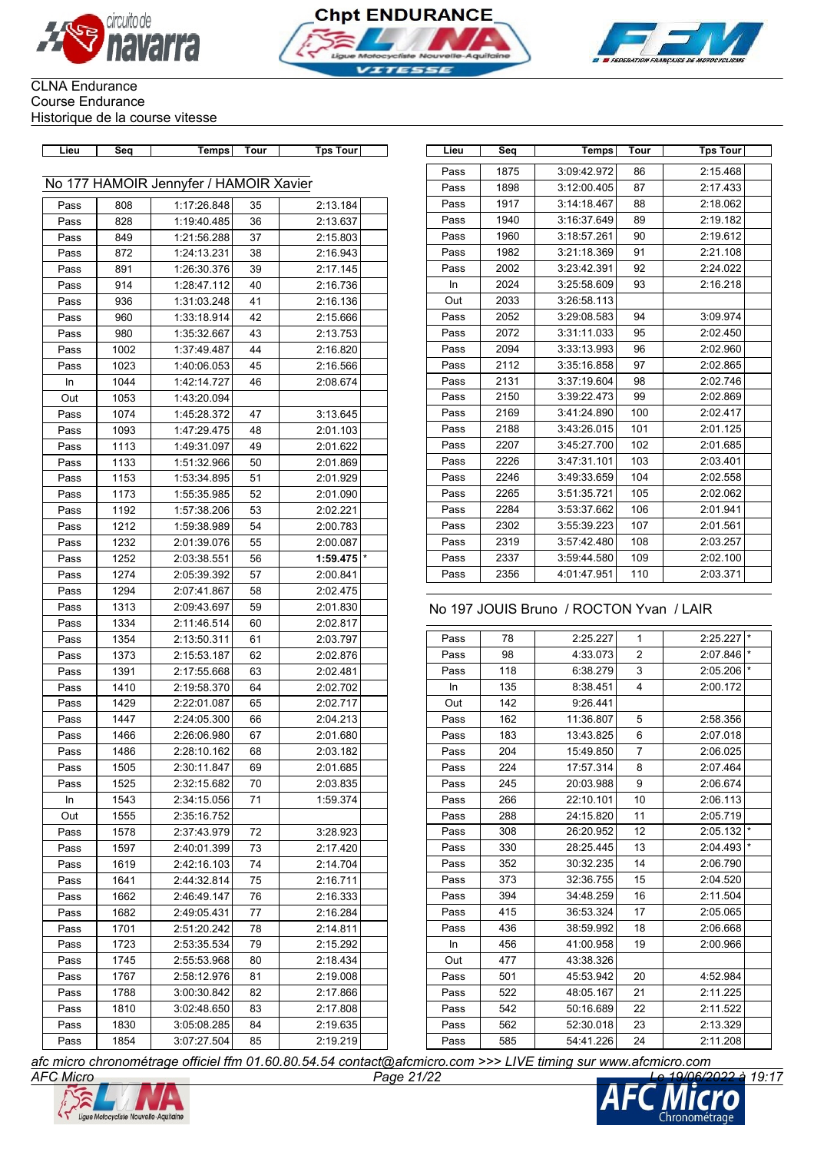





| Lieu | Seq          | Temps                                  | Tour     | <b>Tps Tour</b>      | Lieu | Seq        | Temps                                   | Tour           | <b>Tps Tour</b>                                                                                          |
|------|--------------|----------------------------------------|----------|----------------------|------|------------|-----------------------------------------|----------------|----------------------------------------------------------------------------------------------------------|
|      |              | No 177 HAMOIR Jennyfer / HAMOIR Xavier |          |                      | Pass | 1875       | 3:09:42.972                             | 86             | 2:15.468                                                                                                 |
|      |              |                                        |          |                      | Pass | 1898       | 3:12:00.405                             | 87             | 2:17.433                                                                                                 |
| Pass | 808          | 1:17:26.848                            | 35       | 2:13.184             | Pass | 1917       | 3:14:18.467                             | 88             | 2:18.062                                                                                                 |
| Pass | 828          | 1:19:40.485                            | 36       | 2:13.637             | Pass | 1940       | 3:16:37.649                             | 89             | 2:19.182                                                                                                 |
| Pass | 849          | 1:21:56.288                            | 37       | 2:15.803             | Pass | 1960       | 3:18:57.261                             | 90             | 2:19.612                                                                                                 |
| Pass | 872          | 1:24:13.231                            | 38       | 2:16.943             | Pass | 1982       | 3:21:18.369                             | 91             | 2:21.108                                                                                                 |
| Pass | 891          | 1:26:30.376                            | 39       | 2:17.145             | Pass | 2002       | 3:23:42.391                             | 92             | 2:24.022                                                                                                 |
| Pass | 914          | 1:28:47.112                            | 40       | 2:16.736             | In   | 2024       | 3:25:58.609                             | 93             | 2:16.218                                                                                                 |
| Pass | 936          | 1:31:03.248                            | 41       | 2:16.136             | Out  | 2033       | 3:26:58.113                             |                |                                                                                                          |
| Pass | 960          | 1:33:18.914                            | 42       | 2:15.666             | Pass | 2052       | 3:29:08.583                             | 94             | 3:09.974                                                                                                 |
| Pass | 980          | 1:35:32.667                            | 43       | 2:13.753             | Pass | 2072       | 3:31:11.033                             | 95             | 2:02.450                                                                                                 |
| Pass | 1002         | 1:37:49.487                            | 44       | 2:16.820             | Pass | 2094       | 3:33:13.993                             | 96             | 2:02.960                                                                                                 |
| Pass | 1023         | 1:40:06.053                            | 45       | 2:16.566             | Pass | 2112       | 3:35:16.858                             | 97             | 2:02.865                                                                                                 |
| In   | 1044         | 1:42:14.727                            | 46       | 2:08.674             | Pass | 2131       | 3:37:19.604                             | 98             | 2:02.746                                                                                                 |
| Out  | 1053         | 1:43:20.094                            |          |                      | Pass | 2150       | 3:39:22.473                             | 99             | 2:02.869                                                                                                 |
| Pass | 1074         | 1:45:28.372                            | 47       | 3:13.645             | Pass | 2169       | 3:41:24.890                             | 100            | 2:02.417                                                                                                 |
| Pass | 1093         | 1:47:29.475                            | 48       | 2:01.103             | Pass | 2188       | 3:43:26.015                             | 101            | 2:01.125                                                                                                 |
| Pass | 1113         | 1:49:31.097                            | 49       | 2:01.622             | Pass | 2207       | 3:45:27.700                             | 102            | 2:01.685                                                                                                 |
| Pass | 1133         | 1:51:32.966                            | 50       | 2:01.869             | Pass | 2226       | 3:47:31.101                             | 103            | 2:03.401                                                                                                 |
| Pass | 1153         | 1:53:34.895                            | 51       | 2:01.929             | Pass | 2246       | 3:49:33.659                             | 104            | 2:02.558                                                                                                 |
| Pass | 1173         | 1:55:35.985                            | 52       | 2:01.090             | Pass | 2265       | 3:51:35.721                             | 105            | 2:02.062                                                                                                 |
| Pass | 1192         | 1:57:38.206                            | 53       | 2:02.221             | Pass | 2284       | 3:53:37.662                             | 106            | 2:01.941                                                                                                 |
| Pass | 1212         | 1:59:38.989                            | 54       | 2:00.783             | Pass | 2302       | 3:55:39.223                             | 107            | 2:01.561                                                                                                 |
| Pass | 1232         | 2:01:39.076                            | 55       | 2:00.087             | Pass | 2319       | 3:57:42.480                             | 108            | 2:03.257                                                                                                 |
| Pass | 1252         | 2:03:38.551                            | 56       | 1:59.475             | Pass | 2337       | 3:59:44.580                             | 109            | 2:02.100                                                                                                 |
| Pass | 1274         | 2:05:39.392                            | 57       | 2:00.841             | Pass | 2356       | 4:01:47.951                             | 110            | 2:03.371                                                                                                 |
| Pass | 1294         | 2:07:41.867                            | 58       | 2:02.475             |      |            |                                         |                |                                                                                                          |
| Pass | 1313         | 2:09:43.697                            | 59       | 2:01.830             |      |            | No 197 JOUIS Bruno / ROCTON Yvan / LAIR |                |                                                                                                          |
| Pass | 1334         | 2:11:46.514                            | 60       | 2:02.817             |      |            |                                         |                |                                                                                                          |
| Pass | 1354         | 2:13:50.311                            | 61       | 2:03.797             | Pass | 78         | 2:25.227                                | $\mathbf{1}$   | 2:25.227                                                                                                 |
| Pass | 1373         | 2:15:53.187                            | 62       | 2:02.876             | Pass | 98         | 4:33.073                                | $\overline{2}$ | 2:07.846                                                                                                 |
| Pass | 1391         | 2:17:55.668                            | 63       | 2:02.481             | Pass | 118        | 6:38.279                                | 3              | 2:05.206                                                                                                 |
| Pass | 1410         | 2:19:58.370                            | 64       | 2:02.702             | In   | 135        | 8:38.451                                | 4              | 2:00.172                                                                                                 |
| Pass | 1429         | 2:22:01.087                            | 65       | 2:02.717             | Out  | 142        | 9:26.441                                |                |                                                                                                          |
| Pass | 1447         | 2:24:05.300                            | 66       | 2:04.213             | Pass | 162        | 11:36.807                               | 5              | 2:58.356                                                                                                 |
| Pass | 1466         | 2:26:06.980                            | 67       | 2:01.680             | Pass | 183        | 13:43.825                               | 6              | 2:07.018                                                                                                 |
| Pass | 1486         | 2:28:10.162                            | 68       | 2:03.182             | Pass | 204        | 15:49.850                               | 7              | 2:06.025                                                                                                 |
| Pass | 1505         | 2:30:11.847                            | 69       | 2:01.685             | Pass | 224        | 17:57.314                               | 8              | 2:07.464                                                                                                 |
| Pass | 1525         | 2:32:15.682                            | 70       | 2:03.835             | Pass | 245        | 20:03.988                               | 9              | 2:06.674                                                                                                 |
| In   | 1543         | 2:34:15.056                            | 71       | 1:59.374             | Pass | 266        | 22:10.101                               | 10             | 2:06.113                                                                                                 |
| Out  | 1555         | 2:35:16.752                            |          |                      | Pass | 288        | 24:15.820                               | 11             | 2:05.719                                                                                                 |
|      |              |                                        |          |                      | Pass | 308        | 26:20.952                               | 12             | 2:05.132                                                                                                 |
| Pass | 1578         | 2:37:43.979                            | 72       | 3:28.923             | Pass | 330        | 28:25.445                               |                | 2:04.493                                                                                                 |
| Pass | 1597         | 2:40:01.399                            | 73       | 2:17.420             |      |            |                                         | 13             |                                                                                                          |
| Pass | 1619         | 2:42:16.103                            | 74       | 2:14.704             | Pass | 352<br>373 | 30:32.235                               | 14             | 2:06.790                                                                                                 |
| Pass | 1641         | 2:44:32.814                            | 75       | 2:16.711             |      |            | 32:36.755                               | 15             | 2:04.520                                                                                                 |
| Pass |              |                                        |          |                      | Pass |            |                                         |                |                                                                                                          |
|      | 1662         | 2:46:49.147                            | 76       | 2:16.333             | Pass | 394        | 34:48.259                               | 16             |                                                                                                          |
| Pass | 1682         | 2:49:05.431                            | 77       | 2:16.284             | Pass | 415        | 36:53.324                               | 17             |                                                                                                          |
| Pass | 1701         | 2:51:20.242                            | 78       | 2:14.811             | Pass | 436        | 38:59.992                               | 18             |                                                                                                          |
| Pass | 1723         | 2:53:35.534                            | 79       | 2:15.292             | In   | 456        | 41:00.958                               | 19             |                                                                                                          |
| Pass | 1745         | 2:55:53.968                            | 80       | 2:18.434             | Out  | 477        | 43:38.326                               |                |                                                                                                          |
| Pass | 1767         | 2:58:12.976                            | 81       | 2:19.008             | Pass | 501        | 45:53.942                               | 20             |                                                                                                          |
| Pass | 1788         | 3:00:30.842                            | 82       | 2:17.866             | Pass | 522        | 48:05.167                               | 21             |                                                                                                          |
| Pass | 1810         | 3:02:48.650                            | 83       | 2:17.808             | Pass | 542        | 50:16.689                               | 22             |                                                                                                          |
| Pass | 1830<br>1854 | 3:05:08.285<br>3:07:27.504             | 84<br>85 | 2:19.635<br>2:19.219 | Pass | 562<br>585 | 52:30.018<br>54:41.226                  | 23<br>24       | 2:11.504<br>2:05.065<br>2:06.668<br>2:00.966<br>4:52.984<br>2:11.225<br>2:11.522<br>2:13.329<br>2:11.208 |

| Lieu | Seq  | Temps       | Tour | <b>Tps Tour</b> |
|------|------|-------------|------|-----------------|
| Pass | 1875 | 3:09:42.972 | 86   | 2:15.468        |
| Pass | 1898 | 3:12:00.405 | 87   | 2:17.433        |
| Pass | 1917 | 3:14:18.467 | 88   | 2:18.062        |
| Pass | 1940 | 3:16:37.649 | 89   | 2:19.182        |
| Pass | 1960 | 3:18:57.261 | 90   | 2:19.612        |
| Pass | 1982 | 3:21:18.369 | 91   | 2:21.108        |
| Pass | 2002 | 3:23:42.391 | 92   | 2:24.022        |
| In   | 2024 | 3:25:58.609 | 93   | 2:16.218        |
| Out  | 2033 | 3:26:58.113 |      |                 |
| Pass | 2052 | 3:29:08.583 | 94   | 3:09.974        |
| Pass | 2072 | 3:31:11.033 | 95   | 2:02.450        |
| Pass | 2094 | 3:33:13.993 | 96   | 2:02.960        |
| Pass | 2112 | 3:35:16.858 | 97   | 2:02.865        |
| Pass | 2131 | 3:37:19.604 | 98   | 2:02.746        |
| Pass | 2150 | 3:39:22.473 | 99   | 2:02.869        |
| Pass | 2169 | 3:41:24.890 | 100  | 2:02.417        |
| Pass | 2188 | 3:43:26.015 | 101  | 2:01.125        |
| Pass | 2207 | 3:45:27.700 | 102  | 2:01.685        |
| Pass | 2226 | 3:47:31.101 | 103  | 2:03.401        |
| Pass | 2246 | 3:49:33.659 | 104  | 2:02.558        |
| Pass | 2265 | 3:51:35.721 | 105  | 2:02.062        |
| Pass | 2284 | 3:53:37.662 | 106  | 2:01.941        |
| Pass | 2302 | 3:55:39.223 | 107  | 2:01.561        |
| Pass | 2319 | 3:57:42.480 | 108  | 2:03.257        |
| Pass | 2337 | 3:59:44.580 | 109  | 2:02.100        |
| Pass | 2356 | 4:01:47.951 | 110  | 2:03.371        |

### No 197 JOUIS Bruno / ROCTON Yvan / LAIR

| Pass | 78  | 2:25.227  | 1              | 2:25.227 | $\star$ |
|------|-----|-----------|----------------|----------|---------|
| Pass | 98  | 4:33.073  | $\overline{2}$ | 2:07.846 | $\star$ |
| Pass | 118 | 6:38.279  | 3              | 2:05.206 |         |
| In   | 135 | 8:38.451  | 4              | 2:00.172 |         |
| Out  | 142 | 9:26.441  |                |          |         |
| Pass | 162 | 11:36.807 | 5              | 2:58.356 |         |
| Pass | 183 | 13:43.825 | 6              | 2:07.018 |         |
| Pass | 204 | 15:49.850 | $\overline{7}$ | 2:06.025 |         |
| Pass | 224 | 17:57.314 | 8              | 2:07.464 |         |
| Pass | 245 | 20:03.988 | 9              | 2:06.674 |         |
| Pass | 266 | 22:10.101 | 10             | 2:06.113 |         |
| Pass | 288 | 24:15.820 | 11             | 2:05.719 |         |
| Pass | 308 | 26:20.952 | 12             | 2:05.132 | $\star$ |
| Pass | 330 | 28:25.445 | 13             | 2:04.493 | $\star$ |
| Pass | 352 | 30:32.235 | 14             | 2:06.790 |         |
| Pass | 373 | 32:36.755 | 15             | 2:04.520 |         |
| Pass | 394 | 34:48.259 | 16             | 2:11.504 |         |
| Pass | 415 | 36:53.324 | 17             | 2:05.065 |         |
| Pass | 436 | 38:59.992 | 18             | 2:06.668 |         |
| In.  | 456 | 41:00.958 | 19             | 2:00.966 |         |
| Out  | 477 | 43:38.326 |                |          |         |
| Pass | 501 | 45:53.942 | 20             | 4:52.984 |         |
| Pass | 522 | 48:05.167 | 21             | 2:11.225 |         |
| Pass | 542 | 50:16.689 | 22             | 2:11.522 |         |
| Pass | 562 | 52:30.018 | 23             | 2:13.329 |         |
| Pass | 585 | 54:41.226 | 24             | 2:11.208 |         |
|      |     |           |                |          |         |